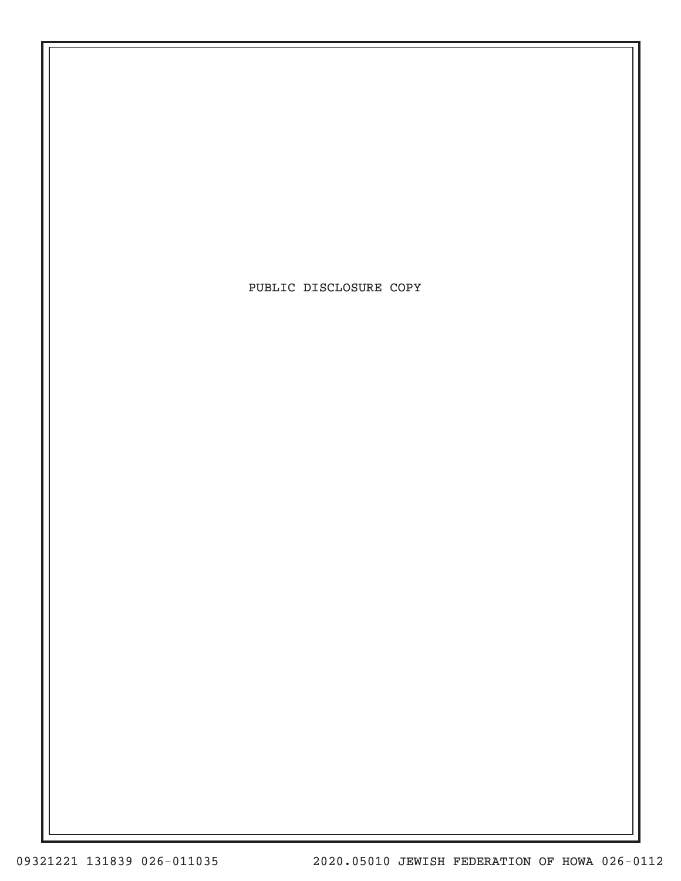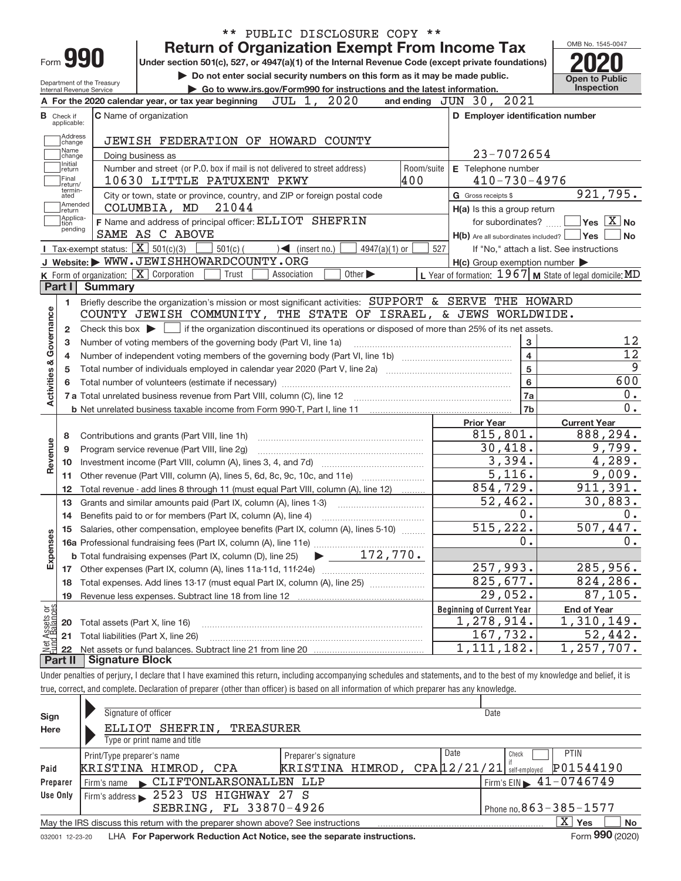|                                       |                                  |                                                            | ** PUBLIC DISCLOSURE COPY **                                                                                                                                               |            |                                                                       |                                                           |
|---------------------------------------|----------------------------------|------------------------------------------------------------|----------------------------------------------------------------------------------------------------------------------------------------------------------------------------|------------|-----------------------------------------------------------------------|-----------------------------------------------------------|
|                                       |                                  |                                                            | <b>Return of Organization Exempt From Income Tax</b>                                                                                                                       |            |                                                                       | OMB No. 1545-0047                                         |
|                                       |                                  | Form 990                                                   | Under section 501(c), 527, or 4947(a)(1) of the Internal Revenue Code (except private foundations)                                                                         |            |                                                                       |                                                           |
|                                       |                                  | Department of the Treasury                                 | Do not enter social security numbers on this form as it may be made public.                                                                                                |            |                                                                       | <b>Open to Public</b>                                     |
|                                       |                                  | Internal Revenue Service                                   | Go to www.irs.gov/Form990 for instructions and the latest information.                                                                                                     |            |                                                                       | Inspection                                                |
|                                       |                                  |                                                            | A For the 2020 calendar year, or tax year beginning $JUL$ 1, $2020$                                                                                                        |            | and ending JUN 30, 2021                                               |                                                           |
|                                       | <b>B</b> Check if<br>applicable: |                                                            | <b>C</b> Name of organization                                                                                                                                              |            | D Employer identification number                                      |                                                           |
|                                       | Address<br>change                |                                                            | JEWISH FEDERATION OF HOWARD COUNTY                                                                                                                                         |            |                                                                       |                                                           |
|                                       | Name<br>change                   |                                                            | Doing business as                                                                                                                                                          |            | 23-7072654                                                            |                                                           |
|                                       | Initial<br>return                |                                                            | Number and street (or P.O. box if mail is not delivered to street address)                                                                                                 | Room/suite | E Telephone number                                                    |                                                           |
|                                       | Final<br>return/<br>termin-      |                                                            | 400<br>10630 LITTLE PATUXENT PKWY                                                                                                                                          |            | $410 - 730 - 4976$                                                    |                                                           |
|                                       | ated<br>Amended                  |                                                            | City or town, state or province, country, and ZIP or foreign postal code<br>21044<br>COLUMBIA, MD                                                                          |            | G Gross receipts \$                                                   | 921,795.                                                  |
|                                       | return<br>Applica-               |                                                            | F Name and address of principal officer: ELLIOT SHEFRIN                                                                                                                    |            | H(a) Is this a group return                                           | $Yes$ $X$ No                                              |
|                                       | tion<br>pending                  |                                                            | SAME AS C ABOVE                                                                                                                                                            |            | for subordinates?<br>$H(b)$ Are all subordinates included? $\Box$ Yes | <b>No</b>                                                 |
|                                       |                                  | <b>I</b> Tax-exempt status: $\boxed{\mathbf{X}}$ 501(c)(3) | $501(c)$ (<br>$\leq$ (insert no.)<br>$4947(a)(1)$ or                                                                                                                       | 527        |                                                                       | If "No," attach a list. See instructions                  |
|                                       |                                  |                                                            | J Website: WWW.JEWISHHOWARDCOUNTY.ORG                                                                                                                                      |            | $H(c)$ Group exemption number $\blacktriangleright$                   |                                                           |
|                                       |                                  |                                                            | K Form of organization: X Corporation<br>Trust<br>Other $\blacktriangleright$<br>Association                                                                               |            |                                                                       | L Year of formation: 1967   M State of legal domicile: MD |
|                                       | Part I                           | <b>Summary</b>                                             |                                                                                                                                                                            |            |                                                                       |                                                           |
|                                       | 1.                               |                                                            | Briefly describe the organization's mission or most significant activities: SUPPORT & SERVE THE HOWARD                                                                     |            |                                                                       |                                                           |
| Governance                            |                                  |                                                            | COUNTY JEWISH COMMUNITY, THE STATE OF ISRAEL, & JEWS WORLDWIDE.                                                                                                            |            |                                                                       |                                                           |
|                                       | $\mathbf{2}$                     |                                                            | Check this box $\blacktriangleright$ $\Box$ if the organization discontinued its operations or disposed of more than 25% of its net assets.                                |            |                                                                       |                                                           |
|                                       | 3                                |                                                            | Number of voting members of the governing body (Part VI, line 1a)                                                                                                          |            | 3                                                                     | 12                                                        |
|                                       | 4                                |                                                            |                                                                                                                                                                            |            | $\overline{\mathbf{4}}$                                               | 12                                                        |
| <b>Activities &amp;</b>               | 5                                |                                                            |                                                                                                                                                                            |            | 5                                                                     | $\overline{9}$                                            |
|                                       |                                  |                                                            |                                                                                                                                                                            |            | $6\phantom{a}$                                                        | 600                                                       |
|                                       |                                  |                                                            |                                                                                                                                                                            |            | 7a                                                                    | 0.                                                        |
|                                       |                                  |                                                            |                                                                                                                                                                            |            | 7b                                                                    | 0.                                                        |
|                                       |                                  |                                                            |                                                                                                                                                                            |            | <b>Prior Year</b>                                                     | <b>Current Year</b>                                       |
|                                       | 8                                |                                                            | Contributions and grants (Part VIII, line 1h)                                                                                                                              |            | 815,801.                                                              | 888,294.                                                  |
| Revenue                               | 9                                |                                                            | Program service revenue (Part VIII, line 2g)                                                                                                                               |            | 30,418.                                                               | 9,799.                                                    |
|                                       | 10                               |                                                            |                                                                                                                                                                            |            | 3,394.                                                                | 4,289.                                                    |
|                                       | 11                               |                                                            | Other revenue (Part VIII, column (A), lines 5, 6d, 8c, 9c, 10c, and 11e)                                                                                                   |            | $\overline{5,116}$ .<br>854,729.                                      | 9,009.                                                    |
|                                       | 12                               |                                                            | Total revenue - add lines 8 through 11 (must equal Part VIII, column (A), line 12)                                                                                         |            | 52,462.                                                               | 911, 391.<br>30,883.                                      |
|                                       | 13                               |                                                            | Grants and similar amounts paid (Part IX, column (A), lines 1-3)                                                                                                           |            | 0.                                                                    | 0.                                                        |
|                                       | 14                               |                                                            | Benefits paid to or for members (Part IX, column (A), line 4)<br>Salaries, other compensation, employee benefits (Part IX, column (A), lines 5-10)                         |            | 515,222.                                                              | 507,447.                                                  |
| Expenses                              |                                  |                                                            |                                                                                                                                                                            |            | 0.                                                                    | 0.                                                        |
|                                       |                                  |                                                            |                                                                                                                                                                            |            |                                                                       |                                                           |
|                                       |                                  |                                                            |                                                                                                                                                                            |            | 257,993.                                                              | 285,956.                                                  |
|                                       | 18                               |                                                            | Total expenses. Add lines 13-17 (must equal Part IX, column (A), line 25)                                                                                                  |            | 825,677.                                                              | 824,286.                                                  |
|                                       | 19                               |                                                            |                                                                                                                                                                            |            | 29,052.                                                               | 87,105.                                                   |
|                                       |                                  |                                                            |                                                                                                                                                                            |            | <b>Beginning of Current Year</b>                                      | <b>End of Year</b>                                        |
| Net Assets or<br><b>Eund Balances</b> | 20                               | Total assets (Part X, line 16)                             |                                                                                                                                                                            |            | 1,278,914.                                                            | 1,310,149.                                                |
|                                       | 21                               |                                                            | Total liabilities (Part X, line 26)                                                                                                                                        |            | 167,732.                                                              | 52,442.                                                   |
|                                       | 22                               |                                                            |                                                                                                                                                                            |            | 1, 111, 182.                                                          | 1,257,707.                                                |
|                                       | <b>Part II</b>                   | <b>Signature Block</b>                                     |                                                                                                                                                                            |            |                                                                       |                                                           |
|                                       |                                  |                                                            | Under penalties of perjury, I declare that I have examined this return, including accompanying schedules and statements, and to the best of my knowledge and belief, it is |            |                                                                       |                                                           |

| Sign<br>Here | Signature of officer<br>ELLIOT SHEFRIN,<br>TREASURER<br>Type or print name and title |                                                                                         | Date                                      |
|--------------|--------------------------------------------------------------------------------------|-----------------------------------------------------------------------------------------|-------------------------------------------|
| Paid         | Print/Type preparer's name<br>KRISTINA HIMROD, CPA                                   | Preparer's signature<br><b>KRISTINA HIMROD, CPA <math>12/21/21</math></b> self-employed | Date<br><b>PTIN</b><br>Check<br>P01544190 |
| Preparer     | CLIFTONLARSONALLEN LLP<br>Firm's name                                                |                                                                                         | Firm's EIN $\geq 41 - 0746749$            |
| Use Only     | Firm's address 2523 US HIGHWAY 27 S                                                  |                                                                                         |                                           |
|              | SEBRING, FL 33870-4926                                                               |                                                                                         | Phone no. $863 - 385 - 1577$              |
|              | May the IRS discuss this return with the preparer shown above? See instructions      |                                                                                         | $X \mid Y$ es<br><b>No</b>                |
|              |                                                                                      |                                                                                         | $\mathbf{a}$                              |

true, correct, and complete. Declaration of preparer (other than officer) is based on all information of which preparer has any knowledge.

032001 12-23-20 LHA **For Paperwork Reduction Act Notice, see the separate instructions.** Form **990** (2020)

Form **990** (2020)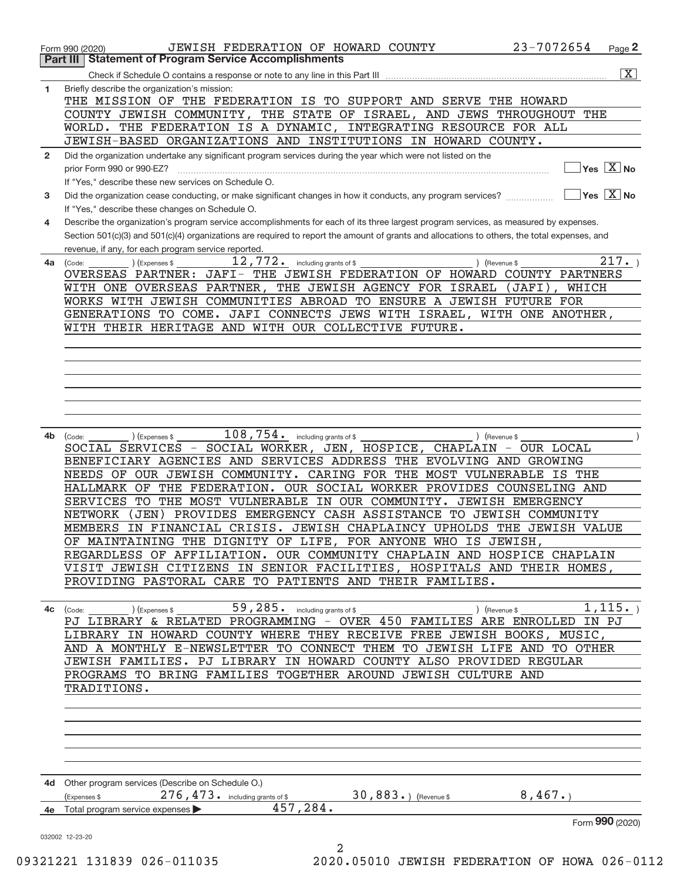| 1            | $\overline{\mathbf{X}}$<br>Briefly describe the organization's mission:                                                                                                              |
|--------------|--------------------------------------------------------------------------------------------------------------------------------------------------------------------------------------|
|              | THE MISSION OF THE FEDERATION IS TO SUPPORT AND SERVE THE HOWARD                                                                                                                     |
|              | COUNTY JEWISH COMMUNITY, THE STATE OF ISRAEL, AND JEWS THROUGHOUT THE                                                                                                                |
|              | WORLD. THE FEDERATION IS A DYNAMIC, INTEGRATING RESOURCE FOR ALL                                                                                                                     |
|              | JEWISH-BASED ORGANIZATIONS AND INSTITUTIONS IN HOWARD COUNTY.                                                                                                                        |
| $\mathbf{2}$ | Did the organization undertake any significant program services during the year which were not listed on the                                                                         |
|              | $\sqrt{}$ Yes $\sqrt{}$ X $\sqrt{}$ No                                                                                                                                               |
|              | If "Yes," describe these new services on Schedule O.<br>Did the organization cease conducting, or make significant changes in how it conducts, any program services?<br>$ Yes X $ No |
| 3            | If "Yes," describe these changes on Schedule O.                                                                                                                                      |
| 4            | Describe the organization's program service accomplishments for each of its three largest program services, as measured by expenses.                                                 |
|              | Section 501(c)(3) and 501(c)(4) organizations are required to report the amount of grants and allocations to others, the total expenses, and                                         |
|              | revenue, if any, for each program service reported.                                                                                                                                  |
| 4a           | $\overline{12,772.}$ including grants of \$<br>217.<br>) (Expenses \$<br>) (Revenue \$<br>(Code:                                                                                     |
|              | OVERSEAS PARTNER: JAFI- THE JEWISH FEDERATION OF HOWARD COUNTY PARTNERS                                                                                                              |
|              | WITH ONE OVERSEAS PARTNER, THE JEWISH AGENCY FOR ISRAEL (JAFI), WHICH<br>WORKS WITH JEWISH COMMUNITIES ABROAD TO ENSURE A JEWISH FUTURE FOR                                          |
|              | GENERATIONS TO COME. JAFI CONNECTS JEWS WITH ISRAEL, WITH ONE ANOTHER,                                                                                                               |
|              | WITH THEIR HERITAGE AND WITH OUR COLLECTIVE FUTURE.                                                                                                                                  |
|              |                                                                                                                                                                                      |
|              |                                                                                                                                                                                      |
|              |                                                                                                                                                                                      |
|              |                                                                                                                                                                                      |
|              |                                                                                                                                                                                      |
|              |                                                                                                                                                                                      |
|              |                                                                                                                                                                                      |
| 4b           | $108,754$ $\cdot$ including grants of \$ __<br>$\int$ (Revenue \$<br>(Code:<br>) (Expenses \$<br>SOCIAL SERVICES - SOCIAL WORKER, JEN, HOSPICE, CHAPLAIN - OUR LOCAL                 |
|              | BENEFICIARY AGENCIES AND SERVICES ADDRESS THE EVOLVING AND GROWING                                                                                                                   |
|              | NEEDS OF OUR JEWISH COMMUNITY. CARING FOR THE MOST VULNERABLE IS THE                                                                                                                 |
|              | HALLMARK OF THE FEDERATION. OUR SOCIAL WORKER PROVIDES COUNSELING AND                                                                                                                |
|              | SERVICES TO THE MOST VULNERABLE IN OUR COMMUNITY. JEWISH EMERGENCY                                                                                                                   |
|              |                                                                                                                                                                                      |
|              | (JEN) PROVIDES EMERGENCY CASH ASSISTANCE TO JEWISH COMMUNITY<br>NETWORK                                                                                                              |
|              | MEMBERS IN FINANCIAL CRISIS. JEWISH CHAPLAINCY UPHOLDS THE JEWISH VALUE                                                                                                              |
|              | OF MAINTAINING THE DIGNITY OF LIFE, FOR ANYONE WHO IS JEWISH,                                                                                                                        |
|              | REGARDLESS OF AFFILIATION. OUR COMMUNITY CHAPLAIN AND HOSPICE CHAPLAIN                                                                                                               |
|              | VISIT JEWISH CITIZENS IN SENIOR FACILITIES, HOSPITALS AND THEIR HOMES,                                                                                                               |
|              | PROVIDING PASTORAL CARE TO PATIENTS AND THEIR FAMILIES.                                                                                                                              |
|              |                                                                                                                                                                                      |
|              |                                                                                                                                                                                      |
|              | LIBRARY IN HOWARD COUNTY WHERE THEY RECEIVE FREE JEWISH BOOKS, MUSIC,                                                                                                                |
|              | AND A MONTHLY E-NEWSLETTER TO CONNECT THEM TO JEWISH LIFE AND TO OTHER                                                                                                               |
|              | JEWISH FAMILIES. PJ LIBRARY IN HOWARD COUNTY ALSO PROVIDED REGULAR                                                                                                                   |
|              | PROGRAMS TO BRING FAMILIES TOGETHER AROUND JEWISH CULTURE AND                                                                                                                        |
|              | TRADITIONS.                                                                                                                                                                          |
|              |                                                                                                                                                                                      |
|              |                                                                                                                                                                                      |
|              |                                                                                                                                                                                      |
|              |                                                                                                                                                                                      |
|              |                                                                                                                                                                                      |
|              | 4d Other program services (Describe on Schedule O.)                                                                                                                                  |
|              | $276,473$ • including grants of \$ 30,883 • ) (Revenue \$ 8,467 • )<br>(Expenses \$                                                                                                  |
|              | 457, 284.<br>4e Total program service expenses<br>Form 990 (2020)                                                                                                                    |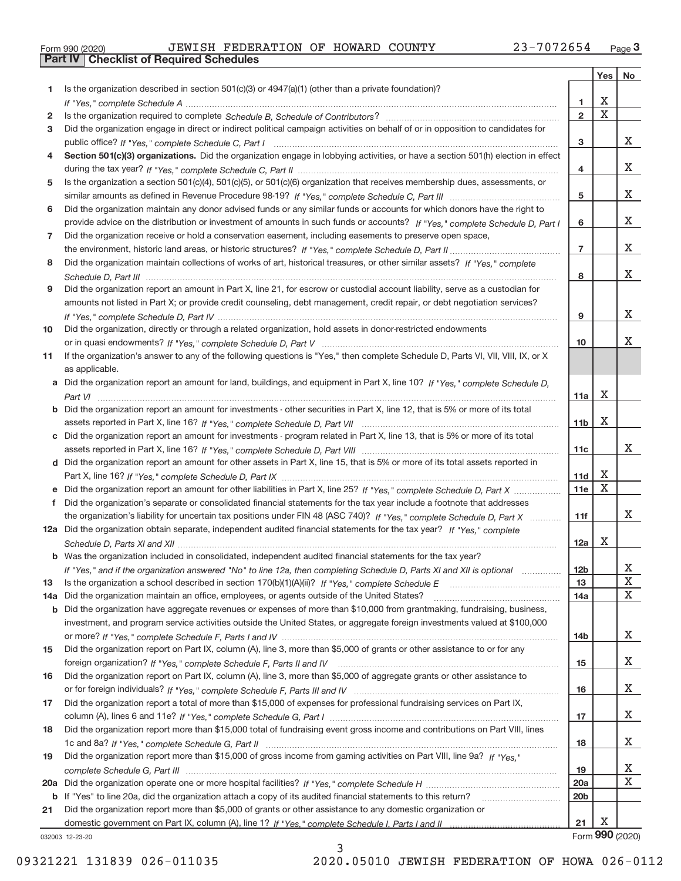|  | Form 990 (2020) |
|--|-----------------|

**Part IV Checklist of Required Schedules**

|     |                                                                                                                                  |                 | Yes                     | No              |
|-----|----------------------------------------------------------------------------------------------------------------------------------|-----------------|-------------------------|-----------------|
| 1   | Is the organization described in section $501(c)(3)$ or $4947(a)(1)$ (other than a private foundation)?                          |                 |                         |                 |
|     |                                                                                                                                  | 1               | Χ                       |                 |
| 2   |                                                                                                                                  | $\overline{2}$  | $\overline{\mathbf{x}}$ |                 |
| 3   | Did the organization engage in direct or indirect political campaign activities on behalf of or in opposition to candidates for  |                 |                         |                 |
|     |                                                                                                                                  | 3               |                         | X.              |
| 4   | Section 501(c)(3) organizations. Did the organization engage in lobbying activities, or have a section 501(h) election in effect |                 |                         |                 |
|     |                                                                                                                                  | 4               |                         | x               |
| 5   | Is the organization a section 501(c)(4), 501(c)(5), or 501(c)(6) organization that receives membership dues, assessments, or     |                 |                         |                 |
|     |                                                                                                                                  | 5               |                         | X.              |
| 6   | Did the organization maintain any donor advised funds or any similar funds or accounts for which donors have the right to        |                 |                         |                 |
|     | provide advice on the distribution or investment of amounts in such funds or accounts? If "Yes," complete Schedule D, Part I     | 6               |                         | X.              |
| 7   | Did the organization receive or hold a conservation easement, including easements to preserve open space,                        |                 |                         |                 |
|     |                                                                                                                                  | $\overline{7}$  |                         | X.              |
| 8   | Did the organization maintain collections of works of art, historical treasures, or other similar assets? If "Yes," complete     |                 |                         | X.              |
|     |                                                                                                                                  | 8               |                         |                 |
| 9   | Did the organization report an amount in Part X, line 21, for escrow or custodial account liability, serve as a custodian for    |                 |                         |                 |
|     | amounts not listed in Part X; or provide credit counseling, debt management, credit repair, or debt negotiation services?        | 9               |                         | X.              |
|     | Did the organization, directly or through a related organization, hold assets in donor-restricted endowments                     |                 |                         |                 |
| 10  |                                                                                                                                  | 10              |                         | x               |
| 11  | If the organization's answer to any of the following questions is "Yes," then complete Schedule D, Parts VI, VII, VIII, IX, or X |                 |                         |                 |
|     | as applicable.                                                                                                                   |                 |                         |                 |
|     | a Did the organization report an amount for land, buildings, and equipment in Part X, line 10? If "Yes," complete Schedule D,    |                 |                         |                 |
|     |                                                                                                                                  | 11a             | X                       |                 |
|     | b Did the organization report an amount for investments - other securities in Part X, line 12, that is 5% or more of its total   |                 |                         |                 |
|     |                                                                                                                                  | 11 <sub>b</sub> | $\mathbf X$             |                 |
|     | c Did the organization report an amount for investments - program related in Part X, line 13, that is 5% or more of its total    |                 |                         |                 |
|     |                                                                                                                                  | 11c             |                         | X.              |
|     | d Did the organization report an amount for other assets in Part X, line 15, that is 5% or more of its total assets reported in  |                 |                         |                 |
|     |                                                                                                                                  | 11d             | Χ                       |                 |
|     | e Did the organization report an amount for other liabilities in Part X, line 25? If "Yes," complete Schedule D, Part X          | 11e             | $\mathbf X$             |                 |
|     | f Did the organization's separate or consolidated financial statements for the tax year include a footnote that addresses        |                 |                         |                 |
|     | the organization's liability for uncertain tax positions under FIN 48 (ASC 740)? If "Yes," complete Schedule D, Part X           | 11f             |                         | X.              |
|     | 12a Did the organization obtain separate, independent audited financial statements for the tax year? If "Yes," complete          |                 |                         |                 |
|     |                                                                                                                                  | 12a             | X                       |                 |
|     | b Was the organization included in consolidated, independent audited financial statements for the tax year?                      |                 |                         |                 |
|     | If "Yes," and if the organization answered "No" to line 12a, then completing Schedule D, Parts XI and XII is optional            | 12b             |                         | A               |
| 13  |                                                                                                                                  | 13              |                         | X               |
| 14a | Did the organization maintain an office, employees, or agents outside of the United States?                                      | 14a             |                         | х               |
|     | b Did the organization have aggregate revenues or expenses of more than \$10,000 from grantmaking, fundraising, business,        |                 |                         |                 |
|     | investment, and program service activities outside the United States, or aggregate foreign investments valued at \$100,000       |                 |                         |                 |
|     |                                                                                                                                  | 14b             |                         | X.              |
| 15  | Did the organization report on Part IX, column (A), line 3, more than \$5,000 of grants or other assistance to or for any        |                 |                         |                 |
|     |                                                                                                                                  | 15              |                         | X               |
| 16  | Did the organization report on Part IX, column (A), line 3, more than \$5,000 of aggregate grants or other assistance to         |                 |                         |                 |
|     |                                                                                                                                  | 16              |                         | x               |
| 17  | Did the organization report a total of more than \$15,000 of expenses for professional fundraising services on Part IX,          |                 |                         | x               |
|     | Did the organization report more than \$15,000 total of fundraising event gross income and contributions on Part VIII, lines     | 17              |                         |                 |
| 18  |                                                                                                                                  | 18              |                         | X.              |
| 19  | Did the organization report more than \$15,000 of gross income from gaming activities on Part VIII, line 9a? If "Yes."           |                 |                         |                 |
|     |                                                                                                                                  | 19              |                         | X               |
|     |                                                                                                                                  | 20a             |                         | х               |
|     | b If "Yes" to line 20a, did the organization attach a copy of its audited financial statements to this return?                   | 20 <sub>b</sub> |                         |                 |
| 21  | Did the organization report more than \$5,000 of grants or other assistance to any domestic organization or                      |                 |                         |                 |
|     |                                                                                                                                  | 21              | Х                       |                 |
|     | 032003 12-23-20                                                                                                                  |                 |                         | Form 990 (2020) |

032003 12‐23‐20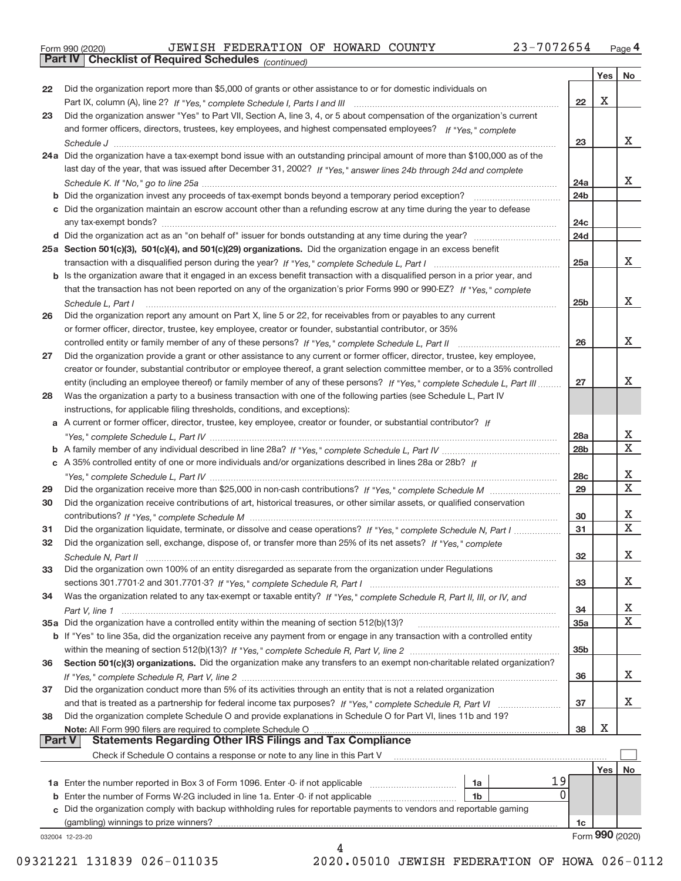|  | Form 990 (2020) |
|--|-----------------|
|  |                 |

**Part IV Checklist of Required Schedules**

*(continued)*

|               |                                                                                                                              |                 | Yes | No              |
|---------------|------------------------------------------------------------------------------------------------------------------------------|-----------------|-----|-----------------|
| 22            | Did the organization report more than \$5,000 of grants or other assistance to or for domestic individuals on                |                 |     |                 |
|               |                                                                                                                              | 22              | Х   |                 |
| 23            | Did the organization answer "Yes" to Part VII, Section A, line 3, 4, or 5 about compensation of the organization's current   |                 |     |                 |
|               | and former officers, directors, trustees, key employees, and highest compensated employees? If "Yes," complete               |                 |     |                 |
|               |                                                                                                                              | 23              |     | X.              |
|               | 24a Did the organization have a tax-exempt bond issue with an outstanding principal amount of more than \$100,000 as of the  |                 |     |                 |
|               | last day of the year, that was issued after December 31, 2002? If "Yes," answer lines 24b through 24d and complete           |                 |     |                 |
|               |                                                                                                                              | 24a             |     | x               |
|               |                                                                                                                              | 24b             |     |                 |
|               | c Did the organization maintain an escrow account other than a refunding escrow at any time during the year to defease       |                 |     |                 |
|               |                                                                                                                              | 24 <sub>c</sub> |     |                 |
|               |                                                                                                                              | 24d             |     |                 |
|               | 25a Section 501(c)(3), 501(c)(4), and 501(c)(29) organizations. Did the organization engage in an excess benefit             |                 |     |                 |
|               |                                                                                                                              | 25a             |     | x               |
|               | b Is the organization aware that it engaged in an excess benefit transaction with a disqualified person in a prior year, and |                 |     |                 |
|               | that the transaction has not been reported on any of the organization's prior Forms 990 or 990-EZ? If "Yes," complete        |                 |     |                 |
|               | Schedule L. Part I                                                                                                           | 25 <sub>b</sub> |     | х               |
| 26            | Did the organization report any amount on Part X, line 5 or 22, for receivables from or payables to any current              |                 |     |                 |
|               | or former officer, director, trustee, key employee, creator or founder, substantial contributor, or 35%                      |                 |     |                 |
|               |                                                                                                                              | 26              |     | x               |
| 27            | Did the organization provide a grant or other assistance to any current or former officer, director, trustee, key employee,  |                 |     |                 |
|               | creator or founder, substantial contributor or employee thereof, a grant selection committee member, or to a 35% controlled  |                 |     |                 |
|               | entity (including an employee thereof) or family member of any of these persons? If "Yes," complete Schedule L, Part III     | 27              |     | x               |
| 28            | Was the organization a party to a business transaction with one of the following parties (see Schedule L, Part IV            |                 |     |                 |
|               | instructions, for applicable filing thresholds, conditions, and exceptions):                                                 |                 |     |                 |
|               | a A current or former officer, director, trustee, key employee, creator or founder, or substantial contributor? If           |                 |     |                 |
|               |                                                                                                                              | 28a             |     | х               |
|               |                                                                                                                              | 28 <sub>b</sub> |     | $\mathbf X$     |
|               | c A 35% controlled entity of one or more individuals and/or organizations described in lines 28a or 28b? If                  |                 |     |                 |
|               |                                                                                                                              | 28 <sub>c</sub> |     | х               |
| 29            |                                                                                                                              | 29              |     | $\mathbf x$     |
| 30            | Did the organization receive contributions of art, historical treasures, or other similar assets, or qualified conservation  |                 |     |                 |
|               |                                                                                                                              | 30              |     | х               |
| 31            | Did the organization liquidate, terminate, or dissolve and cease operations? If "Yes," complete Schedule N, Part I           | 31              |     | $\mathbf X$     |
| 32            | Did the organization sell, exchange, dispose of, or transfer more than 25% of its net assets? If "Yes," complete             |                 |     |                 |
|               |                                                                                                                              | 32              |     | x               |
| 33            | Did the organization own 100% of an entity disregarded as separate from the organization under Regulations                   |                 |     |                 |
|               |                                                                                                                              | 33              |     | х               |
| 34            | Was the organization related to any tax-exempt or taxable entity? If "Yes," complete Schedule R, Part II, III, or IV, and    |                 |     |                 |
|               |                                                                                                                              | 34              |     | х               |
|               | 35a Did the organization have a controlled entity within the meaning of section 512(b)(13)?                                  | 35a             |     | X               |
|               | b If "Yes" to line 35a, did the organization receive any payment from or engage in any transaction with a controlled entity  |                 |     |                 |
|               |                                                                                                                              | 35 <sub>b</sub> |     |                 |
| 36            | Section 501(c)(3) organizations. Did the organization make any transfers to an exempt non-charitable related organization?   |                 |     |                 |
|               |                                                                                                                              | 36              |     | x               |
| 37            | Did the organization conduct more than 5% of its activities through an entity that is not a related organization             |                 |     |                 |
|               | and that is treated as a partnership for federal income tax purposes? If "Yes," complete Schedule R, Part VI                 | 37              |     | x               |
| 38            | Did the organization complete Schedule O and provide explanations in Schedule O for Part VI, lines 11b and 19?               |                 |     |                 |
|               |                                                                                                                              | 38              | Х   |                 |
| <b>Part V</b> | <b>Statements Regarding Other IRS Filings and Tax Compliance</b>                                                             |                 |     |                 |
|               | Check if Schedule O contains a response or note to any line in this Part V                                                   |                 |     |                 |
|               |                                                                                                                              |                 | Yes | No              |
|               | 19<br>1a Enter the number reported in Box 3 of Form 1096. Enter -0- if not applicable<br>1a                                  |                 |     |                 |
|               | 0<br>1b                                                                                                                      |                 |     |                 |
| c             | Did the organization comply with backup withholding rules for reportable payments to vendors and reportable gaming           |                 |     |                 |
|               | (gambling) winnings to prize winners?                                                                                        | 1c              |     |                 |
|               | 032004 12-23-20                                                                                                              |                 |     | Form 990 (2020) |
|               | 4                                                                                                                            |                 |     |                 |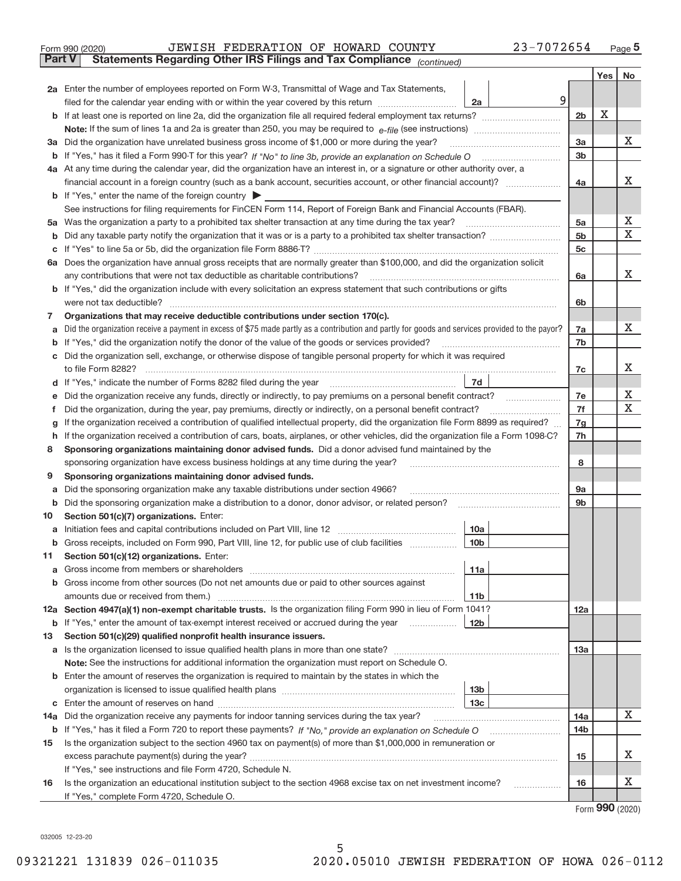| Form 990 (2020) |  | JEWISH FEDERATION OF HOWARD COUNTY                                                  |  | 23-7072654 | Page |
|-----------------|--|-------------------------------------------------------------------------------------|--|------------|------|
|                 |  | <b>Part V</b> Statements Regarding Other IRS Filings and Tax Compliance (continued) |  |            |      |

| Part v | Statements Regarding Other IRS Filings and Tax Compilance<br>(continued)                                                                                                                                                                         |                 |     |             |
|--------|--------------------------------------------------------------------------------------------------------------------------------------------------------------------------------------------------------------------------------------------------|-----------------|-----|-------------|
|        |                                                                                                                                                                                                                                                  |                 | Yes | No.         |
|        | 2a Enter the number of employees reported on Form W-3, Transmittal of Wage and Tax Statements,                                                                                                                                                   |                 |     |             |
|        | 9<br>filed for the calendar year ending with or within the year covered by this return<br>2a                                                                                                                                                     |                 |     |             |
|        |                                                                                                                                                                                                                                                  | 2 <sub>b</sub>  | X   |             |
|        |                                                                                                                                                                                                                                                  |                 |     |             |
|        | 3a Did the organization have unrelated business gross income of \$1,000 or more during the year?                                                                                                                                                 | 3a              |     | х           |
|        |                                                                                                                                                                                                                                                  | 3b              |     |             |
|        | 4a At any time during the calendar year, did the organization have an interest in, or a signature or other authority over, a                                                                                                                     |                 |     |             |
|        | financial account in a foreign country (such as a bank account, securities account, or other financial account)?                                                                                                                                 | 4a              |     | х           |
|        | <b>b</b> If "Yes," enter the name of the foreign country                                                                                                                                                                                         |                 |     |             |
|        | See instructions for filing requirements for FinCEN Form 114, Report of Foreign Bank and Financial Accounts (FBAR).                                                                                                                              |                 |     |             |
|        | 5a Was the organization a party to a prohibited tax shelter transaction at any time during the tax year?                                                                                                                                         | 5a              |     | х           |
| b      |                                                                                                                                                                                                                                                  | 5 <sub>b</sub>  |     | $\mathbf X$ |
| с      |                                                                                                                                                                                                                                                  | 5c              |     |             |
|        | 6a Does the organization have annual gross receipts that are normally greater than \$100,000, and did the organization solicit                                                                                                                   |                 |     |             |
|        | any contributions that were not tax deductible as charitable contributions?                                                                                                                                                                      | 6a              |     | х           |
|        | <b>b</b> If "Yes," did the organization include with every solicitation an express statement that such contributions or gifts                                                                                                                    |                 |     |             |
|        | were not tax deductible?                                                                                                                                                                                                                         | 6b              |     |             |
| 7      | Organizations that may receive deductible contributions under section 170(c).                                                                                                                                                                    |                 |     |             |
| а      | Did the organization receive a payment in excess of \$75 made partly as a contribution and partly for goods and services provided to the payor?                                                                                                  | 7a              |     | х           |
| b      | If "Yes," did the organization notify the donor of the value of the goods or services provided?                                                                                                                                                  | 7b              |     |             |
| с      | Did the organization sell, exchange, or otherwise dispose of tangible personal property for which it was required                                                                                                                                |                 |     | х           |
|        | to file Form 8282?<br>7d<br>If "Yes," indicate the number of Forms 8282 filed during the year                                                                                                                                                    | 7c              |     |             |
| d      |                                                                                                                                                                                                                                                  |                 |     | х           |
| е      | Did the organization receive any funds, directly or indirectly, to pay premiums on a personal benefit contract?                                                                                                                                  | 7e<br>7f        |     | $\mathbf X$ |
| Ť.     | Did the organization, during the year, pay premiums, directly or indirectly, on a personal benefit contract?<br>If the organization received a contribution of qualified intellectual property, did the organization file Form 8899 as required? | 7g              |     |             |
| g<br>h | If the organization received a contribution of cars, boats, airplanes, or other vehicles, did the organization file a Form 1098-C?                                                                                                               | 7h              |     |             |
| 8      | Sponsoring organizations maintaining donor advised funds. Did a donor advised fund maintained by the                                                                                                                                             |                 |     |             |
|        | sponsoring organization have excess business holdings at any time during the year?                                                                                                                                                               | 8               |     |             |
| 9      | Sponsoring organizations maintaining donor advised funds.                                                                                                                                                                                        |                 |     |             |
| а      | Did the sponsoring organization make any taxable distributions under section 4966?                                                                                                                                                               | 9а              |     |             |
| b      | Did the sponsoring organization make a distribution to a donor, donor advisor, or related person?                                                                                                                                                | 9b              |     |             |
| 10     | Section 501(c)(7) organizations. Enter:                                                                                                                                                                                                          |                 |     |             |
| а      | Initiation fees and capital contributions included on Part VIII, line 12<br>10a                                                                                                                                                                  |                 |     |             |
|        | b Gross receipts, included on Form 990, Part VIII, line 12, for public use of club facilities<br>10 <sub>b</sub>                                                                                                                                 |                 |     |             |
| 11.    | Section 501(c)(12) organizations. Enter:                                                                                                                                                                                                         |                 |     |             |
|        | 11a                                                                                                                                                                                                                                              |                 |     |             |
|        | <b>b</b> Gross income from other sources (Do not net amounts due or paid to other sources against                                                                                                                                                |                 |     |             |
|        | 11 <sub>b</sub>                                                                                                                                                                                                                                  |                 |     |             |
|        | 12a Section 4947(a)(1) non-exempt charitable trusts. Is the organization filing Form 990 in lieu of Form 1041?                                                                                                                                   | 12a             |     |             |
|        | <b>12b</b><br><b>b</b> If "Yes," enter the amount of tax-exempt interest received or accrued during the year                                                                                                                                     |                 |     |             |
| 13     | Section 501(c)(29) qualified nonprofit health insurance issuers.                                                                                                                                                                                 |                 |     |             |
| а      |                                                                                                                                                                                                                                                  | 13a             |     |             |
|        | Note: See the instructions for additional information the organization must report on Schedule O.                                                                                                                                                |                 |     |             |
|        | <b>b</b> Enter the amount of reserves the organization is required to maintain by the states in which the                                                                                                                                        |                 |     |             |
|        | 13b                                                                                                                                                                                                                                              |                 |     |             |
|        | 13 <sub>c</sub>                                                                                                                                                                                                                                  |                 |     |             |
|        | 14a Did the organization receive any payments for indoor tanning services during the tax year?                                                                                                                                                   | 14a             |     | x           |
|        | <b>b</b> If "Yes," has it filed a Form 720 to report these payments? If "No," provide an explanation on Schedule O                                                                                                                               | 14 <sub>b</sub> |     |             |
| 15     | Is the organization subject to the section 4960 tax on payment(s) of more than \$1,000,000 in remuneration or                                                                                                                                    |                 |     |             |
|        |                                                                                                                                                                                                                                                  | 15              |     | х           |
|        | If "Yes," see instructions and file Form 4720, Schedule N.                                                                                                                                                                                       |                 |     |             |
| 16     | Is the organization an educational institution subject to the section 4968 excise tax on net investment income?                                                                                                                                  | 16              |     | х           |
|        | If "Yes," complete Form 4720, Schedule O.                                                                                                                                                                                                        |                 |     |             |

5

Form (2020) **990**

032005 12‐23‐20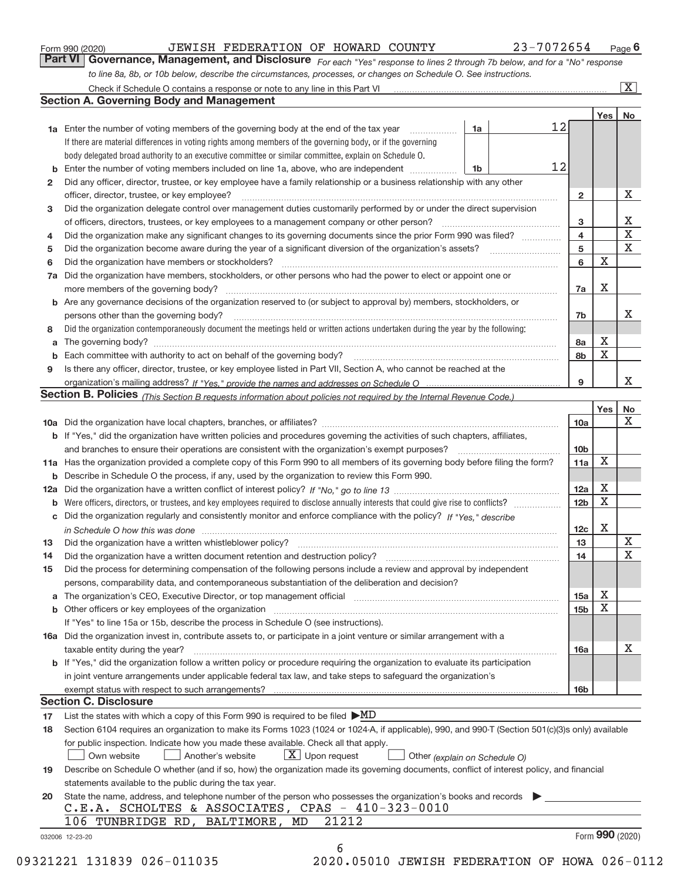|  | Form 990 (2020) |
|--|-----------------|
|  |                 |

|                                                                                                                  | <b>Part VI</b> Governance, Management, and Disclosure For each "Yes" response to lines 2 through 7b below, and for a "No" response |  |
|------------------------------------------------------------------------------------------------------------------|------------------------------------------------------------------------------------------------------------------------------------|--|
| to line 8a, 8b, or 10b below, describe the circumstances, processes, or changes on Schedule O. See instructions. |                                                                                                                                    |  |

|              |                                                                                                                                                                                                                                |    |    |                         | Yes         | No                      |
|--------------|--------------------------------------------------------------------------------------------------------------------------------------------------------------------------------------------------------------------------------|----|----|-------------------------|-------------|-------------------------|
|              | <b>1a</b> Enter the number of voting members of the governing body at the end of the tax year <i>manumum</i>                                                                                                                   | 1a | 12 |                         |             |                         |
|              | If there are material differences in voting rights among members of the governing body, or if the governing                                                                                                                    |    |    |                         |             |                         |
|              | body delegated broad authority to an executive committee or similar committee, explain on Schedule O.                                                                                                                          |    |    |                         |             |                         |
|              |                                                                                                                                                                                                                                | 1b | 12 |                         |             |                         |
| $\mathbf{2}$ | Did any officer, director, trustee, or key employee have a family relationship or a business relationship with any other                                                                                                       |    |    |                         |             |                         |
|              | officer, director, trustee, or key employee?                                                                                                                                                                                   |    |    | $\mathbf{2}$            |             | X                       |
| 3            | Did the organization delegate control over management duties customarily performed by or under the direct supervision                                                                                                          |    |    |                         |             |                         |
|              |                                                                                                                                                                                                                                |    |    | 3                       |             | X                       |
| 4            | Did the organization make any significant changes to its governing documents since the prior Form 990 was filed?                                                                                                               |    |    | $\overline{\mathbf{4}}$ |             | $\overline{\textbf{x}}$ |
| 5            |                                                                                                                                                                                                                                |    |    | 5                       |             | $\mathbf X$             |
| 6            | Did the organization have members or stockholders?                                                                                                                                                                             |    |    | 6                       | X           |                         |
|              | 7a Did the organization have members, stockholders, or other persons who had the power to elect or appoint one or                                                                                                              |    |    |                         |             |                         |
|              |                                                                                                                                                                                                                                |    |    | 7a                      | Χ           |                         |
|              | <b>b</b> Are any governance decisions of the organization reserved to (or subject to approval by) members, stockholders, or                                                                                                    |    |    |                         |             |                         |
|              | persons other than the governing body?                                                                                                                                                                                         |    |    | 7b                      |             | х                       |
| 8            | Did the organization contemporaneously document the meetings held or written actions undertaken during the year by the following:                                                                                              |    |    |                         |             |                         |
| a            |                                                                                                                                                                                                                                |    |    | 8a                      | Χ           |                         |
| b            | Each committee with authority to act on behalf of the governing body? [10] manufacture manufacture with authority to act on behalf of the governing body? [10] manufacture with authority of the state with an interval and th |    |    | 8b                      | X           |                         |
| 9            | Is there any officer, director, trustee, or key employee listed in Part VII, Section A, who cannot be reached at the                                                                                                           |    |    |                         |             |                         |
|              |                                                                                                                                                                                                                                |    |    | 9                       |             | х                       |
|              | Section B. Policies (This Section B requests information about policies not required by the Internal Revenue Code.)                                                                                                            |    |    |                         |             |                         |
|              |                                                                                                                                                                                                                                |    |    |                         | Yes         | No                      |
|              |                                                                                                                                                                                                                                |    |    | 10a                     |             | х                       |
|              | <b>b</b> If "Yes," did the organization have written policies and procedures governing the activities of such chapters, affiliates,                                                                                            |    |    |                         |             |                         |
|              |                                                                                                                                                                                                                                |    |    | 10 <sub>b</sub>         |             |                         |
|              | 11a Has the organization provided a complete copy of this Form 990 to all members of its governing body before filing the form?                                                                                                |    |    | 11a                     | $\mathbf X$ |                         |
|              |                                                                                                                                                                                                                                |    |    |                         |             |                         |
|              | <b>b</b> Describe in Schedule O the process, if any, used by the organization to review this Form 990.                                                                                                                         |    |    |                         | X           |                         |
|              |                                                                                                                                                                                                                                |    |    | 12a                     | X           |                         |
| b            |                                                                                                                                                                                                                                |    |    | 12 <sub>b</sub>         |             |                         |
|              | c Did the organization regularly and consistently monitor and enforce compliance with the policy? If "Yes," describe                                                                                                           |    |    |                         | X           |                         |
|              | in Schedule O how this was done encourance and the control of the state of the state of the state of the state o                                                                                                               |    |    | 12c                     |             | X                       |
| 13           |                                                                                                                                                                                                                                |    |    | 13                      |             | $\mathbf X$             |
| 14           | Did the organization have a written document retention and destruction policy? manufactured and the organization have a written document retention and destruction policy?                                                     |    |    | 14                      |             |                         |
| 15           | Did the process for determining compensation of the following persons include a review and approval by independent                                                                                                             |    |    |                         |             |                         |
|              | persons, comparability data, and contemporaneous substantiation of the deliberation and decision?                                                                                                                              |    |    |                         |             |                         |
|              |                                                                                                                                                                                                                                |    |    | 15a                     | X           |                         |
|              |                                                                                                                                                                                                                                |    |    | 15 <sub>b</sub>         | $\mathbf X$ |                         |
|              | If "Yes" to line 15a or 15b, describe the process in Schedule O (see instructions).                                                                                                                                            |    |    |                         |             |                         |
|              | 16a Did the organization invest in, contribute assets to, or participate in a joint venture or similar arrangement with a                                                                                                      |    |    |                         |             |                         |
|              | taxable entity during the year?                                                                                                                                                                                                |    |    | 16a                     |             | X                       |
|              | b If "Yes," did the organization follow a written policy or procedure requiring the organization to evaluate its participation                                                                                                 |    |    |                         |             |                         |
|              | in joint venture arrangements under applicable federal tax law, and take steps to safeguard the organization's                                                                                                                 |    |    |                         |             |                         |
|              |                                                                                                                                                                                                                                |    |    | 16b                     |             |                         |
|              | <b>Section C. Disclosure</b>                                                                                                                                                                                                   |    |    |                         |             |                         |
| 17           | List the states with which a copy of this Form 990 is required to be filed $\blacktriangleright \underline{MD}$                                                                                                                |    |    |                         |             |                         |
| 18           | Section 6104 requires an organization to make its Forms 1023 (1024 or 1024-A, if applicable), 990, and 990-T (Section 501(c)(3)s only) available                                                                               |    |    |                         |             |                         |
|              | for public inspection. Indicate how you made these available. Check all that apply.                                                                                                                                            |    |    |                         |             |                         |
|              | $X$ Upon request<br>Own website<br>Another's website<br>Other (explain on Schedule O)                                                                                                                                          |    |    |                         |             |                         |
| 19           | Describe on Schedule O whether (and if so, how) the organization made its governing documents, conflict of interest policy, and financial                                                                                      |    |    |                         |             |                         |
|              | statements available to the public during the tax year.                                                                                                                                                                        |    |    |                         |             |                         |
| 20           | State the name, address, and telephone number of the person who possesses the organization's books and records                                                                                                                 |    |    |                         |             |                         |
|              | C.E.A. SCHOLTES & ASSOCIATES, CPAS - 410-323-0010                                                                                                                                                                              |    |    |                         |             |                         |
|              | 21212<br>106 TUNBRIDGE RD, BALTIMORE,<br>MD                                                                                                                                                                                    |    |    |                         |             |                         |
|              |                                                                                                                                                                                                                                |    |    |                         |             | Form 990 (2020)         |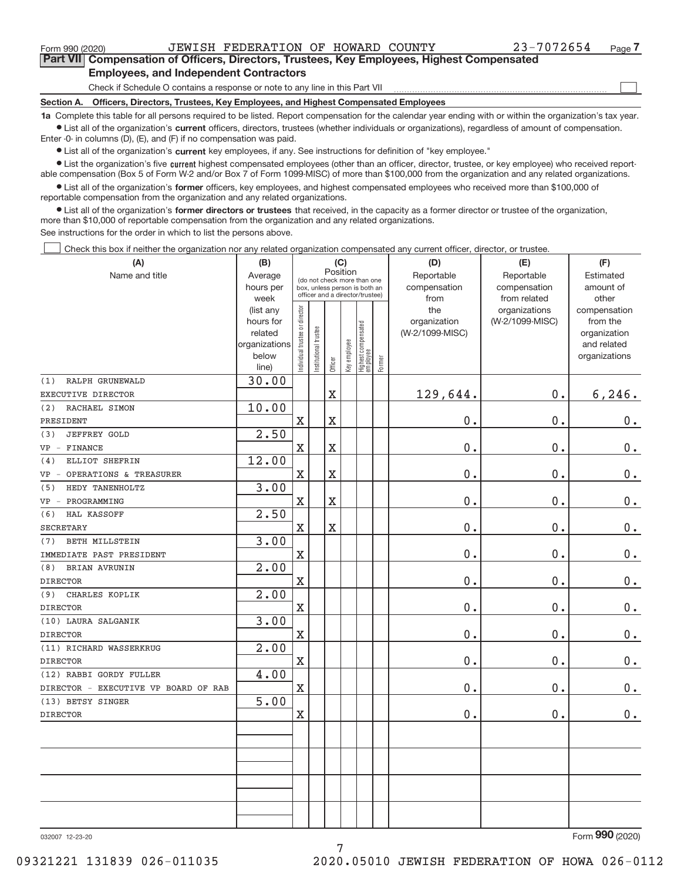$\begin{array}{c} \boxed{1} \\ \boxed{1} \\ \end{array}$ 

**Part VII Compensation of Officers, Directors, Trustees, Key Employees, Highest Compensated Employees, and Independent Contractors**

Check if Schedule O contains a response or note to any line in this Part VII

**Section A. Officers, Directors, Trustees, Key Employees, and Highest Compensated Employees**

**1a**  Complete this table for all persons required to be listed. Report compensation for the calendar year ending with or within the organization's tax year. **•** List all of the organization's current officers, directors, trustees (whether individuals or organizations), regardless of amount of compensation.

Enter ‐0‐ in columns (D), (E), and (F) if no compensation was paid.

**•** List all of the organization's current key employees, if any. See instructions for definition of "key employee."

● List the organization's five current highest compensated employees (other than an officer, director, trustee, or key employee) who received report‐ able compensation (Box 5 of Form W‐2 and/or Box 7 of Form 1099‐MISC) of more than \$100,000 from the organization and any related organizations.

 $\bullet$  List all of the organization's former officers, key employees, and highest compensated employees who received more than \$100,000 of reportable compensation from the organization and any related organizations.

**•** List all of the organization's former directors or trustees that received, in the capacity as a former director or trustee of the organization, more than \$10,000 of reportable compensation from the organization and any related organizations.

See instructions for the order in which to list the persons above.

Check this box if neither the organization nor any related organization compensated any current officer, director, or trustee.  $\Box$ 

| (A)                                  | (B)                    |                               |                                                                  | (C)                   |              |                                 |        | (D)             | (E)                              | (F)                      |
|--------------------------------------|------------------------|-------------------------------|------------------------------------------------------------------|-----------------------|--------------|---------------------------------|--------|-----------------|----------------------------------|--------------------------|
| Name and title                       | Average                |                               | (do not check more than one                                      | Position              |              |                                 |        | Reportable      | Reportable                       | Estimated                |
|                                      | hours per              |                               | box, unless person is both an<br>officer and a director/trustee) |                       |              |                                 |        | compensation    | compensation                     | amount of                |
|                                      | week                   |                               |                                                                  |                       |              |                                 |        | from<br>the     | from related                     | other                    |
|                                      | (list any<br>hours for | ndividual trustee or director |                                                                  |                       |              |                                 |        | organization    | organizations<br>(W-2/1099-MISC) | compensation<br>from the |
|                                      | related                |                               |                                                                  |                       |              |                                 |        | (W-2/1099-MISC) |                                  | organization             |
|                                      | organizations          |                               |                                                                  |                       |              |                                 |        |                 |                                  | and related              |
|                                      | below                  |                               | Institutional trustee                                            |                       | Key employee |                                 |        |                 |                                  | organizations            |
|                                      | line)                  |                               |                                                                  | Officer               |              | Highest compensated<br>employee | Former |                 |                                  |                          |
| (1)<br>RALPH GRUNEWALD               | 30.00                  |                               |                                                                  |                       |              |                                 |        |                 |                                  |                          |
| EXECUTIVE DIRECTOR                   |                        |                               |                                                                  | $\overline{\text{X}}$ |              |                                 |        | 129,644.        | 0.                               | 6, 246.                  |
| (2)<br>RACHAEL SIMON                 | 10.00                  |                               |                                                                  |                       |              |                                 |        |                 |                                  |                          |
| PRESIDENT                            |                        | $\mathbf X$                   |                                                                  | $\overline{\text{X}}$ |              |                                 |        | 0.              | 0.                               | $0$ .                    |
| <b>JEFFREY GOLD</b><br>(3)           | 2.50                   |                               |                                                                  |                       |              |                                 |        |                 |                                  |                          |
| FINANCE<br>$VP -$                    |                        | $\mathbf X$                   |                                                                  | $\overline{\text{X}}$ |              |                                 |        | 0.              | 0.                               | $\mathbf 0$ .            |
| ELLIOT SHEFRIN<br>(4)                | 12.00                  |                               |                                                                  |                       |              |                                 |        |                 |                                  |                          |
| OPERATIONS & TREASURER<br>$VP -$     |                        | $\overline{\text{X}}$         |                                                                  | $\overline{\text{X}}$ |              |                                 |        | 0.              | 0.                               | $\mathbf 0$ .            |
| HEDY TANENHOLTZ<br>(5)               | 3.00                   |                               |                                                                  |                       |              |                                 |        |                 |                                  |                          |
| PROGRAMMING<br>$VP -$                |                        | $\mathbf X$                   |                                                                  | X                     |              |                                 |        | 0.              | 0.                               | $0$ .                    |
| HAL KASSOFF<br>(6)                   | 2.50                   |                               |                                                                  |                       |              |                                 |        |                 |                                  |                          |
| <b>SECRETARY</b>                     |                        | X                             |                                                                  | X                     |              |                                 |        | 0.              | 0.                               | $0$ .                    |
| <b>BETH MILLSTEIN</b><br>(7)         | 3.00                   |                               |                                                                  |                       |              |                                 |        |                 |                                  |                          |
| IMMEDIATE PAST PRESIDENT             |                        | $\mathbf X$                   |                                                                  |                       |              |                                 |        | 0.              | 0.                               | $0$ .                    |
| <b>BRIAN AVRUNIN</b><br>(8)          | 2.00                   |                               |                                                                  |                       |              |                                 |        |                 |                                  |                          |
| <b>DIRECTOR</b>                      |                        | X                             |                                                                  |                       |              |                                 |        | 0.              | 0.                               | $0$ .                    |
| (9)<br>CHARLES KOPLIK                | 2.00                   |                               |                                                                  |                       |              |                                 |        |                 |                                  |                          |
| <b>DIRECTOR</b>                      |                        | $\rm X$                       |                                                                  |                       |              |                                 |        | 0.              | 0.                               | $0$ .                    |
| (10) LAURA SALGANIK                  | 3.00                   |                               |                                                                  |                       |              |                                 |        |                 |                                  |                          |
| <b>DIRECTOR</b>                      |                        | $\mathbf X$                   |                                                                  |                       |              |                                 |        | $0$ .           | 0.                               | $0 \cdot$                |
| (11) RICHARD WASSERKRUG              | 2.00                   |                               |                                                                  |                       |              |                                 |        |                 |                                  |                          |
| <b>DIRECTOR</b>                      |                        | $\rm X$                       |                                                                  |                       |              |                                 |        | 0.              | 0.                               | $0$ .                    |
| (12) RABBI GORDY FULLER              | 4.00                   |                               |                                                                  |                       |              |                                 |        |                 |                                  |                          |
| DIRECTOR - EXECUTIVE VP BOARD OF RAB |                        | $\overline{\text{X}}$         |                                                                  |                       |              |                                 |        | 0.              | 0.                               | 0.                       |
| (13) BETSY SINGER                    | 5.00                   |                               |                                                                  |                       |              |                                 |        |                 |                                  |                          |
| <b>DIRECTOR</b>                      |                        | $\mathbf X$                   |                                                                  |                       |              |                                 |        | 0.              | 0.                               | 0.                       |
|                                      |                        |                               |                                                                  |                       |              |                                 |        |                 |                                  |                          |
|                                      |                        |                               |                                                                  |                       |              |                                 |        |                 |                                  |                          |
|                                      |                        |                               |                                                                  |                       |              |                                 |        |                 |                                  |                          |
|                                      |                        |                               |                                                                  |                       |              |                                 |        |                 |                                  |                          |
|                                      |                        |                               |                                                                  |                       |              |                                 |        |                 |                                  |                          |
|                                      |                        |                               |                                                                  |                       |              |                                 |        |                 |                                  |                          |
|                                      |                        |                               |                                                                  |                       |              |                                 |        |                 |                                  |                          |
|                                      |                        |                               |                                                                  |                       |              |                                 |        |                 |                                  |                          |

7

032007 12‐23‐20

Form (2020) **990**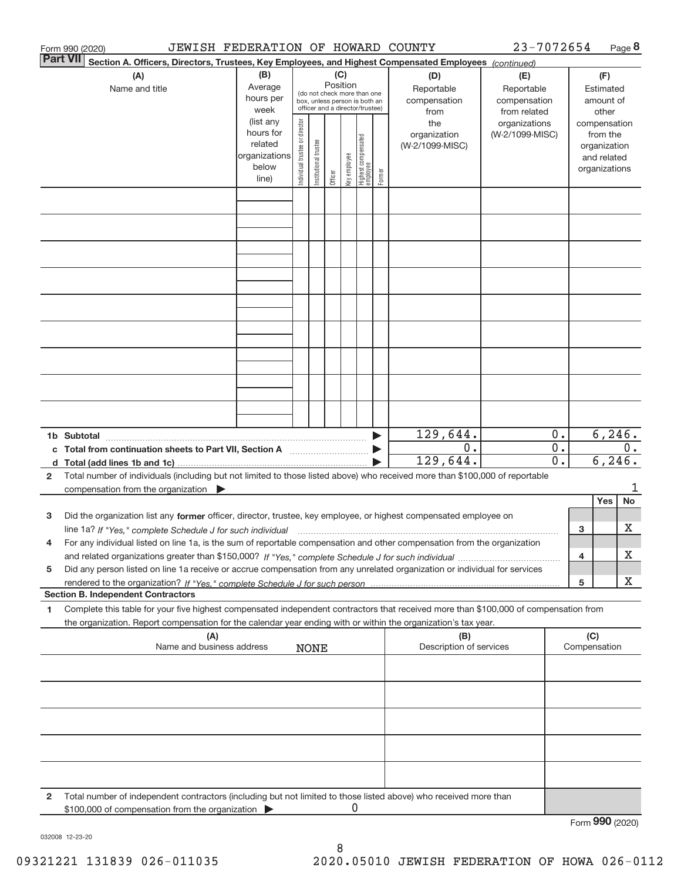|                 | JEWISH FEDERATION OF HOWARD COUNTY<br>Form 990 (2020)                                                                                                                                                                                                  |                                                                      |                                |                       |                 |              |                                                                                                 |        |                                           | 23-7072654                                        |             |        |                                                                          | Page 8 |
|-----------------|--------------------------------------------------------------------------------------------------------------------------------------------------------------------------------------------------------------------------------------------------------|----------------------------------------------------------------------|--------------------------------|-----------------------|-----------------|--------------|-------------------------------------------------------------------------------------------------|--------|-------------------------------------------|---------------------------------------------------|-------------|--------|--------------------------------------------------------------------------|--------|
| <b>Part VII</b> | Section A. Officers, Directors, Trustees, Key Employees, and Highest Compensated Employees (continued)                                                                                                                                                 |                                                                      |                                |                       |                 |              |                                                                                                 |        |                                           |                                                   |             |        |                                                                          |        |
|                 | (A)<br>Name and title                                                                                                                                                                                                                                  | (B)<br>Average<br>hours per<br>week                                  |                                |                       | (C)<br>Position |              | (do not check more than one<br>box, unless person is both an<br>officer and a director/trustee) |        | (D)<br>Reportable<br>compensation<br>from | (E)<br>Reportable<br>compensation<br>from related |             |        | (F)<br>Estimated<br>amount of<br>other                                   |        |
|                 |                                                                                                                                                                                                                                                        | (list any<br>hours for<br>related<br>organizations<br>below<br>line) | Individual trustee or director | Institutional trustee | Officer         | Key employee | Highest compensated<br> employee                                                                | Former | the<br>organization<br>(W-2/1099-MISC)    | organizations<br>(W-2/1099-MISC)                  |             |        | compensation<br>from the<br>organization<br>and related<br>organizations |        |
|                 |                                                                                                                                                                                                                                                        |                                                                      |                                |                       |                 |              |                                                                                                 |        |                                           |                                                   |             |        |                                                                          |        |
|                 |                                                                                                                                                                                                                                                        |                                                                      |                                |                       |                 |              |                                                                                                 |        |                                           |                                                   |             |        |                                                                          |        |
|                 |                                                                                                                                                                                                                                                        |                                                                      |                                |                       |                 |              |                                                                                                 |        |                                           |                                                   |             |        |                                                                          |        |
|                 |                                                                                                                                                                                                                                                        |                                                                      |                                |                       |                 |              |                                                                                                 |        |                                           |                                                   |             |        |                                                                          |        |
|                 |                                                                                                                                                                                                                                                        |                                                                      |                                |                       |                 |              |                                                                                                 |        |                                           |                                                   |             |        |                                                                          |        |
|                 |                                                                                                                                                                                                                                                        |                                                                      |                                |                       |                 |              |                                                                                                 |        |                                           |                                                   |             |        |                                                                          |        |
|                 |                                                                                                                                                                                                                                                        |                                                                      |                                |                       |                 |              |                                                                                                 |        |                                           |                                                   |             |        |                                                                          |        |
|                 | 1b Subtotal                                                                                                                                                                                                                                            |                                                                      |                                |                       |                 |              |                                                                                                 |        | 129,644.                                  |                                                   | $0$ .       |        | 6, 246.                                                                  |        |
|                 | c Total from continuation sheets to Part VII, Section A [111] [11] Total from continuum                                                                                                                                                                |                                                                      |                                |                       |                 |              |                                                                                                 |        | 0.<br>129,644.                            |                                                   | $0$ .<br>0. |        | 6, 246.                                                                  | 0.     |
| 2               | Total number of individuals (including but not limited to those listed above) who received more than \$100,000 of reportable<br>compensation from the organization $\qquad \qquad$                                                                     |                                                                      |                                |                       |                 |              |                                                                                                 |        |                                           |                                                   |             |        |                                                                          | 1      |
| 3               | Did the organization list any former officer, director, trustee, key employee, or highest compensated employee on                                                                                                                                      |                                                                      |                                |                       |                 |              |                                                                                                 |        |                                           |                                                   |             |        | Yes                                                                      | No     |
|                 | For any individual listed on line 1a, is the sum of reportable compensation and other compensation from the organization                                                                                                                               |                                                                      |                                |                       |                 |              |                                                                                                 |        |                                           |                                                   |             | 3<br>4 |                                                                          | х<br>х |
| 5               | Did any person listed on line 1a receive or accrue compensation from any unrelated organization or individual for services                                                                                                                             |                                                                      |                                |                       |                 |              |                                                                                                 |        |                                           |                                                   |             | 5      |                                                                          | х      |
|                 | <b>Section B. Independent Contractors</b>                                                                                                                                                                                                              |                                                                      |                                |                       |                 |              |                                                                                                 |        |                                           |                                                   |             |        |                                                                          |        |
| 1               | Complete this table for your five highest compensated independent contractors that received more than \$100,000 of compensation from<br>the organization. Report compensation for the calendar year ending with or within the organization's tax year. |                                                                      |                                |                       |                 |              |                                                                                                 |        |                                           |                                                   |             |        |                                                                          |        |
|                 | (A)<br>Name and business address                                                                                                                                                                                                                       |                                                                      |                                | <b>NONE</b>           |                 |              |                                                                                                 |        | (B)<br>Description of services            |                                                   |             | (C)    | Compensation                                                             |        |
|                 |                                                                                                                                                                                                                                                        |                                                                      |                                |                       |                 |              |                                                                                                 |        |                                           |                                                   |             |        |                                                                          |        |
|                 |                                                                                                                                                                                                                                                        |                                                                      |                                |                       |                 |              |                                                                                                 |        |                                           |                                                   |             |        |                                                                          |        |
|                 |                                                                                                                                                                                                                                                        |                                                                      |                                |                       |                 |              |                                                                                                 |        |                                           |                                                   |             |        |                                                                          |        |
|                 |                                                                                                                                                                                                                                                        |                                                                      |                                |                       |                 |              |                                                                                                 |        |                                           |                                                   |             |        |                                                                          |        |
| 2               | Total number of independent contractors (including but not limited to those listed above) who received more than<br>\$100,000 of compensation from the organization                                                                                    |                                                                      |                                |                       |                 | 0            |                                                                                                 |        |                                           |                                                   |             |        |                                                                          |        |
|                 |                                                                                                                                                                                                                                                        |                                                                      |                                |                       |                 |              |                                                                                                 |        |                                           |                                                   |             |        | Form 990 (2020)                                                          |        |

032008 12‐23‐20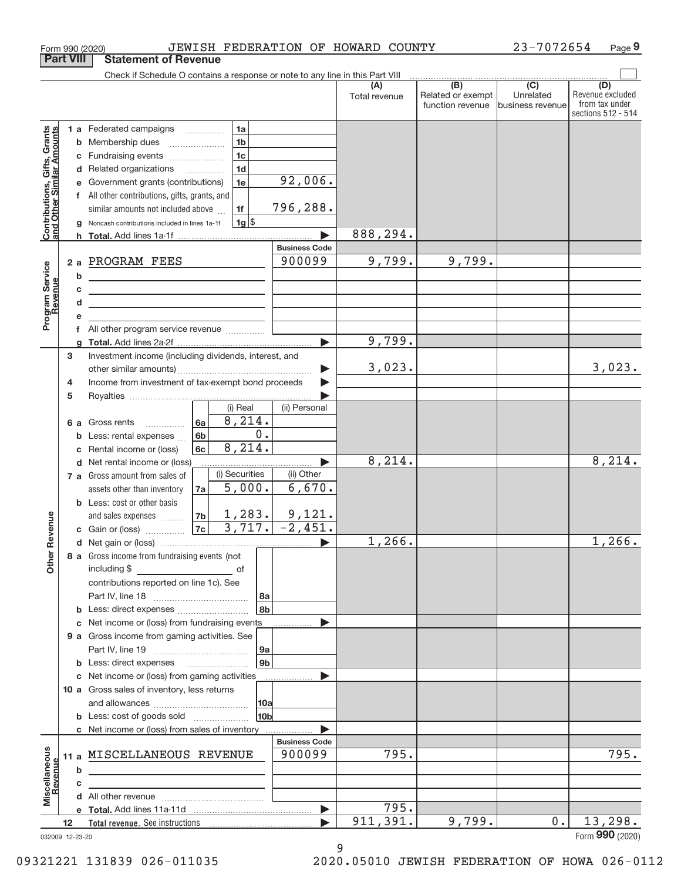|                                                                  | <b>Part VIII</b> | <b>Statement of Revenue</b>                                                                                                                                                                                                                                                                   |                                |               |                                              |                                      |                                                                 |
|------------------------------------------------------------------|------------------|-----------------------------------------------------------------------------------------------------------------------------------------------------------------------------------------------------------------------------------------------------------------------------------------------|--------------------------------|---------------|----------------------------------------------|--------------------------------------|-----------------------------------------------------------------|
|                                                                  |                  | Check if Schedule O contains a response or note to any line in this Part VIII                                                                                                                                                                                                                 |                                |               |                                              |                                      |                                                                 |
|                                                                  |                  |                                                                                                                                                                                                                                                                                               |                                | Total revenue | (B)<br>Related or exempt<br>function revenue | (C)<br>Unrelated<br>business revenue | (D)<br>Revenue excluded<br>from tax under<br>sections 512 - 514 |
| <b>Contributions, Gifts, Grants</b><br>and Other Similar Amounts | b<br>c<br>d      | 1a<br>1 a Federated campaigns<br>1 <sub>b</sub><br>Membership dues<br>1 <sub>c</sub><br>Fundraising events<br>1 <sub>d</sub><br>Related organizations<br>1e<br>Government grants (contributions)<br>f All other contributions, gifts, grants, and<br>similar amounts not included above<br>1f | 92,006.<br>796,288.            |               |                                              |                                      |                                                                 |
|                                                                  |                  | $1g$ \$<br>Noncash contributions included in lines 1a-1f<br>h Total. Add lines 1a-1f                                                                                                                                                                                                          |                                | 888,294.      |                                              |                                      |                                                                 |
|                                                                  |                  |                                                                                                                                                                                                                                                                                               | <b>Business Code</b>           |               |                                              |                                      |                                                                 |
| Program Service                                                  | b                | 2 a PROGRAM FEES                                                                                                                                                                                                                                                                              | 900099                         | 9,799.        | 9,799.                                       |                                      |                                                                 |
| Revenue                                                          | c<br>d           | <u> 1989 - Johann Barn, fransk politik amerikansk politik (</u><br><u> 1989 - Johann Barbara, martin amerikan basar dan berasal dalam basar dalam basar dalam basar dalam basar dala</u>                                                                                                      |                                |               |                                              |                                      |                                                                 |
|                                                                  |                  |                                                                                                                                                                                                                                                                                               |                                |               |                                              |                                      |                                                                 |
|                                                                  |                  | f All other program service revenue                                                                                                                                                                                                                                                           |                                |               |                                              |                                      |                                                                 |
|                                                                  |                  |                                                                                                                                                                                                                                                                                               |                                | 9,799.        |                                              |                                      |                                                                 |
|                                                                  | 3<br>4           | Investment income (including dividends, interest, and<br>Income from investment of tax-exempt bond proceeds                                                                                                                                                                                   | ▶                              | 3,023.        |                                              |                                      | 3,023.                                                          |
|                                                                  | 5                |                                                                                                                                                                                                                                                                                               |                                |               |                                              |                                      |                                                                 |
|                                                                  | 6а<br>b<br>c     | (i) Real<br>8,214.<br>6a<br>Gross rents<br>$\overline{\phantom{a}}$<br>0.<br>6b<br>Less: rental expenses<br>8,214.<br>6c<br>Rental income or (loss)                                                                                                                                           | (ii) Personal                  |               |                                              |                                      |                                                                 |
|                                                                  |                  | d Net rental income or (loss)                                                                                                                                                                                                                                                                 |                                | 8, 214.       |                                              |                                      | 8,214.                                                          |
|                                                                  |                  | (i) Securities<br>7 a Gross amount from sales of<br>5,000.<br>assets other than inventory<br>7a<br><b>b</b> Less: cost or other basis<br>1,283.<br>7b<br>and sales expenses                                                                                                                   | (ii) Other<br>6,670.<br>9,121. |               |                                              |                                      |                                                                 |
| Revenue                                                          |                  | 3,717.<br>7c<br>c Gain or (loss) $\ldots$                                                                                                                                                                                                                                                     | $-2,451.$                      |               |                                              |                                      |                                                                 |
| Other                                                            |                  | 8 a Gross income from fundraising events (not<br>including \$<br>contributions reported on line 1c). See<br>8a                                                                                                                                                                                |                                | 1,266.        |                                              |                                      | 1,266.                                                          |
|                                                                  |                  | 8b                                                                                                                                                                                                                                                                                            |                                |               |                                              |                                      |                                                                 |
|                                                                  |                  | c Net income or (loss) from fundraising events                                                                                                                                                                                                                                                |                                |               |                                              |                                      |                                                                 |
|                                                                  |                  | 9 a Gross income from gaming activities. See                                                                                                                                                                                                                                                  |                                |               |                                              |                                      |                                                                 |
|                                                                  |                  | 9a<br>9 <sub>b</sub><br><b>b</b> Less: direct expenses <b>manually</b>                                                                                                                                                                                                                        |                                |               |                                              |                                      |                                                                 |
|                                                                  |                  | c Net income or (loss) from gaming activities                                                                                                                                                                                                                                                 |                                |               |                                              |                                      |                                                                 |
|                                                                  |                  | 10 a Gross sales of inventory, less returns                                                                                                                                                                                                                                                   |                                |               |                                              |                                      |                                                                 |
|                                                                  |                  | 10a                                                                                                                                                                                                                                                                                           |                                |               |                                              |                                      |                                                                 |
|                                                                  |                  | 10bl<br><b>b</b> Less: cost of goods sold                                                                                                                                                                                                                                                     |                                |               |                                              |                                      |                                                                 |
|                                                                  |                  | c Net income or (loss) from sales of inventory                                                                                                                                                                                                                                                |                                |               |                                              |                                      |                                                                 |
| Miscellaneous                                                    | b                | 11 a MISCELLANEOUS REVENUE<br><u> 1989 - Johann Barn, mars ann an t-Amhain ann an t-A</u>                                                                                                                                                                                                     | <b>Business Code</b><br>900099 | 795.          |                                              |                                      | 795.                                                            |
| Revenue                                                          | c                |                                                                                                                                                                                                                                                                                               |                                |               |                                              |                                      |                                                                 |
|                                                                  |                  |                                                                                                                                                                                                                                                                                               |                                |               |                                              |                                      |                                                                 |
|                                                                  |                  |                                                                                                                                                                                                                                                                                               |                                | 795.          |                                              |                                      |                                                                 |
|                                                                  | 12               |                                                                                                                                                                                                                                                                                               |                                | 911, 391.     | 9,799.                                       | 0.                                   | 13,298.                                                         |
|                                                                  | 032009 12-23-20  |                                                                                                                                                                                                                                                                                               |                                |               |                                              |                                      | Form 990 (2020)                                                 |

Form 990 (2020) JEWISH FEDERATION OF HOWARD COUNTY 23-7072654 Page 9

<sup>9</sup> 09321221 131839 026‐011035 2020.05010 JEWISH FEDERATION OF HOWA 026‐0112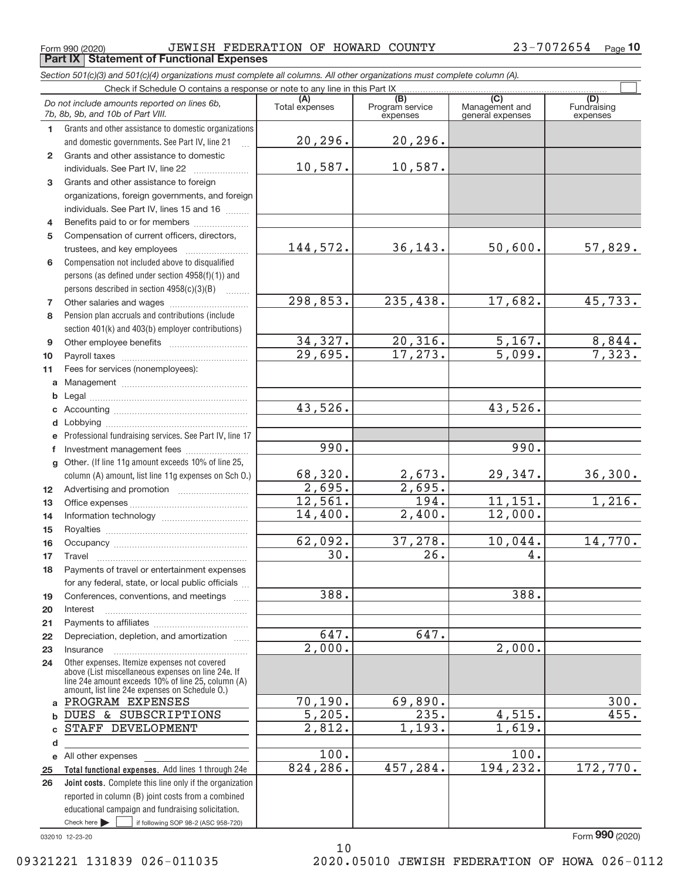┱

|              | JEWISH FEDERATION OF HOWARD COUNTY<br>Form 990 (2020)<br><b>Part IX   Statement of Functional Expenses</b>                                               |                |                             |                                    | 23-7072654<br>Page 10 |
|--------------|----------------------------------------------------------------------------------------------------------------------------------------------------------|----------------|-----------------------------|------------------------------------|-----------------------|
|              | Section 501(c)(3) and 501(c)(4) organizations must complete all columns. All other organizations must complete column (A).                               |                |                             |                                    |                       |
|              | Check if Schedule O contains a response or note to any line in this Part IX.                                                                             |                |                             |                                    |                       |
|              | Do not include amounts reported on lines 6b,                                                                                                             | (A)            | (B)                         | $\overline{C}$                     | (D)<br>Fundraising    |
|              | 7b, 8b, 9b, and 10b of Part VIII.                                                                                                                        | Total expenses | Program service<br>expenses | Management and<br>general expenses | expenses              |
| 1.           | Grants and other assistance to domestic organizations                                                                                                    |                |                             |                                    |                       |
|              | and domestic governments. See Part IV, line 21                                                                                                           | 20, 296.       | 20,296.                     |                                    |                       |
| $\mathbf{2}$ | Grants and other assistance to domestic                                                                                                                  |                |                             |                                    |                       |
|              | individuals. See Part IV, line 22                                                                                                                        | 10,587.        | 10,587.                     |                                    |                       |
| 3            | Grants and other assistance to foreign                                                                                                                   |                |                             |                                    |                       |
|              | organizations, foreign governments, and foreign                                                                                                          |                |                             |                                    |                       |
|              | individuals. See Part IV, lines 15 and 16                                                                                                                |                |                             |                                    |                       |
| 4            | Benefits paid to or for members                                                                                                                          |                |                             |                                    |                       |
| 5            | Compensation of current officers, directors,                                                                                                             |                |                             |                                    |                       |
|              |                                                                                                                                                          | 144,572.       | 36, 143.                    | 50,600.                            | 57,829.               |
| 6            | Compensation not included above to disqualified                                                                                                          |                |                             |                                    |                       |
|              | persons (as defined under section 4958(f)(1)) and                                                                                                        |                |                             |                                    |                       |
|              | persons described in section 4958(c)(3)(B)                                                                                                               |                |                             |                                    |                       |
| 7            |                                                                                                                                                          | 298,853.       | 235,438.                    | 17,682.                            | 45,733.               |
| 8            | Pension plan accruals and contributions (include                                                                                                         |                |                             |                                    |                       |
|              | section 401(k) and 403(b) employer contributions)                                                                                                        |                |                             |                                    |                       |
| 9            |                                                                                                                                                          | 34,327.        | 20,316.                     | 5,167.                             | 8,844.                |
| 10           |                                                                                                                                                          | 29,695.        | 17, 273.                    | $\overline{5,099}$ .               | 7,323.                |
| 11           | Fees for services (nonemployees):                                                                                                                        |                |                             |                                    |                       |
| a            |                                                                                                                                                          |                |                             |                                    |                       |
| b            |                                                                                                                                                          | 43,526.        |                             | 43,526.                            |                       |
| c            |                                                                                                                                                          |                |                             |                                    |                       |
| d            |                                                                                                                                                          |                |                             |                                    |                       |
| e            | Professional fundraising services. See Part IV, line 17                                                                                                  | 990.           |                             | 990.                               |                       |
| f            | Investment management fees<br>Other. (If line 11g amount exceeds 10% of line 25,                                                                         |                |                             |                                    |                       |
| g            | column (A) amount, list line 11g expenses on Sch O.)                                                                                                     | 68,320.        | 2,673.                      | 29,347.                            | 36,300.               |
| 12           |                                                                                                                                                          | 2,695.         | $\overline{2,695}$ .        |                                    |                       |
| 13           |                                                                                                                                                          | 12,561.        | 194.                        | 11,151.                            | 1,216.                |
| 14           |                                                                                                                                                          | 14,400.        | 2,400.                      | 12,000.                            |                       |
| 15           |                                                                                                                                                          |                |                             |                                    |                       |
| 16           |                                                                                                                                                          | 62,092.        | 37,278.                     | 10,044.                            | 14,770.               |
| 17           | Travel                                                                                                                                                   | 30.            | 26.                         | 4.                                 |                       |
| 18           | Payments of travel or entertainment expenses                                                                                                             |                |                             |                                    |                       |
|              | for any federal, state, or local public officials                                                                                                        |                |                             |                                    |                       |
| 19           | Conferences, conventions, and meetings                                                                                                                   | 388.           |                             | 388.                               |                       |
| 20           | Interest                                                                                                                                                 |                |                             |                                    |                       |
| 21           |                                                                                                                                                          |                |                             |                                    |                       |
| 22           | Depreciation, depletion, and amortization                                                                                                                | 647.           | 647.                        |                                    |                       |
| 23           | Insurance                                                                                                                                                | 2,000.         |                             | 2,000.                             |                       |
| 24           | Other expenses. Itemize expenses not covered<br>above (List miscellaneous expenses on line 24e. If<br>line 24e amount exceeds 10% of line 25, column (A) |                |                             |                                    |                       |
|              | amount, list line 24e expenses on Schedule O.)                                                                                                           |                |                             |                                    |                       |
|              | a PROGRAM EXPENSES                                                                                                                                       | 70, 190.       | 69,890.                     |                                    | 300.                  |
| $\mathbf b$  | DUES & SUBSCRIPTIONS                                                                                                                                     | 5,205.         | 235.                        | 4,515.                             | 455.                  |
| c            | STAFF DEVELOPMENT                                                                                                                                        | 2,812.         | 1,193.                      | 1,619.                             |                       |
| d            |                                                                                                                                                          | 100.           |                             | 100.                               |                       |
| е            | All other expenses                                                                                                                                       | 824,286.       | 457,284.                    | 194, 232.                          | 172,770.              |
| 25<br>26     | Total functional expenses. Add lines 1 through 24e<br>Joint costs. Complete this line only if the organization                                           |                |                             |                                    |                       |
|              | reported in column (B) joint costs from a combined                                                                                                       |                |                             |                                    |                       |
|              |                                                                                                                                                          |                |                             |                                    |                       |

10

032010 12‐23‐20

Form (2020) **990**

 $\blacktriangleright$   $\sqcup$ 

 $\frac{1}{2}$  if following SOP 98-2 (ASC 958-720)

educational campaign and fundraising solicitation.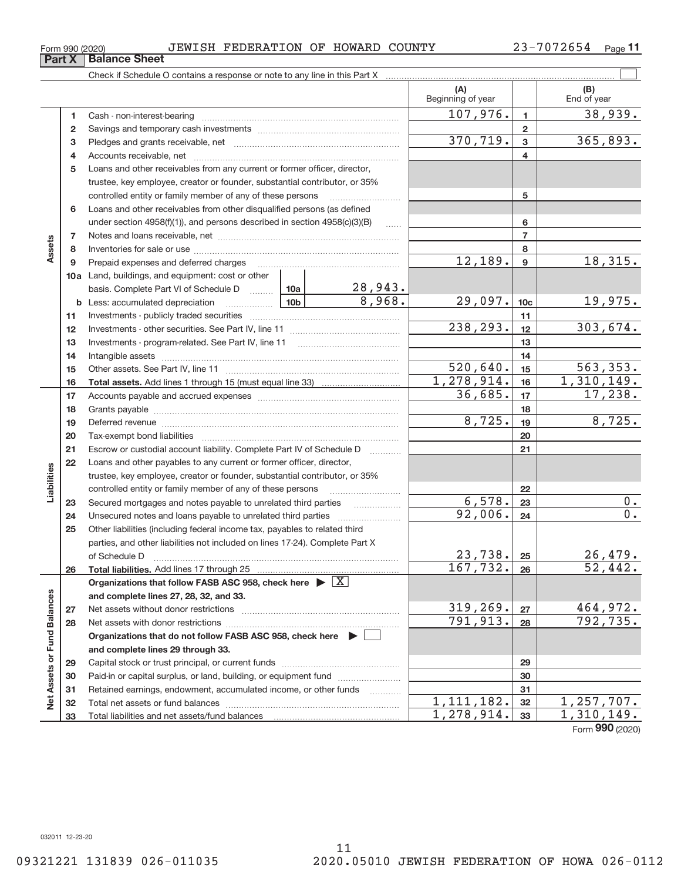| Form 990 (2020) |  | JEWISH FEDERATION OF HOWARD COUNTY |  |  |  | 33-7072654 | Page 1 |
|-----------------|--|------------------------------------|--|--|--|------------|--------|
|-----------------|--|------------------------------------|--|--|--|------------|--------|

|                             |          |                                                                                 |                     | (A)<br>Beginning of year |                  | (B)<br>End of year               |
|-----------------------------|----------|---------------------------------------------------------------------------------|---------------------|--------------------------|------------------|----------------------------------|
|                             | 1        |                                                                                 |                     | 107,976.                 | $\mathbf{1}$     | 38,939.                          |
|                             | 2        |                                                                                 |                     |                          | $\mathbf{2}$     |                                  |
|                             | з        |                                                                                 |                     | 370,719.                 | 3                | 365,893.                         |
|                             | 4        |                                                                                 |                     |                          | 4                |                                  |
|                             | 5        | Loans and other receivables from any current or former officer, director,       |                     |                          |                  |                                  |
|                             |          | trustee, key employee, creator or founder, substantial contributor, or 35%      |                     |                          |                  |                                  |
|                             |          | controlled entity or family member of any of these persons                      |                     |                          | 5                |                                  |
|                             | 6        | Loans and other receivables from other disqualified persons (as defined         |                     |                          |                  |                                  |
|                             |          | under section 4958(f)(1)), and persons described in section 4958(c)(3)(B)       | $\ldots$            |                          | 6                |                                  |
|                             | 7        |                                                                                 |                     |                          | $\overline{7}$   |                                  |
| Assets                      | 8        |                                                                                 |                     |                          | 8                |                                  |
|                             | 9        | Prepaid expenses and deferred charges                                           |                     | 12,189.                  | $\boldsymbol{9}$ | 18,315.                          |
|                             |          | 10a Land, buildings, and equipment: cost or other                               |                     |                          |                  |                                  |
|                             |          | 10a<br>basis. Complete Part VI of Schedule D                                    | 28,943.             |                          |                  |                                  |
|                             |          | 10 <sub>b</sub><br><b>b</b> Less: accumulated depreciation<br>.                 | 8,968.              | 29,097.                  | 10 <sub>c</sub>  | <u>19,975.</u>                   |
|                             | 11       |                                                                                 |                     |                          | 11               |                                  |
|                             | 12       |                                                                                 |                     | 238,293.                 | 12               | 303,674.                         |
|                             | 13       | Investments - program-related. See Part IV, line 11                             |                     |                          | 13               |                                  |
|                             | 14       |                                                                                 |                     |                          | 14               |                                  |
|                             | 15       |                                                                                 |                     | $\overline{520,640}$ .   | 15               | 563, 353.                        |
|                             | 16       |                                                                                 |                     | 1,278,914.               | 16               | 1,310,149.                       |
|                             | 17       |                                                                                 |                     | 36,685.                  | 17               | 17,238.                          |
|                             | 18       |                                                                                 |                     |                          | 18               |                                  |
|                             | 19       |                                                                                 |                     | 8,725.                   | 19               | 8,725.                           |
|                             | 20       |                                                                                 |                     |                          | 20               |                                  |
|                             | 21       | Escrow or custodial account liability. Complete Part IV of Schedule D           | .                   |                          | 21               |                                  |
|                             | 22       | Loans and other payables to any current or former officer, director,            |                     |                          |                  |                                  |
| Liabilities                 |          | trustee, key employee, creator or founder, substantial contributor, or 35%      |                     |                          |                  |                                  |
|                             |          | controlled entity or family member of any of these persons                      |                     |                          | 22               |                                  |
|                             | 23       | Secured mortgages and notes payable to unrelated third parties                  |                     | 6,578.                   | 23               | 0.<br>$\overline{0}$ .           |
|                             | 24       |                                                                                 |                     | 92,006.                  | 24               |                                  |
|                             | 25       | Other liabilities (including federal income tax, payables to related third      |                     |                          |                  |                                  |
|                             |          | parties, and other liabilities not included on lines 17-24). Complete Part X    |                     |                          |                  |                                  |
|                             |          | of Schedule D                                                                   |                     | 23,738.<br>167,732.      | 25               | 26,479.<br>$\overline{52,442}$ . |
|                             | 26       | Total liabilities. Add lines 17 through 25                                      |                     |                          | 26               |                                  |
|                             |          | Organizations that follow FASB ASC 958, check here $\triangleright \boxed{X}$   |                     |                          |                  |                                  |
|                             |          | and complete lines 27, 28, 32, and 33.                                          |                     | 319, 269.                |                  |                                  |
|                             | 27       | Net assets without donor restrictions                                           |                     | 791,913.                 | 27<br>28         | <u>464,972.</u><br>792,735.      |
|                             | 28       |                                                                                 |                     |                          |                  |                                  |
|                             |          | Organizations that do not follow FASB ASC 958, check here $\blacktriangleright$ |                     |                          |                  |                                  |
|                             |          | and complete lines 29 through 33.                                               |                     |                          |                  |                                  |
|                             | 29       | Paid-in or capital surplus, or land, building, or equipment fund                |                     |                          | 29<br>30         |                                  |
|                             | 30<br>31 | Retained earnings, endowment, accumulated income, or other funds                |                     |                          | 31               |                                  |
| Net Assets or Fund Balances | 32       |                                                                                 | 1.1.1.1.1.1.1.1.1.1 | 1, 111, 182.             | 32               | 1,257,707.                       |
|                             | 33       |                                                                                 |                     | 1,278,914.               | 33               | 1,310,149.                       |
|                             |          |                                                                                 |                     |                          |                  |                                  |

Form (2020) **990**

# **Part X Balance Sheet**<br>**Part X Balance**

| 20) |              | JEWISH |
|-----|--------------|--------|
|     | alance Sheet |        |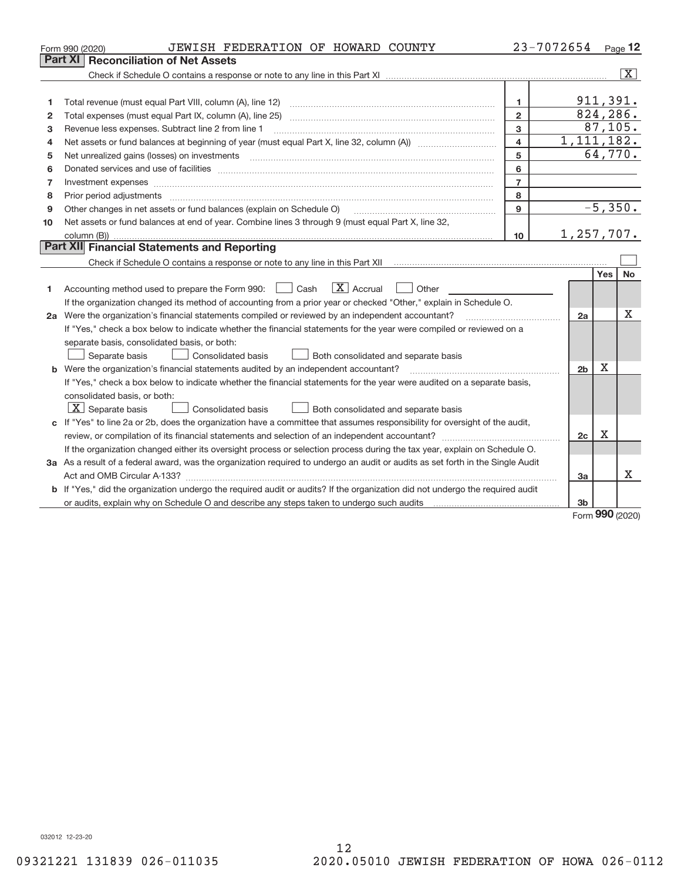|    | JEWISH FEDERATION OF HOWARD COUNTY<br>Form 990 (2020)                                                                           |                         | 23-7072654     |             | $Page$ 12             |
|----|---------------------------------------------------------------------------------------------------------------------------------|-------------------------|----------------|-------------|-----------------------|
|    | Part XI<br><b>Reconciliation of Net Assets</b>                                                                                  |                         |                |             |                       |
|    |                                                                                                                                 |                         |                |             | $\overline{\text{X}}$ |
|    |                                                                                                                                 |                         |                |             |                       |
| 1  |                                                                                                                                 | $\mathbf{1}$            | 911,391.       |             |                       |
| 2  | Total expenses (must equal Part IX, column (A), line 25)                                                                        | $\overline{2}$          | 824,286.       |             |                       |
| 3  | Revenue less expenses. Subtract line 2 from line 1                                                                              | 3                       |                | 87, 105.    |                       |
| 4  |                                                                                                                                 | $\overline{\mathbf{4}}$ | 1, 111, 182.   |             |                       |
| 5  |                                                                                                                                 | 5                       |                | 64,770.     |                       |
| 6  |                                                                                                                                 | 6                       |                |             |                       |
| 7  | Investment expenses www.communication.com/www.communication.com/www.communication.com/www.communication.com                     | $\overline{7}$          |                |             |                       |
| 8  |                                                                                                                                 | 8                       |                |             |                       |
| 9  | Other changes in net assets or fund balances (explain on Schedule O)                                                            | 9                       |                | $-5,350.$   |                       |
| 10 | Net assets or fund balances at end of year. Combine lines 3 through 9 (must equal Part X, line 32,                              |                         |                |             |                       |
|    |                                                                                                                                 | 10                      | 1,257,707.     |             |                       |
|    | Part XII Financial Statements and Reporting                                                                                     |                         |                |             |                       |
|    |                                                                                                                                 |                         |                |             |                       |
|    |                                                                                                                                 |                         |                | Yes         | No                    |
| 1. | $\boxed{\text{X}}$ Accrual<br>Accounting method used to prepare the Form 990: <u>[</u> Cash<br>Other                            |                         |                |             |                       |
|    | If the organization changed its method of accounting from a prior year or checked "Other," explain in Schedule O.               |                         |                |             |                       |
|    | 2a Were the organization's financial statements compiled or reviewed by an independent accountant?                              |                         | 2a             |             | $\mathbf X$           |
|    | If "Yes," check a box below to indicate whether the financial statements for the year were compiled or reviewed on a            |                         |                |             |                       |
|    | separate basis, consolidated basis, or both:                                                                                    |                         |                |             |                       |
|    | Both consolidated and separate basis<br>Separate basis<br><b>Consolidated basis</b>                                             |                         |                |             |                       |
|    | <b>b</b> Were the organization's financial statements audited by an independent accountant?                                     |                         | 2 <sub>b</sub> | $\mathbf X$ |                       |
|    | If "Yes," check a box below to indicate whether the financial statements for the year were audited on a separate basis,         |                         |                |             |                       |
|    | consolidated basis, or both:                                                                                                    |                         |                |             |                       |
|    | $X$ Separate basis<br>Consolidated basis<br>Both consolidated and separate basis                                                |                         |                |             |                       |
|    | c If "Yes" to line 2a or 2b, does the organization have a committee that assumes responsibility for oversight of the audit,     |                         |                |             |                       |
|    |                                                                                                                                 |                         | 2c             | $\mathbf X$ |                       |
|    | If the organization changed either its oversight process or selection process during the tax year, explain on Schedule O.       |                         |                |             |                       |
|    | 3a As a result of a federal award, was the organization required to undergo an audit or audits as set forth in the Single Audit |                         |                |             |                       |
|    |                                                                                                                                 |                         | 3a             |             | X                     |
|    | b If "Yes," did the organization undergo the required audit or audits? If the organization did not undergo the required audit   |                         |                |             |                       |
|    |                                                                                                                                 |                         | 3b             | $\sim$      |                       |

Form (2020) **990**

032012 12‐23‐20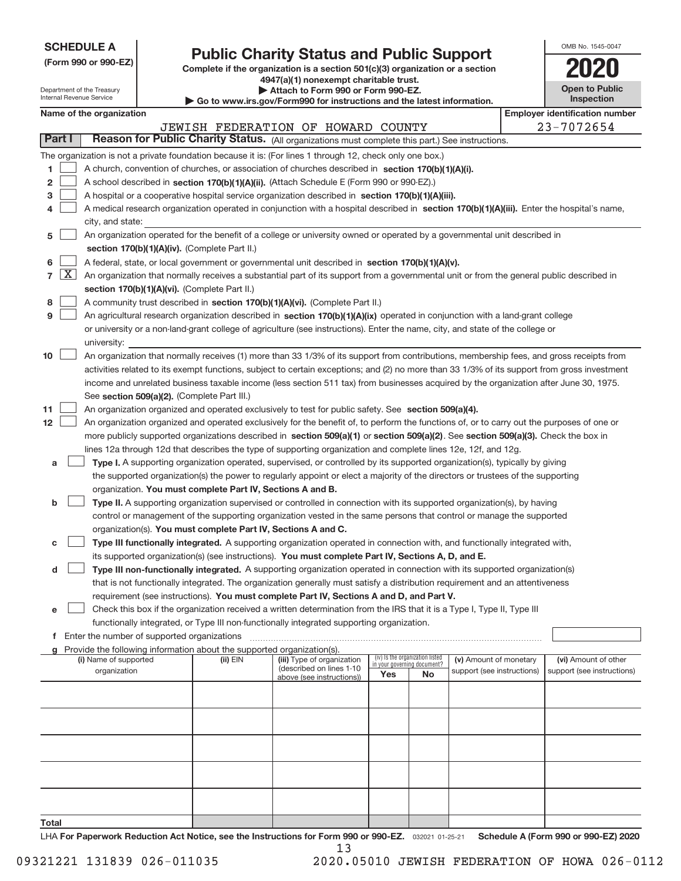| <b>SCHEDULE A</b> |  |  |  |  |  |
|-------------------|--|--|--|--|--|
|-------------------|--|--|--|--|--|

Department of the Treasury Internal Revenue Service

**9**

# **Public Charity Status and Public Support**

**(Form 990 or 990‐EZ) Complete if the organization is a section 501(c)(3) organization or a section 4947(a)(1) nonexempt charitable trust. | Attach to Form 990 or Form 990‐EZ.** 

|  |  |  |  |  |  |  | Go to www.irs.gov/Form990 for instructions and the latest information. |
|--|--|--|--|--|--|--|------------------------------------------------------------------------|
|--|--|--|--|--|--|--|------------------------------------------------------------------------|

| OMB No. 1545-0047                   |
|-------------------------------------|
|                                     |
| <b>Open to Public</b><br>Inspection |

|                                                                                                          | Name of the organization                                                                         | <b>Employer identification number</b> |  |  |  |  |  |  |
|----------------------------------------------------------------------------------------------------------|--------------------------------------------------------------------------------------------------|---------------------------------------|--|--|--|--|--|--|
|                                                                                                          | JEWISH FEDERATION OF HOWARD COUNTY                                                               | 23-7072654                            |  |  |  |  |  |  |
| Part I                                                                                                   | Reason for Public Charity Status. (All organizations must complete this part.) See instructions. |                                       |  |  |  |  |  |  |
| The organization is not a private foundation because it is: (For lines 1 through 12, check only one hox) |                                                                                                  |                                       |  |  |  |  |  |  |

| he organization is not a private foundation because it is: (For lines 1 through 12, check only one box.) |                                                                                                      |  |  |  |  |  |
|----------------------------------------------------------------------------------------------------------|------------------------------------------------------------------------------------------------------|--|--|--|--|--|
|                                                                                                          | 1 A church, convention of churches, or association of churches described in section 170(b)(1)(A)(i). |  |  |  |  |  |
|                                                                                                          | $\sim$ $\sim$ $\sim$ 000 $\sim$ 000 $\sim$ 7)                                                        |  |  |  |  |  |

|  | 2   A school described in section 170(b)(1)(A)(ii). (Attach Schedule E (Form 990 or 990-EZ).) |
|--|-----------------------------------------------------------------------------------------------|
|  | 3 A hospital or a cooperative hospital service organization described in section 170(b)(1)(A  |

- A hospital or a cooperative hospital service organization described in section 170(b)(1)(A)(iii).
- **4** A medical research organization operated in conjunction with a hospital described in section 170(b)(1)(A)(iii). Enter the hospital's name, city, and state:  $\begin{array}{c} \hline \end{array}$

|  | $\overline{5}$ An organization operated for the benefit of a college or university owned or operated by a governmental unit described in |
|--|------------------------------------------------------------------------------------------------------------------------------------------|
|  | section 170(b)(1)(A)(iv). (Complete Part II.)                                                                                            |

- **6** A federal, state, or local government or governmental unit described in section 170(b)(1)(A)(v).  $\begin{array}{c} \hline \end{array}$
- **7 section 170(b)(1)(A)(vi).** (Complete Part II.) An organization that normally receives a substantial part of its support from a governmental unit or from the general public described in X
- **8** A community trust described in **section 170(b)(1)(A)(vi).** (Complete Part II.)  $\begin{array}{c} \hline \end{array}$

|  | An agricultural research organization described in section $170(b)(1)(A)(ix)$ operated in conjunction with a land-grant college |
|--|---------------------------------------------------------------------------------------------------------------------------------|
|  | or university or a non-land-grant college of agriculture (see instructions). Enter the name, city, and state of the college or  |
|  | university:                                                                                                                     |

| $10$ $\vert$ | An organization that normally receives (1) more than 33 1/3% of its support from contributions, membership fees, and gross receipts from     |
|--------------|----------------------------------------------------------------------------------------------------------------------------------------------|
|              | activities related to its exempt functions, subject to certain exceptions; and (2) no more than 33 1/3% of its support from gross investment |
|              | income and unrelated business taxable income (less section 511 tax) from businesses acquired by the organization after June 30, 1975.        |
|              | See section 509(a)(2). (Complete Part III.)                                                                                                  |

- **11** An organization organized and operated exclusively to test for public safety. See section 509(a)(4).  $\begin{array}{c} \hline \end{array}$
- **12** more publicly supported organizations described in **section 509(a)(1)** or section 509(a)(2). See section 509(a)(3). Check the box in An organization organized and operated exclusively for the benefit of, to perform the functions of, or to carry out the purposes of one or lines 12a through 12d that describes the type of supporting organization and complete lines 12e, 12f, and 12g.  $\begin{array}{c} \hline \end{array}$ 
	- **a Type I.** A supporting organization operated, supervised, or controlled by its supported organization(s), typically by giving organization. You must complete Part IV, Sections A and B. the supported organization(s) the power to regularly appoint or elect a majority of the directors or trustees of the supporting
	- **b Type II.** A supporting organization supervised or controlled in connection with its supported organization(s), by having organization(s). You must complete Part IV, Sections A and C. control or management of the supporting organization vested in the same persons that control or manage the supported  $\overline{\phantom{a}}$
	- **c** Type III functionally integrated. A supporting organization operated in connection with, and functionally integrated with, its supported organization(s) (see instructions). You must complete Part IV, Sections A, D, and E.  $\overline{\phantom{a}}$

**d Type III non-functionally integrated.** A supporting organization operated in connection with its supported organization(s) requirement (see instructions). You must complete Part IV, Sections A and D, and Part V. that is not functionally integrated. The organization generally must satisfy a distribution requirement and an attentiveness  $\overline{\phantom{a}}$ 

**e** Check this box if the organization received a written determination from the IRS that it is a Type I, Type II, Type III functionally integrated, or Type III non-functionally integrated supporting organization.  $\overline{\phantom{a}}$ 

**f** Enter the number of supported organizations ~~~~~~~~~~~~~~~~~~~~~~~~~~~~~~~~~~~~~

| Provide the following information about the supported organization(s).<br>q |            |                                                       |                                                                |     |                            |                            |  |  |
|-----------------------------------------------------------------------------|------------|-------------------------------------------------------|----------------------------------------------------------------|-----|----------------------------|----------------------------|--|--|
| (i) Name of supported                                                       | (ii) $EIN$ | (iii) Type of organization                            | (iv) Is the organization listed<br>in your governing document? |     | (v) Amount of monetary     | (vi) Amount of other       |  |  |
| organization                                                                |            | (described on lines 1-10<br>above (see instructions)) | Yes                                                            | No. | support (see instructions) | support (see instructions) |  |  |
|                                                                             |            |                                                       |                                                                |     |                            |                            |  |  |
|                                                                             |            |                                                       |                                                                |     |                            |                            |  |  |
|                                                                             |            |                                                       |                                                                |     |                            |                            |  |  |
|                                                                             |            |                                                       |                                                                |     |                            |                            |  |  |
|                                                                             |            |                                                       |                                                                |     |                            |                            |  |  |
|                                                                             |            |                                                       |                                                                |     |                            |                            |  |  |
|                                                                             |            |                                                       |                                                                |     |                            |                            |  |  |
|                                                                             |            |                                                       |                                                                |     |                            |                            |  |  |
|                                                                             |            |                                                       |                                                                |     |                            |                            |  |  |
|                                                                             |            |                                                       |                                                                |     |                            |                            |  |  |
| Total                                                                       |            |                                                       |                                                                |     |                            |                            |  |  |

032021 01‐25‐21 **For Paperwork Reduction Act Notice, see the Instructions for Form 990 or 990‐EZ. Schedule A (Form 990 or 990‐EZ) 2020** LHA 13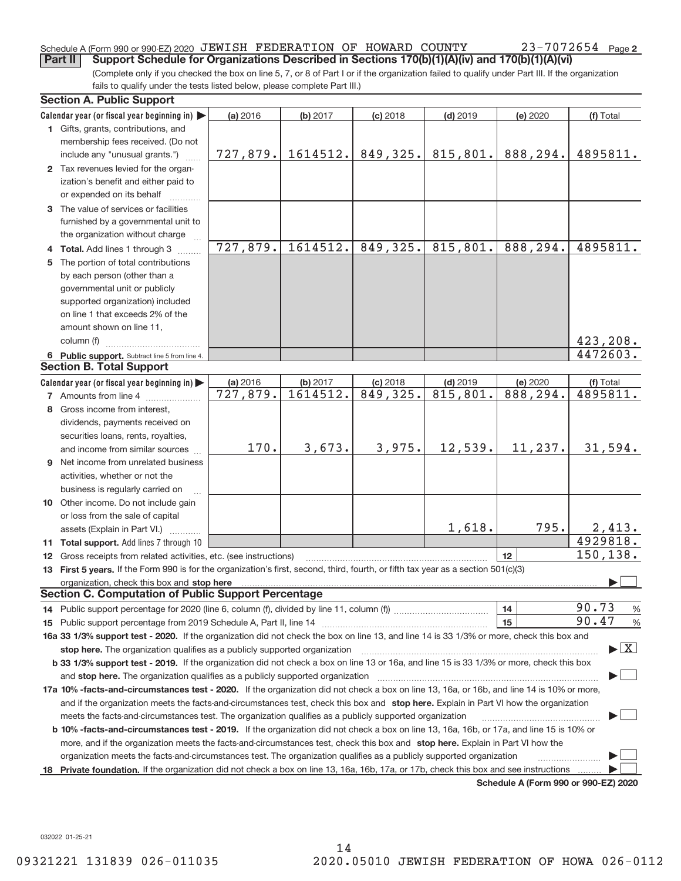#### Schedule A (Form 990 or 990‐EZ) 2020 JEWISH FEDERATION OF HOWARD COUNTY  $23$ – $7072654$  Page **Part II** Support Schedule for Organizations Described in Sections 170(b)(1)(A)(iv) and 170(b)(1)(A)(vi)

(Complete only if you checked the box on line 5, 7, or 8 of Part I or if the organization failed to qualify under Part III. If the organization fails to qualify under the tests listed below, please complete Part III.)

|   | <b>Section A. Public Support</b>                                                                                                                                                                                               |          |          |            |            |                                      |                                          |
|---|--------------------------------------------------------------------------------------------------------------------------------------------------------------------------------------------------------------------------------|----------|----------|------------|------------|--------------------------------------|------------------------------------------|
|   | Calendar year (or fiscal year beginning in)                                                                                                                                                                                    | (a) 2016 | (b) 2017 | $(c)$ 2018 | $(d)$ 2019 | (e) 2020                             | (f) Total                                |
|   | 1 Gifts, grants, contributions, and                                                                                                                                                                                            |          |          |            |            |                                      |                                          |
|   | membership fees received. (Do not                                                                                                                                                                                              |          |          |            |            |                                      |                                          |
|   | include any "unusual grants.")                                                                                                                                                                                                 | 727,879. | 1614512. | 849,325.   | 815, 801.  | 888,294.                             | 4895811.                                 |
|   | 2 Tax revenues levied for the organ-                                                                                                                                                                                           |          |          |            |            |                                      |                                          |
|   | ization's benefit and either paid to                                                                                                                                                                                           |          |          |            |            |                                      |                                          |
|   | or expended on its behalf                                                                                                                                                                                                      |          |          |            |            |                                      |                                          |
|   | 3 The value of services or facilities                                                                                                                                                                                          |          |          |            |            |                                      |                                          |
|   | furnished by a governmental unit to                                                                                                                                                                                            |          |          |            |            |                                      |                                          |
|   | the organization without charge                                                                                                                                                                                                |          |          |            |            |                                      |                                          |
|   | 4 Total. Add lines 1 through 3                                                                                                                                                                                                 | 727,879. | 1614512. | 849,325.   | 815,801.   | 888,294.                             | 4895811.                                 |
| 5 | The portion of total contributions                                                                                                                                                                                             |          |          |            |            |                                      |                                          |
|   | by each person (other than a                                                                                                                                                                                                   |          |          |            |            |                                      |                                          |
|   | governmental unit or publicly                                                                                                                                                                                                  |          |          |            |            |                                      |                                          |
|   | supported organization) included                                                                                                                                                                                               |          |          |            |            |                                      |                                          |
|   | on line 1 that exceeds 2% of the                                                                                                                                                                                               |          |          |            |            |                                      |                                          |
|   | amount shown on line 11,                                                                                                                                                                                                       |          |          |            |            |                                      |                                          |
|   | column (f)                                                                                                                                                                                                                     |          |          |            |            |                                      | 423, 208.                                |
|   | 6 Public support. Subtract line 5 from line 4.                                                                                                                                                                                 |          |          |            |            |                                      | 4472603.                                 |
|   | <b>Section B. Total Support</b>                                                                                                                                                                                                |          |          |            |            |                                      |                                          |
|   | Calendar year (or fiscal year beginning in)                                                                                                                                                                                    | (a) 2016 | (b) 2017 | $(c)$ 2018 | $(d)$ 2019 | (e) 2020                             | (f) Total                                |
|   | <b>7</b> Amounts from line 4                                                                                                                                                                                                   | 727,879. | 1614512. | 849,325.   | 815, 801.  | 888,294.                             | 4895811.                                 |
| 8 | Gross income from interest,                                                                                                                                                                                                    |          |          |            |            |                                      |                                          |
|   | dividends, payments received on                                                                                                                                                                                                |          |          |            |            |                                      |                                          |
|   | securities loans, rents, royalties,                                                                                                                                                                                            |          |          |            |            |                                      |                                          |
|   | and income from similar sources                                                                                                                                                                                                | 170.     | 3,673.   | 3,975.     | 12,539.    | 11, 237.                             | 31,594.                                  |
|   | <b>9</b> Net income from unrelated business                                                                                                                                                                                    |          |          |            |            |                                      |                                          |
|   | activities, whether or not the                                                                                                                                                                                                 |          |          |            |            |                                      |                                          |
|   | business is regularly carried on                                                                                                                                                                                               |          |          |            |            |                                      |                                          |
|   | 10 Other income. Do not include gain                                                                                                                                                                                           |          |          |            |            |                                      |                                          |
|   | or loss from the sale of capital                                                                                                                                                                                               |          |          |            |            |                                      |                                          |
|   | assets (Explain in Part VI.)                                                                                                                                                                                                   |          |          |            | 1,618.     | 795.                                 | 2,413.                                   |
|   | 11 Total support. Add lines 7 through 10                                                                                                                                                                                       |          |          |            |            |                                      | 4929818.                                 |
|   | 12 Gross receipts from related activities, etc. (see instructions)                                                                                                                                                             |          |          |            |            | 12                                   | 150, 138.                                |
|   | 13 First 5 years. If the Form 990 is for the organization's first, second, third, fourth, or fifth tax year as a section 501(c)(3)                                                                                             |          |          |            |            |                                      |                                          |
|   | organization, check this box and stop here manufactured and stop here and stop here are manufactured and stop here and stop here and stop here and stop here and stop here and stop here are all the stop and stop here are al |          |          |            |            |                                      |                                          |
|   | <b>Section C. Computation of Public Support Percentage</b>                                                                                                                                                                     |          |          |            |            |                                      |                                          |
|   |                                                                                                                                                                                                                                |          |          |            |            | 14                                   | 90.73<br>$\frac{0}{6}$                   |
|   |                                                                                                                                                                                                                                |          |          |            |            | 15                                   | 90.47<br>$\frac{9}{6}$                   |
|   | 16a 33 1/3% support test - 2020. If the organization did not check the box on line 13, and line 14 is 33 1/3% or more, check this box and                                                                                      |          |          |            |            |                                      |                                          |
|   | stop here. The organization qualifies as a publicly supported organization                                                                                                                                                     |          |          |            |            |                                      | $\blacktriangleright$ $\boxed{\text{X}}$ |
|   | b 33 1/3% support test - 2019. If the organization did not check a box on line 13 or 16a, and line 15 is 33 1/3% or more, check this box                                                                                       |          |          |            |            |                                      |                                          |
|   | and stop here. The organization qualifies as a publicly supported organization                                                                                                                                                 |          |          |            |            |                                      |                                          |
|   | 17a 10% -facts-and-circumstances test - 2020. If the organization did not check a box on line 13, 16a, or 16b, and line 14 is 10% or more,                                                                                     |          |          |            |            |                                      |                                          |
|   | and if the organization meets the facts-and-circumstances test, check this box and stop here. Explain in Part VI how the organization                                                                                          |          |          |            |            |                                      |                                          |
|   | meets the facts-and-circumstances test. The organization qualifies as a publicly supported organization                                                                                                                        |          |          |            |            |                                      |                                          |
|   | <b>b 10% -facts-and-circumstances test - 2019.</b> If the organization did not check a box on line 13, 16a, 16b, or 17a, and line 15 is 10% or                                                                                 |          |          |            |            |                                      |                                          |
|   | more, and if the organization meets the facts-and-circumstances test, check this box and stop here. Explain in Part VI how the                                                                                                 |          |          |            |            |                                      |                                          |
|   | organization meets the facts-and-circumstances test. The organization qualifies as a publicly supported organization                                                                                                           |          |          |            |            |                                      |                                          |
|   | Private foundation. If the organization did not check a box on line 13, 16a, 16b, 17a, or 17b, check this box and see instructions                                                                                             |          |          |            |            |                                      |                                          |
|   |                                                                                                                                                                                                                                |          |          |            |            | Schedule A (Form 990 or 990-F7) 2020 |                                          |

**Schedule A (Form 990 or 990‐EZ) 2020**

032022 01‐25‐21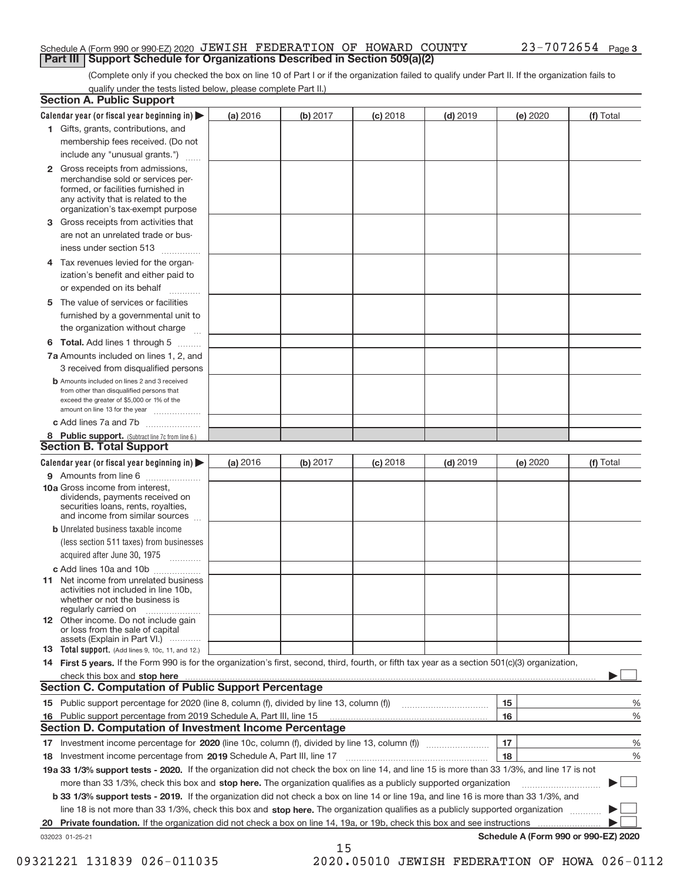#### Schedule A (Form 990 or 990‐EZ) 2020 JEWISH FEDERATION OF HOWARD COUNTY  $23$ – $7072654$  Page **Part III | Support Schedule for Organizations Described in Section 509(a)(2)**

(Complete only if you checked the box on line 10 of Part I or if the organization failed to qualify under Part II. If the organization fails to qualify under the tests listed below, please complete Part II.)

|    | <b>Section A. Public Support</b>                                                                                                                                                                |          |          |            |            |            |                                      |
|----|-------------------------------------------------------------------------------------------------------------------------------------------------------------------------------------------------|----------|----------|------------|------------|------------|--------------------------------------|
|    | Calendar year (or fiscal year beginning in) $\blacktriangleright$                                                                                                                               | (a) 2016 | (b) 2017 | $(c)$ 2018 | $(d)$ 2019 | (e) 2020   | (f) Total                            |
|    | 1 Gifts, grants, contributions, and                                                                                                                                                             |          |          |            |            |            |                                      |
|    | membership fees received. (Do not                                                                                                                                                               |          |          |            |            |            |                                      |
|    | include any "unusual grants.")                                                                                                                                                                  |          |          |            |            |            |                                      |
|    | <b>2</b> Gross receipts from admissions,<br>merchandise sold or services per-<br>formed, or facilities furnished in<br>any activity that is related to the<br>organization's tax-exempt purpose |          |          |            |            |            |                                      |
|    | 3 Gross receipts from activities that<br>are not an unrelated trade or bus-                                                                                                                     |          |          |            |            |            |                                      |
|    | iness under section 513                                                                                                                                                                         |          |          |            |            |            |                                      |
| 4  | Tax revenues levied for the organ-<br>ization's benefit and either paid to                                                                                                                      |          |          |            |            |            |                                      |
|    | or expended on its behalf<br>.                                                                                                                                                                  |          |          |            |            |            |                                      |
|    | 5 The value of services or facilities                                                                                                                                                           |          |          |            |            |            |                                      |
|    | furnished by a governmental unit to                                                                                                                                                             |          |          |            |            |            |                                      |
|    | the organization without charge                                                                                                                                                                 |          |          |            |            |            |                                      |
|    | <b>6 Total.</b> Add lines 1 through 5                                                                                                                                                           |          |          |            |            |            |                                      |
|    | 7a Amounts included on lines 1, 2, and<br>3 received from disqualified persons                                                                                                                  |          |          |            |            |            |                                      |
|    | <b>b</b> Amounts included on lines 2 and 3 received<br>from other than disqualified persons that<br>exceed the greater of \$5,000 or 1% of the<br>amount on line 13 for the year                |          |          |            |            |            |                                      |
|    | c Add lines 7a and 7b                                                                                                                                                                           |          |          |            |            |            |                                      |
|    | 8 Public support. (Subtract line 7c from line 6.)<br><b>Section B. Total Support</b>                                                                                                            |          |          |            |            |            |                                      |
|    | Calendar year (or fiscal year beginning in)                                                                                                                                                     | (a) 2016 | (b) 2017 | $(c)$ 2018 | $(d)$ 2019 | (e) $2020$ | (f) Total                            |
|    | 9 Amounts from line 6                                                                                                                                                                           |          |          |            |            |            |                                      |
|    | <b>10a Gross income from interest.</b><br>dividends, payments received on<br>securities loans, rents, royalties,<br>and income from similar sources                                             |          |          |            |            |            |                                      |
|    | <b>b</b> Unrelated business taxable income<br>(less section 511 taxes) from businesses<br>acquired after June 30, 1975                                                                          |          |          |            |            |            |                                      |
|    | c Add lines 10a and 10b                                                                                                                                                                         |          |          |            |            |            |                                      |
|    | <b>11</b> Net income from unrelated business<br>activities not included in line 10b.<br>whether or not the business is<br>regularly carried on                                                  |          |          |            |            |            |                                      |
|    | <b>12</b> Other income. Do not include gain<br>or loss from the sale of capital<br>assets (Explain in Part VI.)                                                                                 |          |          |            |            |            |                                      |
|    | <b>13</b> Total support. (Add lines 9, 10c, 11, and 12.)                                                                                                                                        |          |          |            |            |            |                                      |
|    | 14 First 5 years. If the Form 990 is for the organization's first, second, third, fourth, or fifth tax year as a section 501(c)(3) organization,                                                |          |          |            |            |            |                                      |
|    |                                                                                                                                                                                                 |          |          |            |            |            |                                      |
|    | <b>Section C. Computation of Public Support Percentage</b>                                                                                                                                      |          |          |            |            |            |                                      |
|    |                                                                                                                                                                                                 |          |          |            |            | 15         | %                                    |
|    | 16 Public support percentage from 2019 Schedule A, Part III, line 15                                                                                                                            |          |          |            |            | 16         | %                                    |
|    | <b>Section D. Computation of Investment Income Percentage</b>                                                                                                                                   |          |          |            |            |            |                                      |
|    |                                                                                                                                                                                                 |          |          |            |            | 17         | %                                    |
|    | 18 Investment income percentage from 2019 Schedule A, Part III, line 17                                                                                                                         |          |          |            |            | 18         | %                                    |
|    | 19a 33 1/3% support tests - 2020. If the organization did not check the box on line 14, and line 15 is more than 33 1/3%, and line 17 is not                                                    |          |          |            |            |            |                                      |
|    | more than 33 1/3%, check this box and stop here. The organization qualifies as a publicly supported organization                                                                                |          |          |            |            |            |                                      |
|    | b 33 1/3% support tests - 2019. If the organization did not check a box on line 14 or line 19a, and line 16 is more than 33 1/3%, and                                                           |          |          |            |            |            |                                      |
|    | line 18 is not more than 33 1/3%, check this box and stop here. The organization qualifies as a publicly supported organization                                                                 |          |          |            |            |            |                                      |
| 20 | Private foundation. If the organization did not check a box on line 14, 19a, or 19b, check this box and see instructions                                                                        |          |          |            |            |            |                                      |
|    | 032023 01-25-21                                                                                                                                                                                 |          | 15       |            |            |            | Schedule A (Form 990 or 990-EZ) 2020 |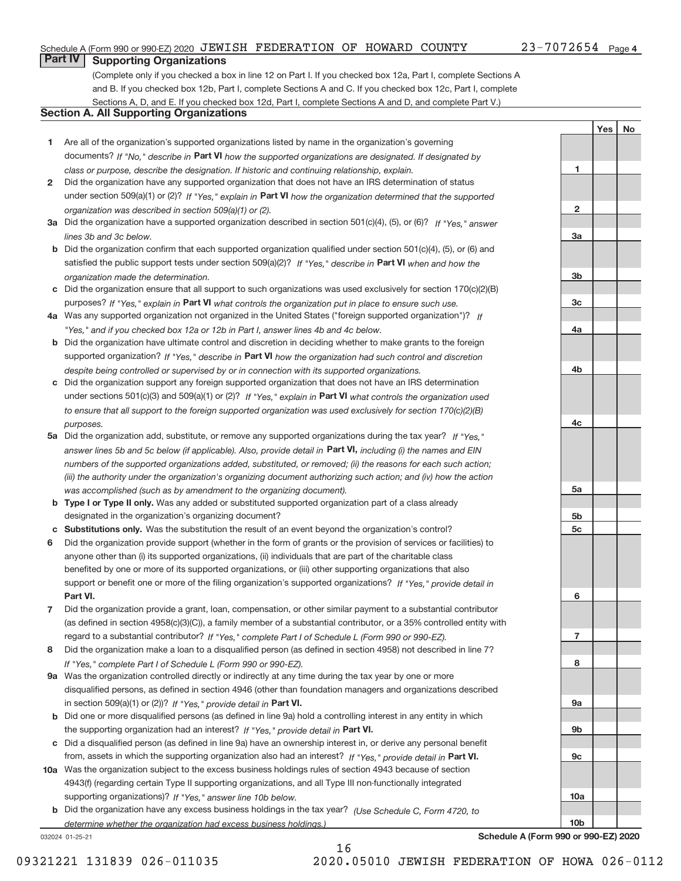#### Schedule A (Form 990 or 990‐EZ) 2020 JEWISH FEDERATION OF HOWARD COUNTY  $23$ – $7072654$  Page

**1**

**2**

**3a**

**3b**

**3c**

**4a**

**4b**

**4c**

**5a**

**5b 5c**

**6**

**7**

**8**

**9a**

**9b**

**9c**

**10a**

**10b**

Yes | No

# **Part IV Supporting Organizations**

(Complete only if you checked a box in line 12 on Part I. If you checked box 12a, Part I, complete Sections A and B. If you checked box 12b, Part I, complete Sections A and C. If you checked box 12c, Part I, complete Sections A, D, and E. If you checked box 12d, Part I, complete Sections A and D, and complete Part V.)

### **Section A. All Supporting Organizations**

- **1** Are all of the organization's supported organizations listed by name in the organization's governing documents? If "No," describe in Part VI how the supported organizations are designated. If designated by *class or purpose, describe the designation. If historic and continuing relationship, explain.*
- **2** Did the organization have any supported organization that does not have an IRS determination of status under section 509(a)(1) or (2)? If "Yes," explain in Part VI how the organization determined that the supported *organization was described in section 509(a)(1) or (2).*
- **3a** Did the organization have a supported organization described in section 501(c)(4), (5), or (6)? If "Yes," answer *lines 3b and 3c below.*
- **b** Did the organization confirm that each supported organization qualified under section 501(c)(4), (5), or (6) and satisfied the public support tests under section 509(a)(2)? If "Yes," describe in Part VI when and how the *organization made the determination.*
- **c** Did the organization ensure that all support to such organizations was used exclusively for section 170(c)(2)(B) purposes? If "Yes," explain in Part VI what controls the organization put in place to ensure such use.
- **4 a** *If* Was any supported organization not organized in the United States ("foreign supported organization")? *"Yes," and if you checked box 12a or 12b in Part I, answer lines 4b and 4c below.*
- **b** Did the organization have ultimate control and discretion in deciding whether to make grants to the foreign supported organization? If "Yes," describe in Part VI how the organization had such control and discretion *despite being controlled or supervised by or in connection with its supported organizations.*
- **c** Did the organization support any foreign supported organization that does not have an IRS determination under sections 501(c)(3) and 509(a)(1) or (2)? If "Yes," explain in Part VI what controls the organization used *to ensure that all support to the foreign supported organization was used exclusively for section 170(c)(2)(B) purposes.*
- **5a** Did the organization add, substitute, or remove any supported organizations during the tax year? If "Yes," answer lines 5b and 5c below (if applicable). Also, provide detail in Part VI, including (i) the names and EIN *numbers of the supported organizations added, substituted, or removed; (ii) the reasons for each such action; (iii) the authority under the organization's organizing document authorizing such action; and (iv) how the action was accomplished (such as by amendment to the organizing document).*
- **b** Type I or Type II only. Was any added or substituted supported organization part of a class already designated in the organization's organizing document?
- **c Substitutions only.**  Was the substitution the result of an event beyond the organization's control?
- **6** Did the organization provide support (whether in the form of grants or the provision of services or facilities) to **Part VI.** *If "Yes," provide detail in* support or benefit one or more of the filing organization's supported organizations? anyone other than (i) its supported organizations, (ii) individuals that are part of the charitable class benefited by one or more of its supported organizations, or (iii) other supporting organizations that also
- **7** Did the organization provide a grant, loan, compensation, or other similar payment to a substantial contributor regard to a substantial contributor? If "Yes," complete Part I of Schedule L (Form 990 or 990-EZ). (as defined in section 4958(c)(3)(C)), a family member of a substantial contributor, or a 35% controlled entity with
- **8** Did the organization make a loan to a disqualified person (as defined in section 4958) not described in line 7? *If "Yes," complete Part I of Schedule L (Form 990 or 990-EZ).*
- **9 a** Was the organization controlled directly or indirectly at any time during the tax year by one or more in section 509(a)(1) or (2))? If "Yes," provide detail in Part VI. disqualified persons, as defined in section 4946 (other than foundation managers and organizations described
- **b** the supporting organization had an interest? If "Yes," provide detail in Part VI. Did one or more disqualified persons (as defined in line 9a) hold a controlling interest in any entity in which
- **c** Did a disqualified person (as defined in line 9a) have an ownership interest in, or derive any personal benefit from, assets in which the supporting organization also had an interest? If "Yes," provide detail in Part VI.
- **10 a** Was the organization subject to the excess business holdings rules of section 4943 because of section supporting organizations)? If "Yes," answer line 10b below. 4943(f) (regarding certain Type II supporting organizations, and all Type III non-functionally integrated
- **b** Did the organization have any excess business holdings in the tax year? (Use Schedule C, Form 4720, to *determine whether the organization had excess business holdings.)*

16

032024 01‐25‐21

**Schedule A (Form 990 or 990‐EZ) 2020**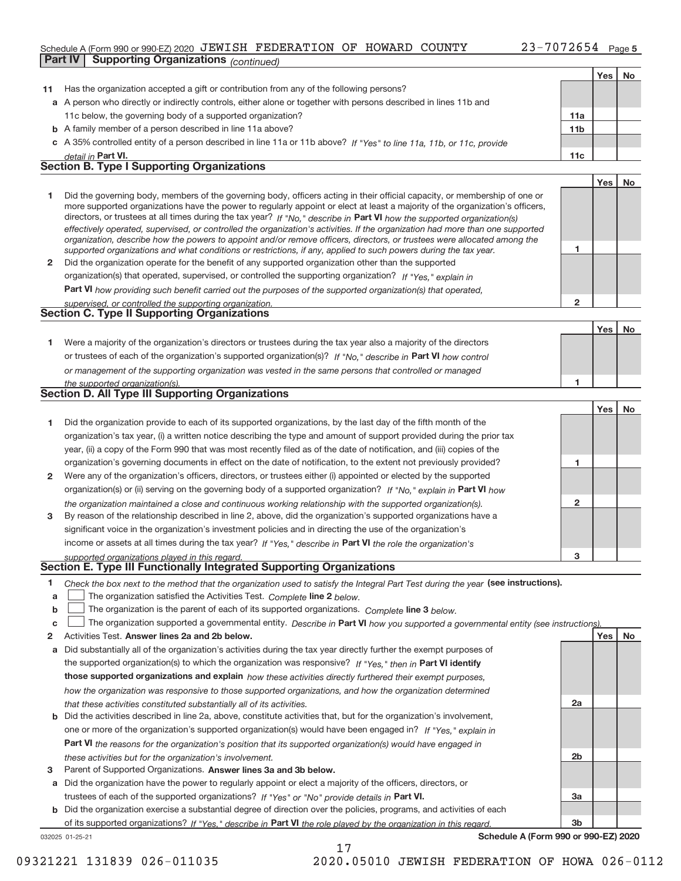#### Schedule A (Form 990 or 990‐EZ) 2020 JEWISH FEDERATION OF HOWARD COUNTY  $23$ – $7072654$  Page **Part IV Supporting Organizations** *(continued)*

|    |                                                                                                                                                                                                                         |                 | Yes | No |
|----|-------------------------------------------------------------------------------------------------------------------------------------------------------------------------------------------------------------------------|-----------------|-----|----|
| 11 | Has the organization accepted a gift or contribution from any of the following persons?                                                                                                                                 |                 |     |    |
|    | a A person who directly or indirectly controls, either alone or together with persons described in lines 11b and                                                                                                        |                 |     |    |
|    | 11c below, the governing body of a supported organization?                                                                                                                                                              | 11a             |     |    |
|    | <b>b</b> A family member of a person described in line 11a above?                                                                                                                                                       | 11 <sub>b</sub> |     |    |
|    | c A 35% controlled entity of a person described in line 11a or 11b above? If "Yes" to line 11a, 11b, or 11c, provide                                                                                                    |                 |     |    |
|    | detail in Part VI.                                                                                                                                                                                                      | 11c             |     |    |
|    | <b>Section B. Type I Supporting Organizations</b>                                                                                                                                                                       |                 |     |    |
|    |                                                                                                                                                                                                                         |                 | Yes | No |
| 1  | Did the governing body, members of the governing body, officers acting in their official capacity, or membership of one or                                                                                              |                 |     |    |
|    | more supported organizations have the power to regularly appoint or elect at least a majority of the organization's officers,                                                                                           |                 |     |    |
|    | directors, or trustees at all times during the tax year? If "No," describe in Part VI how the supported organization(s)                                                                                                 |                 |     |    |
|    | effectively operated, supervised, or controlled the organization's activities. If the organization had more than one supported                                                                                          |                 |     |    |
|    | organization, describe how the powers to appoint and/or remove officers, directors, or trustees were allocated among the                                                                                                | 1               |     |    |
| 2  | supported organizations and what conditions or restrictions, if any, applied to such powers during the tax year.<br>Did the organization operate for the benefit of any supported organization other than the supported |                 |     |    |
|    | organization(s) that operated, supervised, or controlled the supporting organization? If "Yes," explain in                                                                                                              |                 |     |    |
|    | <b>Part VI</b> how providing such benefit carried out the purposes of the supported organization(s) that operated.                                                                                                      |                 |     |    |
|    | supervised, or controlled the supporting organization.                                                                                                                                                                  | $\overline{2}$  |     |    |
|    | <b>Section C. Type II Supporting Organizations</b>                                                                                                                                                                      |                 |     |    |
|    |                                                                                                                                                                                                                         |                 | Yes | No |
| 1. | Were a majority of the organization's directors or trustees during the tax year also a majority of the directors                                                                                                        |                 |     |    |
|    | or trustees of each of the organization's supported organization(s)? If "No," describe in Part VI how control                                                                                                           |                 |     |    |
|    | or management of the supporting organization was vested in the same persons that controlled or managed                                                                                                                  |                 |     |    |
|    | the supported organization(s).                                                                                                                                                                                          | 1               |     |    |
|    | <b>Section D. All Type III Supporting Organizations</b>                                                                                                                                                                 |                 |     |    |
|    |                                                                                                                                                                                                                         |                 | Yes | No |
| 1  | Did the organization provide to each of its supported organizations, by the last day of the fifth month of the                                                                                                          |                 |     |    |
|    | organization's tax year, (i) a written notice describing the type and amount of support provided during the prior tax                                                                                                   |                 |     |    |
|    | year, (ii) a copy of the Form 990 that was most recently filed as of the date of notification, and (iii) copies of the                                                                                                  |                 |     |    |
|    | organization's governing documents in effect on the date of notification, to the extent not previously provided?                                                                                                        | 1               |     |    |
| 2  | Were any of the organization's officers, directors, or trustees either (i) appointed or elected by the supported                                                                                                        |                 |     |    |
|    | organization(s) or (ii) serving on the governing body of a supported organization? If "No," explain in Part VI how                                                                                                      |                 |     |    |
|    | the organization maintained a close and continuous working relationship with the supported organization(s).                                                                                                             | 2               |     |    |
| 3  | By reason of the relationship described in line 2, above, did the organization's supported organizations have a                                                                                                         |                 |     |    |
|    | significant voice in the organization's investment policies and in directing the use of the organization's                                                                                                              |                 |     |    |
|    | income or assets at all times during the tax year? If "Yes," describe in Part VI the role the organization's                                                                                                            |                 |     |    |
|    | supported organizations played in this regard.                                                                                                                                                                          | 3               |     |    |
|    | Section E. Type III Functionally Integrated Supporting Organizations                                                                                                                                                    |                 |     |    |
| 1  | Check the box next to the method that the organization used to satisfy the Integral Part Test during the year (see instructions).                                                                                       |                 |     |    |
| a  | The organization satisfied the Activities Test. Complete line 2 below.                                                                                                                                                  |                 |     |    |
| b  | The organization is the parent of each of its supported organizations. Complete line 3 below.                                                                                                                           |                 |     |    |
| c  | The organization supported a governmental entity. Describe in Part VI how you supported a governmental entity (see instructions)                                                                                        |                 |     |    |
| 2  | Activities Test. Answer lines 2a and 2b below.                                                                                                                                                                          |                 | Yes | No |
| а  | Did substantially all of the organization's activities during the tax year directly further the exempt purposes of                                                                                                      |                 |     |    |
|    | the supported organization(s) to which the organization was responsive? If "Yes." then in Part VI identify                                                                                                              |                 |     |    |
|    | those supported organizations and explain how these activities directly furthered their exempt purposes,<br>how the organization was responsive to those supported organizations, and how the organization determined   |                 |     |    |
|    |                                                                                                                                                                                                                         | 2a              |     |    |
|    | that these activities constituted substantially all of its activities.<br><b>b</b> Did the activities described in line 2a, above, constitute activities that, but for the organization's involvement,                  |                 |     |    |
|    | one or more of the organization's supported organization(s) would have been engaged in? If "Yes," explain in                                                                                                            |                 |     |    |
|    | <b>Part VI</b> the reasons for the organization's position that its supported organization(s) would have engaged in                                                                                                     |                 |     |    |
|    | these activities but for the organization's involvement.                                                                                                                                                                | 2b              |     |    |
| 3  | Parent of Supported Organizations. Answer lines 3a and 3b below.                                                                                                                                                        |                 |     |    |
|    | a Did the organization have the power to regularly appoint or elect a majority of the officers, directors, or                                                                                                           |                 |     |    |
|    | trustees of each of the supported organizations? If "Yes" or "No" provide details in Part VI.                                                                                                                           | За              |     |    |
|    | <b>b</b> Did the organization exercise a substantial degree of direction over the policies, programs, and activities of each                                                                                            |                 |     |    |

of its supported organizations? If "Yes," describe in Part VI the role played by the organization in this regard.

17

**Schedule A (Form 990 or 990‐EZ) 2020**

**3b**

032025 01‐25‐21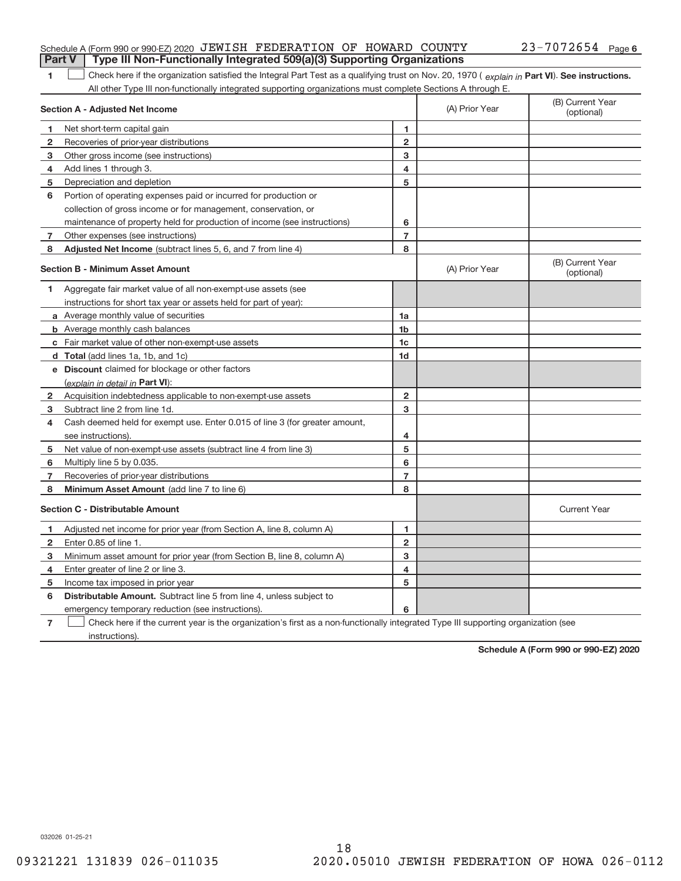| Part V   Type III Non-Functionally Integrated 509(a)(3) Supporting Organizations |  |  |                       |  |
|----------------------------------------------------------------------------------|--|--|-----------------------|--|
| Schedule A (Form 990 or 990-EZ) 2020 JEWISH FEDERATION OF HOWARD COUNTY          |  |  | $23 - 7072654$ Page 6 |  |

**1 Part VI** Check here if the organization satisfied the Integral Part Test as a qualifying trust on Nov. 20, 1970 ( explain in Part VI). See instructions. All other Type III non-functionally integrated supporting organizations must complete Sections A through E.

|                                         | Section A - Adjusted Net Income                                             | (A) Prior Year | (B) Current Year<br>(optional) |                                |
|-----------------------------------------|-----------------------------------------------------------------------------|----------------|--------------------------------|--------------------------------|
| 1                                       | Net short-term capital gain                                                 | 1              |                                |                                |
| $\overline{2}$                          | Recoveries of prior-year distributions                                      | $\overline{2}$ |                                |                                |
| 3                                       | Other gross income (see instructions)                                       | 3              |                                |                                |
| 4                                       | Add lines 1 through 3.                                                      | 4              |                                |                                |
| 5                                       | Depreciation and depletion                                                  | 5              |                                |                                |
| 6                                       | Portion of operating expenses paid or incurred for production or            |                |                                |                                |
|                                         | collection of gross income or for management, conservation, or              |                |                                |                                |
|                                         | maintenance of property held for production of income (see instructions)    | 6              |                                |                                |
| 7                                       | Other expenses (see instructions)                                           | $\overline{7}$ |                                |                                |
| 8                                       | Adjusted Net Income (subtract lines 5, 6, and 7 from line 4)                | 8              |                                |                                |
|                                         | <b>Section B - Minimum Asset Amount</b>                                     |                | (A) Prior Year                 | (B) Current Year<br>(optional) |
| 1                                       | Aggregate fair market value of all non-exempt-use assets (see               |                |                                |                                |
|                                         | instructions for short tax year or assets held for part of year):           |                |                                |                                |
|                                         | a Average monthly value of securities                                       | 1a             |                                |                                |
|                                         | <b>b</b> Average monthly cash balances                                      | 1 <sub>b</sub> |                                |                                |
|                                         | c Fair market value of other non-exempt-use assets                          | 1c             |                                |                                |
|                                         | d Total (add lines 1a, 1b, and 1c)                                          | 1 <sub>d</sub> |                                |                                |
|                                         | e Discount claimed for blockage or other factors                            |                |                                |                                |
|                                         | (explain in detail in Part VI):                                             |                |                                |                                |
| 2                                       | Acquisition indebtedness applicable to non-exempt-use assets                | $\mathbf{2}$   |                                |                                |
| 3                                       | Subtract line 2 from line 1d.                                               | 3              |                                |                                |
| 4                                       | Cash deemed held for exempt use. Enter 0.015 of line 3 (for greater amount, |                |                                |                                |
|                                         | see instructions).                                                          | 4              |                                |                                |
| 5                                       | Net value of non-exempt-use assets (subtract line 4 from line 3)            | 5              |                                |                                |
| 6                                       | Multiply line 5 by 0.035.                                                   | 6              |                                |                                |
| 7                                       | Recoveries of prior-year distributions                                      | $\overline{7}$ |                                |                                |
| 8                                       | Minimum Asset Amount (add line 7 to line 6)                                 | 8              |                                |                                |
| <b>Section C - Distributable Amount</b> |                                                                             |                |                                | <b>Current Year</b>            |
| 1                                       | Adjusted net income for prior year (from Section A, line 8, column A)       | 1              |                                |                                |
| $\mathbf{2}$                            | Enter 0.85 of line 1.                                                       | $\mathbf{2}$   |                                |                                |
| 3                                       | Minimum asset amount for prior year (from Section B, line 8, column A)      | 3              |                                |                                |
| 4                                       | Enter greater of line 2 or line 3.                                          | 4              |                                |                                |
| 5                                       | Income tax imposed in prior year                                            | 5              |                                |                                |
| 6                                       | Distributable Amount. Subtract line 5 from line 4, unless subject to        |                |                                |                                |
|                                         | emergency temporary reduction (see instructions).                           | 6              |                                |                                |
|                                         |                                                                             |                |                                |                                |

**7** Check here if the current year is the organization's first as a non-functionally integrated Type III supporting organization (see instructions).

**Schedule A (Form 990 or 990‐EZ) 2020**

032026 01‐25‐21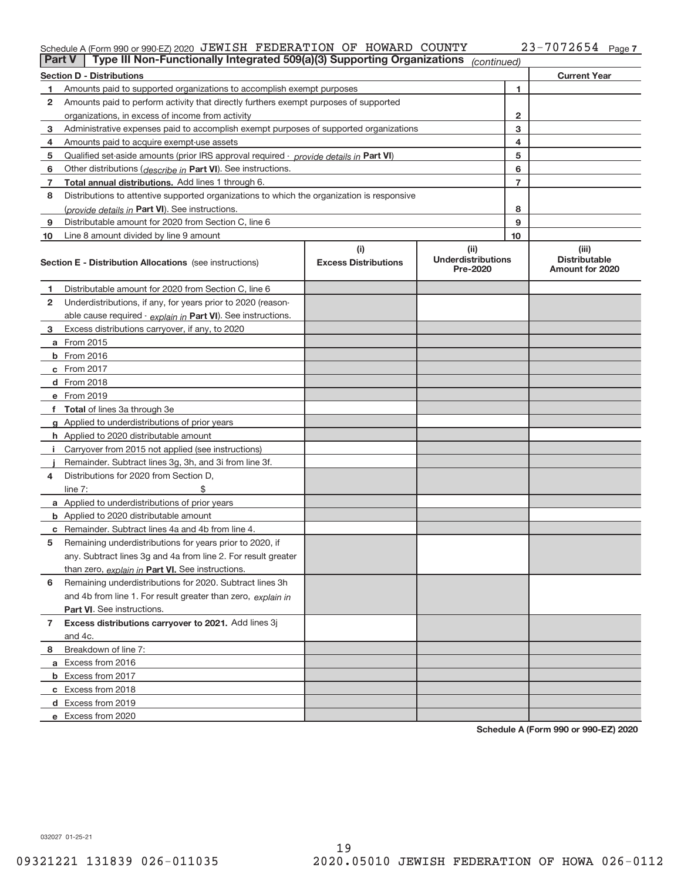# Schedule A (Form 990 or 990‐EZ) 2020 JEWISH FEDERATION OF HOWARD COUNTY  $23$ – $7072654$  Page

| <b>Part V</b>                                           | Type III Non-Functionally Integrated 509(a)(3) Supporting Organizations                    |                                    | (continued)                                   |    |                                                         |  |  |  |
|---------------------------------------------------------|--------------------------------------------------------------------------------------------|------------------------------------|-----------------------------------------------|----|---------------------------------------------------------|--|--|--|
| <b>Current Year</b><br><b>Section D - Distributions</b> |                                                                                            |                                    |                                               |    |                                                         |  |  |  |
| 1.                                                      | Amounts paid to supported organizations to accomplish exempt purposes                      |                                    | 1                                             |    |                                                         |  |  |  |
| 2                                                       | Amounts paid to perform activity that directly furthers exempt purposes of supported       |                                    |                                               |    |                                                         |  |  |  |
|                                                         | organizations, in excess of income from activity                                           |                                    | $\mathbf{2}$                                  |    |                                                         |  |  |  |
| 3                                                       | Administrative expenses paid to accomplish exempt purposes of supported organizations      |                                    | 3                                             |    |                                                         |  |  |  |
| 4                                                       | Amounts paid to acquire exempt-use assets                                                  |                                    |                                               | 4  |                                                         |  |  |  |
| 5                                                       | Qualified set-aside amounts (prior IRS approval required - provide details in Part VI)     |                                    |                                               | 5  |                                                         |  |  |  |
| 6                                                       | Other distributions ( <i>describe in</i> Part VI). See instructions.                       |                                    |                                               | 6  |                                                         |  |  |  |
| 7                                                       | Total annual distributions. Add lines 1 through 6.                                         |                                    |                                               | 7  |                                                         |  |  |  |
| 8                                                       | Distributions to attentive supported organizations to which the organization is responsive |                                    |                                               |    |                                                         |  |  |  |
|                                                         | ( <i>provide details in</i> Part VI). See instructions.                                    |                                    |                                               | 8  |                                                         |  |  |  |
| 9                                                       | Distributable amount for 2020 from Section C, line 6                                       |                                    |                                               | 9  |                                                         |  |  |  |
| 10                                                      | Line 8 amount divided by line 9 amount                                                     |                                    |                                               | 10 |                                                         |  |  |  |
|                                                         | <b>Section E - Distribution Allocations</b> (see instructions)                             | (i)<br><b>Excess Distributions</b> | (ii)<br><b>Underdistributions</b><br>Pre-2020 |    | (iii)<br><b>Distributable</b><br><b>Amount for 2020</b> |  |  |  |
| 1                                                       | Distributable amount for 2020 from Section C, line 6                                       |                                    |                                               |    |                                                         |  |  |  |
| 2                                                       | Underdistributions, if any, for years prior to 2020 (reason-                               |                                    |                                               |    |                                                         |  |  |  |
|                                                         | able cause required - explain in Part VI). See instructions.                               |                                    |                                               |    |                                                         |  |  |  |
| 3                                                       | Excess distributions carryover, if any, to 2020                                            |                                    |                                               |    |                                                         |  |  |  |
|                                                         | <b>a</b> From 2015                                                                         |                                    |                                               |    |                                                         |  |  |  |
|                                                         | <b>b</b> From 2016                                                                         |                                    |                                               |    |                                                         |  |  |  |
|                                                         | c From 2017                                                                                |                                    |                                               |    |                                                         |  |  |  |
|                                                         | d From 2018                                                                                |                                    |                                               |    |                                                         |  |  |  |
|                                                         | e From 2019                                                                                |                                    |                                               |    |                                                         |  |  |  |
|                                                         | f Total of lines 3a through 3e                                                             |                                    |                                               |    |                                                         |  |  |  |
|                                                         | <b>g</b> Applied to underdistributions of prior years                                      |                                    |                                               |    |                                                         |  |  |  |
|                                                         | <b>h</b> Applied to 2020 distributable amount                                              |                                    |                                               |    |                                                         |  |  |  |
|                                                         | Carryover from 2015 not applied (see instructions)                                         |                                    |                                               |    |                                                         |  |  |  |
|                                                         | Remainder. Subtract lines 3g, 3h, and 3i from line 3f.                                     |                                    |                                               |    |                                                         |  |  |  |
| 4                                                       | Distributions for 2020 from Section D,                                                     |                                    |                                               |    |                                                         |  |  |  |
|                                                         | line $7:$                                                                                  |                                    |                                               |    |                                                         |  |  |  |
|                                                         | <b>a</b> Applied to underdistributions of prior years                                      |                                    |                                               |    |                                                         |  |  |  |
|                                                         | <b>b</b> Applied to 2020 distributable amount                                              |                                    |                                               |    |                                                         |  |  |  |
|                                                         | <b>c</b> Remainder. Subtract lines 4a and 4b from line 4.                                  |                                    |                                               |    |                                                         |  |  |  |
| 5                                                       | Remaining underdistributions for years prior to 2020, if                                   |                                    |                                               |    |                                                         |  |  |  |
|                                                         | any. Subtract lines 3g and 4a from line 2. For result greater                              |                                    |                                               |    |                                                         |  |  |  |
|                                                         | than zero, explain in Part VI. See instructions.                                           |                                    |                                               |    |                                                         |  |  |  |
| 6                                                       | Remaining underdistributions for 2020. Subtract lines 3h                                   |                                    |                                               |    |                                                         |  |  |  |
|                                                         | and 4b from line 1. For result greater than zero, explain in                               |                                    |                                               |    |                                                         |  |  |  |
|                                                         | Part VI. See instructions.                                                                 |                                    |                                               |    |                                                         |  |  |  |
| 7                                                       | Excess distributions carryover to 2021. Add lines 3j                                       |                                    |                                               |    |                                                         |  |  |  |
|                                                         | and 4c.                                                                                    |                                    |                                               |    |                                                         |  |  |  |
| 8                                                       | Breakdown of line 7:                                                                       |                                    |                                               |    |                                                         |  |  |  |
|                                                         | a Excess from 2016                                                                         |                                    |                                               |    |                                                         |  |  |  |
|                                                         | <b>b</b> Excess from 2017                                                                  |                                    |                                               |    |                                                         |  |  |  |
|                                                         | c Excess from 2018                                                                         |                                    |                                               |    |                                                         |  |  |  |
|                                                         | d Excess from 2019                                                                         |                                    |                                               |    |                                                         |  |  |  |
|                                                         | e Excess from 2020                                                                         |                                    |                                               |    |                                                         |  |  |  |

**Schedule A (Form 990 or 990‐EZ) 2020**

032027 01‐25‐21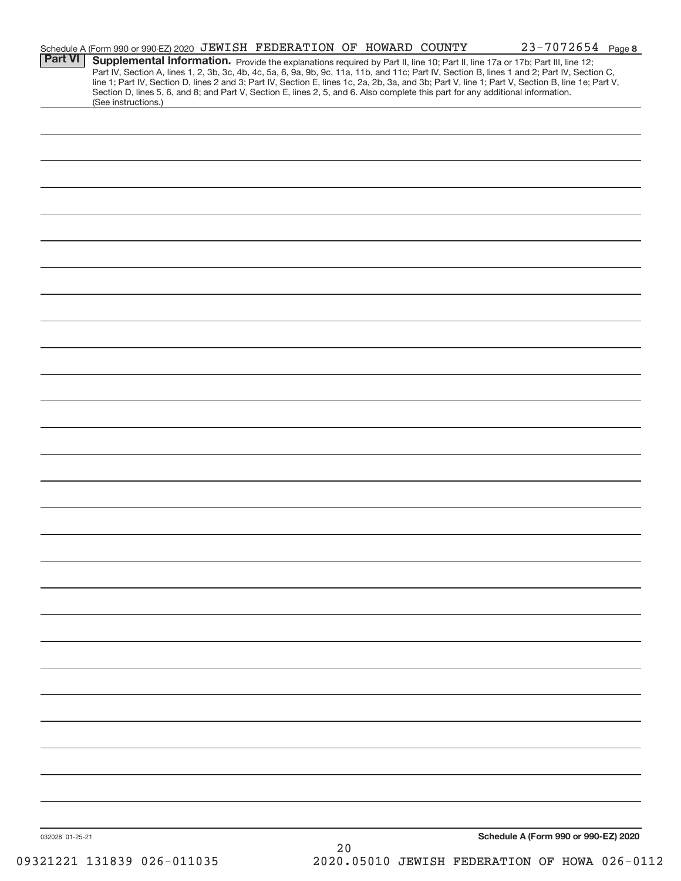|                 | Schedule A (Form 990 or 990-EZ) 2020 JEWISH FEDERATION OF HOWARD COUNTY                                                                                |      |  | $23 - 7072654$ Page 8                                                                                                                            |
|-----------------|--------------------------------------------------------------------------------------------------------------------------------------------------------|------|--|--------------------------------------------------------------------------------------------------------------------------------------------------|
| <b>Part VI</b>  | Supplemental Information. Provide the explanations required by Part II, line 10; Part II, line 17a or 17b; Part III, line 12;                          |      |  | Part IV, Section A, lines 1, 2, 3b, 3c, 4b, 4c, 5a, 6, 9a, 9b, 9c, 11a, 11b, and 11c; Part IV, Section B, lines 1 and 2; Part IV, Section C,     |
|                 | Section D, lines 5, 6, and 8; and Part V, Section E, lines 2, 5, and 6. Also complete this part for any additional information.<br>(See instructions.) |      |  | line 1; Part IV, Section D, lines 2 and 3; Part IV, Section E, lines 1c, 2a, 2b, 3a, and 3b; Part V, line 1; Part V, Section B, line 1e; Part V, |
|                 |                                                                                                                                                        |      |  |                                                                                                                                                  |
|                 |                                                                                                                                                        |      |  |                                                                                                                                                  |
|                 |                                                                                                                                                        |      |  |                                                                                                                                                  |
|                 |                                                                                                                                                        |      |  |                                                                                                                                                  |
|                 |                                                                                                                                                        |      |  |                                                                                                                                                  |
|                 |                                                                                                                                                        |      |  |                                                                                                                                                  |
|                 |                                                                                                                                                        |      |  |                                                                                                                                                  |
|                 |                                                                                                                                                        |      |  |                                                                                                                                                  |
|                 |                                                                                                                                                        |      |  |                                                                                                                                                  |
|                 |                                                                                                                                                        |      |  |                                                                                                                                                  |
|                 |                                                                                                                                                        |      |  |                                                                                                                                                  |
|                 |                                                                                                                                                        |      |  |                                                                                                                                                  |
|                 |                                                                                                                                                        |      |  |                                                                                                                                                  |
|                 |                                                                                                                                                        |      |  |                                                                                                                                                  |
|                 |                                                                                                                                                        |      |  |                                                                                                                                                  |
|                 |                                                                                                                                                        |      |  |                                                                                                                                                  |
|                 |                                                                                                                                                        |      |  |                                                                                                                                                  |
|                 |                                                                                                                                                        |      |  |                                                                                                                                                  |
|                 |                                                                                                                                                        |      |  |                                                                                                                                                  |
|                 |                                                                                                                                                        |      |  |                                                                                                                                                  |
|                 |                                                                                                                                                        |      |  |                                                                                                                                                  |
|                 |                                                                                                                                                        |      |  |                                                                                                                                                  |
|                 |                                                                                                                                                        |      |  |                                                                                                                                                  |
|                 |                                                                                                                                                        |      |  |                                                                                                                                                  |
|                 |                                                                                                                                                        |      |  |                                                                                                                                                  |
|                 |                                                                                                                                                        |      |  |                                                                                                                                                  |
|                 |                                                                                                                                                        |      |  |                                                                                                                                                  |
|                 |                                                                                                                                                        |      |  |                                                                                                                                                  |
|                 |                                                                                                                                                        |      |  |                                                                                                                                                  |
|                 |                                                                                                                                                        |      |  |                                                                                                                                                  |
|                 |                                                                                                                                                        |      |  |                                                                                                                                                  |
|                 |                                                                                                                                                        |      |  |                                                                                                                                                  |
|                 |                                                                                                                                                        |      |  |                                                                                                                                                  |
|                 |                                                                                                                                                        |      |  | Schedule A (Form 990 or 990-EZ) 2020                                                                                                             |
| 032028 01-25-21 |                                                                                                                                                        | $20$ |  |                                                                                                                                                  |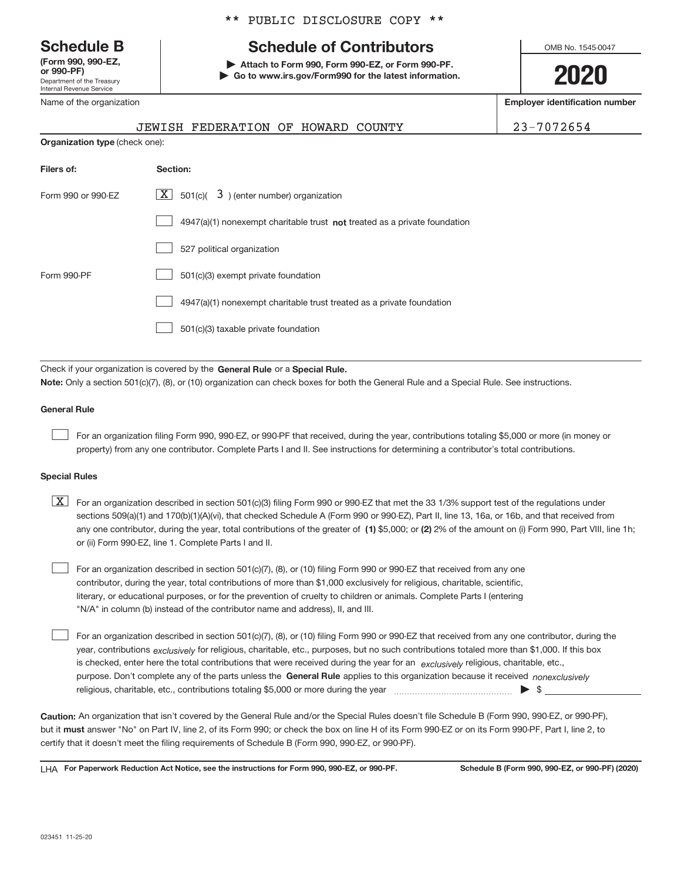Department of the Treasury Internal Revenue Service **(Form 990, 990‐EZ,**

Name of the organization

### \*\* PUBLIC DISCLOSURE COPY \*\*

# **Schedule B Schedule of Contributors**

**or 990‐PF) | Attach to Form 990, Form 990‐EZ, or Form 990‐PF. | Go to www.irs.gov/Form990 for the latest information.** OMB No. 1545-0047

**2020**

**Employer identification number**

|                                       | <b>JEWISH FEDERATION OF</b><br>HOWARD<br><b>COUNTY</b>                                                                                                                                                                    | $23 - 7072654$ |
|---------------------------------------|---------------------------------------------------------------------------------------------------------------------------------------------------------------------------------------------------------------------------|----------------|
| <b>Organization type (check one):</b> |                                                                                                                                                                                                                           |                |
| Filers of:                            | Section:                                                                                                                                                                                                                  |                |
| Form 990 or 990-FZ                    | $ \mathbf{X} $ 501(c)( 3) (enter number) organization                                                                                                                                                                     |                |
|                                       | 4947(a)(1) nonexempt charitable trust not treated as a private foundation                                                                                                                                                 |                |
|                                       | 527 political organization                                                                                                                                                                                                |                |
| Form 990-PF                           | 501(c)(3) exempt private foundation                                                                                                                                                                                       |                |
|                                       | 4947(a)(1) nonexempt charitable trust treated as a private foundation                                                                                                                                                     |                |
|                                       | 501(c)(3) taxable private foundation                                                                                                                                                                                      |                |
|                                       |                                                                                                                                                                                                                           |                |
|                                       | Check if your organization is covered by the General Rule or a Special Rule.<br>Note: Only a section 501(c)(7), (8), or (10) organization can check boxes for both the General Rule and a Special Rule. See instructions. |                |

#### **General Rule**

 $\begin{array}{c} \hline \end{array}$ 

For an organization filing Form 990, 990‐EZ, or 990‐PF that received, during the year, contributions totaling \$5,000 or more (in money or property) from any one contributor. Complete Parts I and II. See instructions for determining a contributor's total contributions.

#### **Special Rules**

| $\boxed{X}$ For an organization described in section 501(c)(3) filing Form 990 or 990-EZ that met the 33 1/3% support test of the regulations under   |
|-------------------------------------------------------------------------------------------------------------------------------------------------------|
| sections 509(a)(1) and 170(b)(1)(A)(vi), that checked Schedule A (Form 990 or 990-EZ), Part II, line 13, 16a, or 16b, and that received from          |
| any one contributor, during the year, total contributions of the greater of (1) \$5,000; or (2) 2% of the amount on (i) Form 990, Part VIII, line 1h; |
| or (ii) Form 990-EZ, line 1. Complete Parts I and II.                                                                                                 |

For an organization described in section 501(c)(7), (8), or (10) filing Form 990 or 990‐EZ that received from any one contributor, during the year, total contributions of more than \$1,000 exclusively for religious, charitable, scientific, literary, or educational purposes, or for the prevention of cruelty to children or animals. Complete Parts I (entering "N/A" in column (b) instead of the contributor name and address), II, and III.  $\begin{array}{c} \hline \end{array}$ 

purpose. Don't complete any of the parts unless the General Rule applies to this organization because it received nonexclusively year, contributions <sub>exclusively</sub> for religious, charitable, etc., purposes, but no such contributions totaled more than \$1,000. If this box is checked, enter here the total contributions that were received during the year for an *exclusively* religious, charitable, etc., For an organization described in section 501(c)(7), (8), or (10) filing Form 990 or 990‐EZ that received from any one contributor, during the religious, charitable, etc., contributions totaling \$5,000 or more during the year  $\Box$ — $\Box$   $\Box$  $\begin{array}{c} \hline \end{array}$ 

**Caution:**  An organization that isn't covered by the General Rule and/or the Special Rules doesn't file Schedule B (Form 990, 990‐EZ, or 990‐PF),  **must** but it answer "No" on Part IV, line 2, of its Form 990; or check the box on line H of its Form 990‐EZ or on its Form 990‐PF, Part I, line 2, to certify that it doesn't meet the filing requirements of Schedule B (Form 990, 990‐EZ, or 990‐PF).

**For Paperwork Reduction Act Notice, see the instructions for Form 990, 990-EZ, or 990-PF. Schedule B (Form 990, 990-EZ, or 990-PF) (2020)** LHA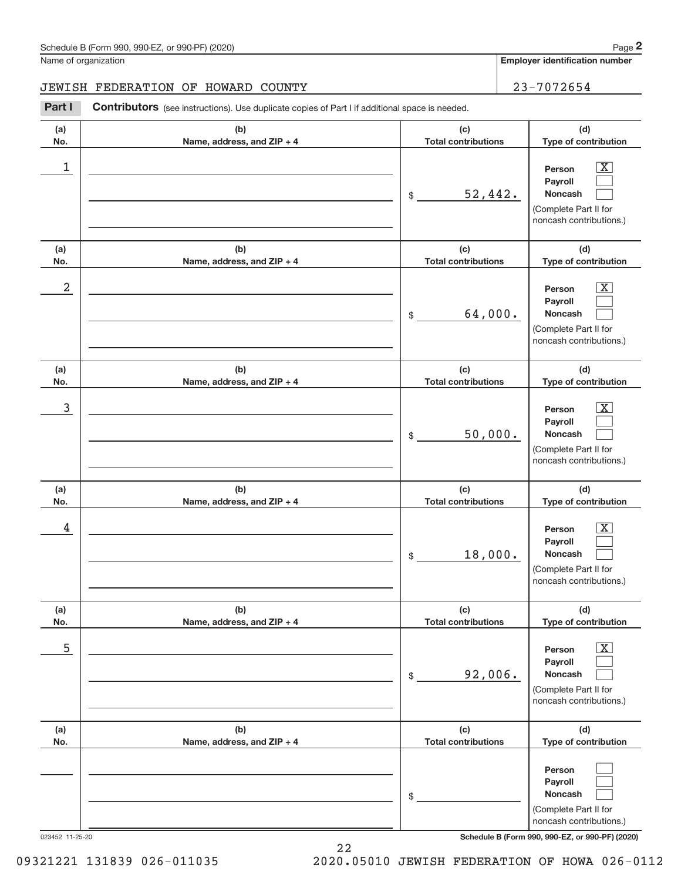**Employer identification number**

### JEWISH FEDERATION OF HOWARD COUNTY | 23-7072654

**Part I** Contributors (see instructions). Use duplicate copies of Part I if additional space is needed.

| (a)        | (b)                               | (c)                                | (d)                                                                                                       |
|------------|-----------------------------------|------------------------------------|-----------------------------------------------------------------------------------------------------------|
| No.        | Name, address, and ZIP + 4        | <b>Total contributions</b>         | Type of contribution                                                                                      |
| 1          |                                   | 52,442.<br>$\frac{1}{2}$           | $\overline{\text{X}}$<br>Person<br>Payroll<br>Noncash<br>(Complete Part II for<br>noncash contributions.) |
| (a)<br>No. | (b)<br>Name, address, and ZIP + 4 | (c)<br><b>Total contributions</b>  | (d)<br>Type of contribution                                                                               |
| 2          |                                   | 64,000.<br>$\frac{1}{2}$           | $\overline{\text{X}}$<br>Person<br>Payroll<br>Noncash<br>(Complete Part II for<br>noncash contributions.) |
| (a)<br>No. | (b)<br>Name, address, and ZIP + 4 | (c)<br><b>Total contributions</b>  | (d)<br>Type of contribution                                                                               |
| 3          |                                   | 50,000.<br>$$\circ$$               | $\overline{\text{X}}$<br>Person<br>Payroll<br>Noncash<br>(Complete Part II for<br>noncash contributions.) |
| (a)<br>No. | (b)<br>Name, address, and ZIP + 4 | (c)<br><b>Total contributions</b>  | (d)<br>Type of contribution                                                                               |
| 4          |                                   | 18,000.<br>$$\tilde{\phantom{a}}$$ | $\overline{\text{X}}$<br>Person<br>Payroll<br>Noncash<br>(Complete Part II for<br>noncash contributions.) |
| (a)<br>No. | (b)<br>Name, address, and ZIP + 4 | (c)<br><b>Total contributions</b>  | (d)<br>Type of contribution                                                                               |
| 5          |                                   | 92,006.<br>$$\mathbb{S}$$          | $\overline{\text{X}}$<br>Person<br>Payroll<br>Noncash<br>(Complete Part II for<br>noncash contributions.) |
| (a)<br>No. | (b)<br>Name, address, and ZIP + 4 | (c)<br><b>Total contributions</b>  | (d)<br>Type of contribution                                                                               |
|            |                                   | \$                                 | Person<br>Payroll<br>Noncash<br>(Complete Part II for<br>noncash contributions.)                          |

023452 11‐25‐20 **Schedule B (Form 990, 990-EZ, or 990-PF) (2020)**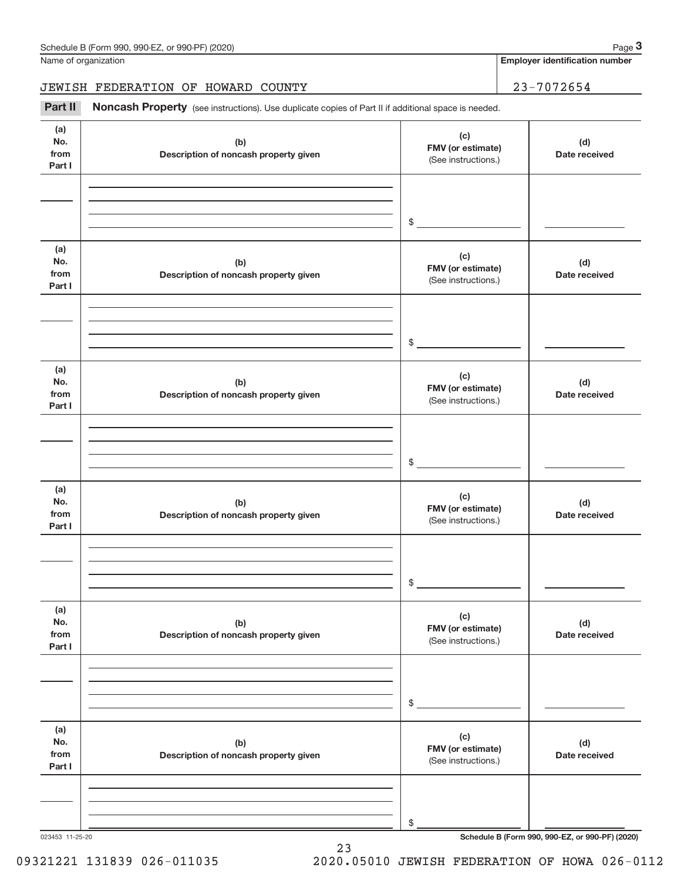**Employer identification number**

### JEWISH FEDERATION OF HOWARD COUNTY | 23-7072654

Part II Noncash Property (see instructions). Use duplicate copies of Part II if additional space is needed.

| (a)<br>No.                   |                                              | (c)                                             |                      |
|------------------------------|----------------------------------------------|-------------------------------------------------|----------------------|
| from<br>Part I               | (b)<br>Description of noncash property given | FMV (or estimate)<br>(See instructions.)        | (d)<br>Date received |
|                              |                                              |                                                 |                      |
|                              |                                              | $$\overbrace{\hspace{2.5cm}}$                   |                      |
| (a)<br>No.<br>from<br>Part I | (b)<br>Description of noncash property given | (c)<br>FMV (or estimate)<br>(See instructions.) | (d)<br>Date received |
|                              |                                              | $$\overbrace{\hspace{2.5cm}}$                   |                      |
| (a)<br>No.<br>from<br>Part I | (b)<br>Description of noncash property given | (c)<br>FMV (or estimate)<br>(See instructions.) | (d)<br>Date received |
|                              |                                              |                                                 |                      |
|                              |                                              | $$\overbrace{\hspace{2.5cm}}$                   |                      |
| (a)<br>No.<br>from<br>Part I | (b)<br>Description of noncash property given | (c)<br>FMV (or estimate)<br>(See instructions.) | (d)<br>Date received |
|                              |                                              |                                                 |                      |
|                              |                                              | \$                                              |                      |
| (a)<br>No.<br>from<br>Part I | (b)<br>Description of noncash property given | (c)<br>FMV (or estimate)<br>(See instructions.) | (d)<br>Date received |
|                              |                                              |                                                 |                      |
|                              |                                              | $\$$                                            |                      |
| (a)<br>No.<br>from<br>Part I | (b)<br>Description of noncash property given | (c)<br>FMV (or estimate)<br>(See instructions.) | (d)<br>Date received |
|                              |                                              |                                                 |                      |
|                              |                                              | \$                                              |                      |

23

023453 11‐25‐20 **Schedule B (Form 990, 990-EZ, or 990-PF) (2020)**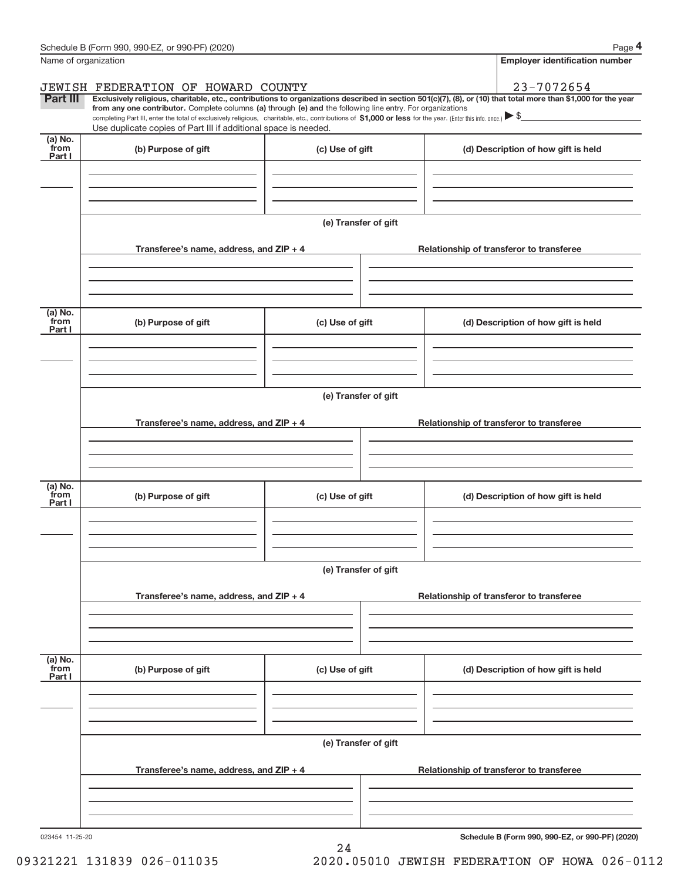|                             | $\frac{1}{2}$ of reduce by (i. 01111 990; 990-LZ, 01 990-1 1 ) (2020)<br>Name of organization                                                                                                                                                                                                                                                 |                      | ı ayu .<br><b>Employer identification number</b>                                                                                                               |  |  |  |
|-----------------------------|-----------------------------------------------------------------------------------------------------------------------------------------------------------------------------------------------------------------------------------------------------------------------------------------------------------------------------------------------|----------------------|----------------------------------------------------------------------------------------------------------------------------------------------------------------|--|--|--|
|                             | JEWISH FEDERATION OF HOWARD COUNTY                                                                                                                                                                                                                                                                                                            |                      | 23-7072654                                                                                                                                                     |  |  |  |
| <b>Part III</b>             | from any one contributor. Complete columns (a) through (e) and the following line entry. For organizations<br>completing Part III, enter the total of exclusively religious, charitable, etc., contributions of \$1,000 or less for the year. (Enter this info. once.) \\$<br>Use duplicate copies of Part III if additional space is needed. |                      | Exclusively religious, charitable, etc., contributions to organizations described in section 501(c)(7), (8), or (10) that total more than \$1,000 for the year |  |  |  |
| $(a)$ No.<br>from<br>Part I | (b) Purpose of gift                                                                                                                                                                                                                                                                                                                           | (c) Use of gift      | (d) Description of how gift is held                                                                                                                            |  |  |  |
|                             |                                                                                                                                                                                                                                                                                                                                               |                      |                                                                                                                                                                |  |  |  |
|                             |                                                                                                                                                                                                                                                                                                                                               | (e) Transfer of gift |                                                                                                                                                                |  |  |  |
|                             | Transferee's name, address, and ZIP + 4                                                                                                                                                                                                                                                                                                       |                      | Relationship of transferor to transferee                                                                                                                       |  |  |  |
| (a) No.<br>from             | (b) Purpose of gift                                                                                                                                                                                                                                                                                                                           | (c) Use of gift      | (d) Description of how gift is held                                                                                                                            |  |  |  |
| Part I                      |                                                                                                                                                                                                                                                                                                                                               |                      |                                                                                                                                                                |  |  |  |
|                             |                                                                                                                                                                                                                                                                                                                                               | (e) Transfer of gift |                                                                                                                                                                |  |  |  |
|                             | Transferee's name, address, and $ZIP + 4$                                                                                                                                                                                                                                                                                                     |                      | Relationship of transferor to transferee                                                                                                                       |  |  |  |
|                             |                                                                                                                                                                                                                                                                                                                                               |                      |                                                                                                                                                                |  |  |  |
| (a) No.<br>from<br>Part I   | (b) Purpose of gift                                                                                                                                                                                                                                                                                                                           | (c) Use of gift      | (d) Description of how gift is held                                                                                                                            |  |  |  |
|                             |                                                                                                                                                                                                                                                                                                                                               |                      |                                                                                                                                                                |  |  |  |
|                             |                                                                                                                                                                                                                                                                                                                                               | (e) Transfer of gift |                                                                                                                                                                |  |  |  |
|                             | Transferee's name, address, and ZIP + 4                                                                                                                                                                                                                                                                                                       |                      | Relationship of transferor to transferee                                                                                                                       |  |  |  |
| $(a)$ No.                   |                                                                                                                                                                                                                                                                                                                                               |                      |                                                                                                                                                                |  |  |  |
| from<br>Part I              | (b) Purpose of gift                                                                                                                                                                                                                                                                                                                           | (c) Use of gift      | (d) Description of how gift is held                                                                                                                            |  |  |  |
|                             |                                                                                                                                                                                                                                                                                                                                               |                      |                                                                                                                                                                |  |  |  |
|                             | Transferee's name, address, and ZIP + 4                                                                                                                                                                                                                                                                                                       | (e) Transfer of gift | Relationship of transferor to transferee                                                                                                                       |  |  |  |
|                             |                                                                                                                                                                                                                                                                                                                                               |                      |                                                                                                                                                                |  |  |  |
|                             |                                                                                                                                                                                                                                                                                                                                               |                      |                                                                                                                                                                |  |  |  |

24

023454 11‐25‐20

**Schedule B (Form 990, 990-EZ, or 990-PF) (2020)**

09321221 131839 026-011035 2020.05010 JEWISH FEDERATION OF HOWA 026-0112

**4**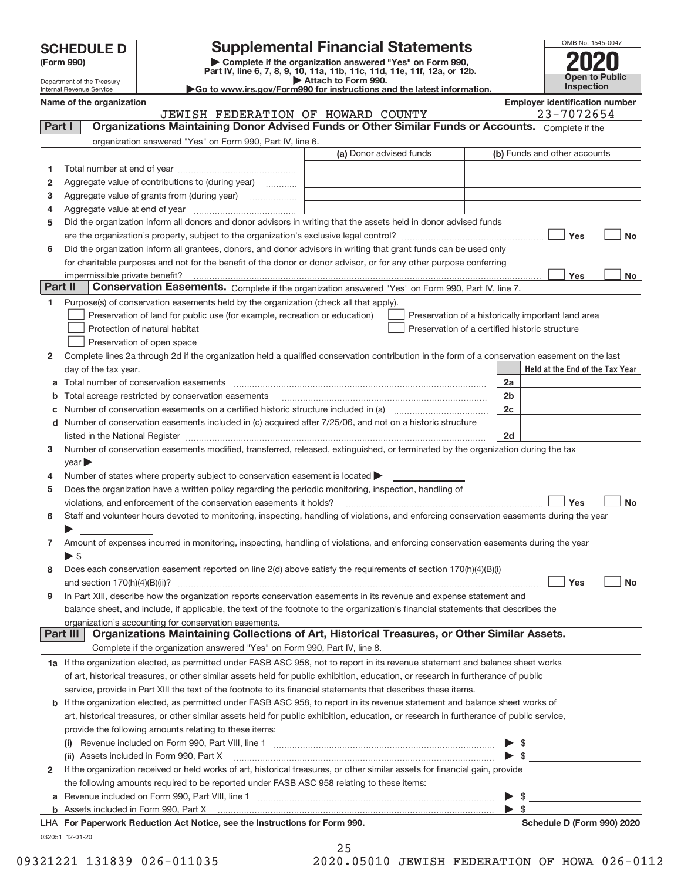| <b>SCHEDULE D</b> |  |  |  |
|-------------------|--|--|--|
|-------------------|--|--|--|

| (Form 990) |  |
|------------|--|
|------------|--|

**(Form 990) | Complete if the organization answered "Yes" on Form 990, Part IV, line 6, 7, 8, 9, 10, 11a, 11b, 11c, 11d, 11e, 11f, 12a, or 12b. | Attach to Form 990. SCHEDULE D Supplemental Financial Statements**<br> **Example to the organization answered "Yes" on Form 990,**<br>
Part IV, line 6, 7, 8, 9, 10, 11a, 11b, 11c, 11d, 11e, 11f, 12a, or 12b.



Department of the Treasury Internal Revenue Service

| $\triangleright$ Allaon to Form opp.                                                         |  |  |  |  |  |  |  |
|----------------------------------------------------------------------------------------------|--|--|--|--|--|--|--|
| $\blacktriangleright$ Go to www.irs.gov/Form990 for instructions and the latest information. |  |  |  |  |  |  |  |
|                                                                                              |  |  |  |  |  |  |  |

| Name of the organization                                                           |  |                                    |  |  |  |  | <b>Employer identification number</b> |
|------------------------------------------------------------------------------------|--|------------------------------------|--|--|--|--|---------------------------------------|
|                                                                                    |  | JEWISH FEDERATION OF HOWARD COUNTY |  |  |  |  | 23-7072654                            |
| - 高いことが こばんしょ Michael State - 高いことにあま かいま 時 こうまんしょう 高山 こう高い State の形 こまい こうあいこうしゅん |  |                                    |  |  |  |  |                                       |

**Part I** | Organizations Maintaining Donor Advised Funds or Other Similar Funds or Accounts. Complete if the )F HOWARD COUNTY 23-7072654

|         | organization answered "Yes" on Form 990, Part IV, line 6.                                                                                                                                                                      |                         |                         |                                                                        |           |
|---------|--------------------------------------------------------------------------------------------------------------------------------------------------------------------------------------------------------------------------------|-------------------------|-------------------------|------------------------------------------------------------------------|-----------|
|         |                                                                                                                                                                                                                                | (a) Donor advised funds |                         | (b) Funds and other accounts                                           |           |
| 1.      |                                                                                                                                                                                                                                |                         |                         |                                                                        |           |
| 2       | Aggregate value of contributions to (during year)                                                                                                                                                                              |                         |                         |                                                                        |           |
| 3       | Aggregate value of grants from (during year)                                                                                                                                                                                   |                         |                         |                                                                        |           |
| 4       |                                                                                                                                                                                                                                |                         |                         |                                                                        |           |
| 5       | Did the organization inform all donors and donor advisors in writing that the assets held in donor advised funds                                                                                                               |                         |                         |                                                                        |           |
|         |                                                                                                                                                                                                                                |                         |                         | Yes                                                                    | No        |
| 6       | Did the organization inform all grantees, donors, and donor advisors in writing that grant funds can be used only                                                                                                              |                         |                         |                                                                        |           |
|         | for charitable purposes and not for the benefit of the donor or donor advisor, or for any other purpose conferring                                                                                                             |                         |                         |                                                                        |           |
|         |                                                                                                                                                                                                                                |                         |                         | Yes                                                                    | No        |
| Part II | Conservation Easements. Complete if the organization answered "Yes" on Form 990, Part IV, line 7.                                                                                                                              |                         |                         |                                                                        |           |
| 1       | Purpose(s) of conservation easements held by the organization (check all that apply).                                                                                                                                          |                         |                         |                                                                        |           |
|         | Preservation of land for public use (for example, recreation or education)                                                                                                                                                     |                         |                         | Preservation of a historically important land area                     |           |
|         | Protection of natural habitat                                                                                                                                                                                                  |                         |                         | Preservation of a certified historic structure                         |           |
|         | Preservation of open space                                                                                                                                                                                                     |                         |                         |                                                                        |           |
| 2       | Complete lines 2a through 2d if the organization held a qualified conservation contribution in the form of a conservation easement on the last                                                                                 |                         |                         |                                                                        |           |
|         | day of the tax year.                                                                                                                                                                                                           |                         |                         | Held at the End of the Tax Year                                        |           |
| а       | Total number of conservation easements                                                                                                                                                                                         |                         | 2a                      |                                                                        |           |
| b       | Total acreage restricted by conservation easements<br>Number of conservation easements on a certified historic structure included in (a) manufacture included in (a)                                                           |                         | 2 <sub>b</sub><br>2c    |                                                                        |           |
| с<br>d  | Number of conservation easements included in (c) acquired after 7/25/06, and not on a historic structure                                                                                                                       |                         |                         |                                                                        |           |
|         | listed in the National Register [111] [12] The Manus and The National Property of the National Register [11] The Manus and The National Register [11] The Manus and The National Property of the National Property of the Nati |                         | 2d                      |                                                                        |           |
| 3       | Number of conservation easements modified, transferred, released, extinguished, or terminated by the organization during the tax                                                                                               |                         |                         |                                                                        |           |
|         | $year \triangleright$                                                                                                                                                                                                          |                         |                         |                                                                        |           |
| 4       | Number of states where property subject to conservation easement is located >                                                                                                                                                  |                         |                         |                                                                        |           |
| 5       | Does the organization have a written policy regarding the periodic monitoring, inspection, handling of                                                                                                                         |                         |                         |                                                                        |           |
|         | violations, and enforcement of the conservation easements it holds?                                                                                                                                                            |                         |                         | Yes                                                                    | <b>No</b> |
| 6       | Staff and volunteer hours devoted to monitoring, inspecting, handling of violations, and enforcing conservation easements during the year                                                                                      |                         |                         |                                                                        |           |
|         |                                                                                                                                                                                                                                |                         |                         |                                                                        |           |
| 7       | Amount of expenses incurred in monitoring, inspecting, handling of violations, and enforcing conservation easements during the year                                                                                            |                         |                         |                                                                        |           |
|         | $\triangleright$ \$                                                                                                                                                                                                            |                         |                         |                                                                        |           |
| 8       | Does each conservation easement reported on line 2(d) above satisfy the requirements of section 170(h)(4)(B)(i)                                                                                                                |                         |                         |                                                                        |           |
|         |                                                                                                                                                                                                                                |                         |                         | Yes                                                                    | No        |
| 9       | In Part XIII, describe how the organization reports conservation easements in its revenue and expense statement and                                                                                                            |                         |                         |                                                                        |           |
|         | balance sheet, and include, if applicable, the text of the footnote to the organization's financial statements that describes the                                                                                              |                         |                         |                                                                        |           |
|         | organization's accounting for conservation easements.                                                                                                                                                                          |                         |                         |                                                                        |           |
|         | Part III   Organizations Maintaining Collections of Art, Historical Treasures, or Other Similar Assets.                                                                                                                        |                         |                         |                                                                        |           |
|         | Complete if the organization answered "Yes" on Form 990, Part IV, line 8.                                                                                                                                                      |                         |                         |                                                                        |           |
|         | 1a If the organization elected, as permitted under FASB ASC 958, not to report in its revenue statement and balance sheet works                                                                                                |                         |                         |                                                                        |           |
|         | of art, historical treasures, or other similar assets held for public exhibition, education, or research in furtherance of public                                                                                              |                         |                         |                                                                        |           |
|         | service, provide in Part XIII the text of the footnote to its financial statements that describes these items.                                                                                                                 |                         |                         |                                                                        |           |
| b       | If the organization elected, as permitted under FASB ASC 958, to report in its revenue statement and balance sheet works of                                                                                                    |                         |                         |                                                                        |           |
|         | art, historical treasures, or other similar assets held for public exhibition, education, or research in furtherance of public service,<br>provide the following amounts relating to these items:                              |                         |                         |                                                                        |           |
|         |                                                                                                                                                                                                                                |                         |                         | - \$                                                                   |           |
|         | (ii) Assets included in Form 990, Part X                                                                                                                                                                                       |                         |                         | the contract of the contract of the contract of<br>$\triangleright$ \$ |           |
| 2       | If the organization received or held works of art, historical treasures, or other similar assets for financial gain, provide                                                                                                   |                         |                         |                                                                        |           |
|         | the following amounts required to be reported under FASB ASC 958 relating to these items:                                                                                                                                      |                         |                         |                                                                        |           |
|         | a Revenue included on Form 990, Part VIII, line 1 [2000] [2000] [2000] [2000] [2000] [2000] [2000] [2000] [2000                                                                                                                |                         |                         | \$                                                                     |           |
|         |                                                                                                                                                                                                                                |                         | $\blacktriangleright$ s |                                                                        |           |
|         | LHA For Paperwork Reduction Act Notice, see the Instructions for Form 990.                                                                                                                                                     |                         |                         | <b>Schedule D (Form 990) 2020</b>                                      |           |
|         | 032051 12-01-20                                                                                                                                                                                                                |                         |                         |                                                                        |           |
|         |                                                                                                                                                                                                                                | 25                      |                         |                                                                        |           |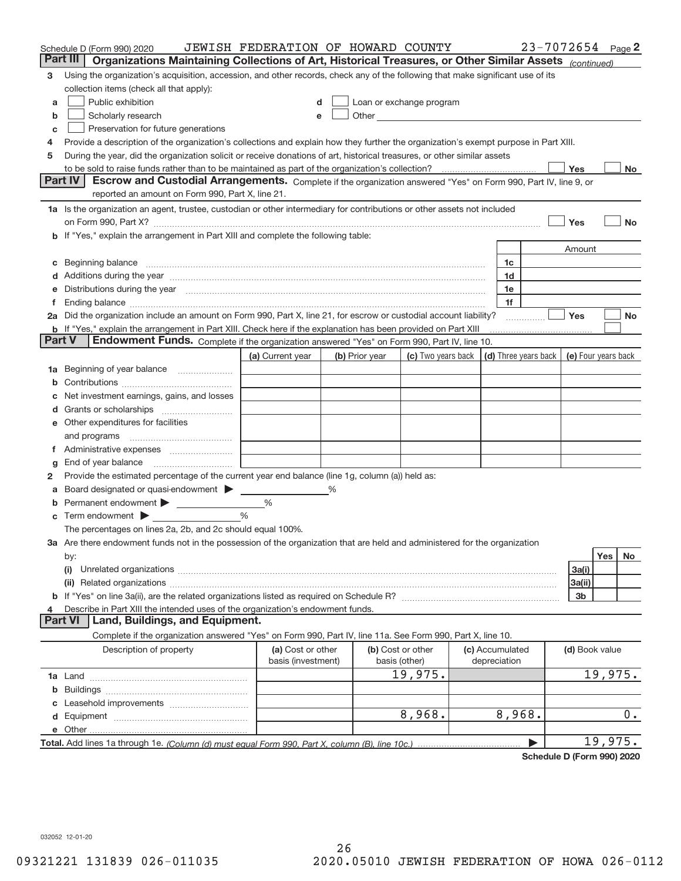|        | Schedule D (Form 990) 2020                                                                                                                                                                                                                  | JEWISH FEDERATION OF HOWARD COUNTY      |   |                |                                                                                                                                                                                                                               |  |                                 | $23 - 7072654$ Page 2 |         |           |
|--------|---------------------------------------------------------------------------------------------------------------------------------------------------------------------------------------------------------------------------------------------|-----------------------------------------|---|----------------|-------------------------------------------------------------------------------------------------------------------------------------------------------------------------------------------------------------------------------|--|---------------------------------|-----------------------|---------|-----------|
|        | Organizations Maintaining Collections of Art, Historical Treasures, or Other Similar Assets (continued)<br>Part III                                                                                                                         |                                         |   |                |                                                                                                                                                                                                                               |  |                                 |                       |         |           |
| 3      | Using the organization's acquisition, accession, and other records, check any of the following that make significant use of its                                                                                                             |                                         |   |                |                                                                                                                                                                                                                               |  |                                 |                       |         |           |
|        | collection items (check all that apply):                                                                                                                                                                                                    |                                         |   |                |                                                                                                                                                                                                                               |  |                                 |                       |         |           |
| a      | Public exhibition                                                                                                                                                                                                                           |                                         |   |                | Loan or exchange program                                                                                                                                                                                                      |  |                                 |                       |         |           |
| b      | Scholarly research                                                                                                                                                                                                                          | e                                       |   |                | Other and the contract of the contract of the contract of the contract of the contract of the contract of the contract of the contract of the contract of the contract of the contract of the contract of the contract of the |  |                                 |                       |         |           |
| C      | Preservation for future generations                                                                                                                                                                                                         |                                         |   |                |                                                                                                                                                                                                                               |  |                                 |                       |         |           |
| 4      | Provide a description of the organization's collections and explain how they further the organization's exempt purpose in Part XIII.                                                                                                        |                                         |   |                |                                                                                                                                                                                                                               |  |                                 |                       |         |           |
| 5      | During the year, did the organization solicit or receive donations of art, historical treasures, or other similar assets                                                                                                                    |                                         |   |                |                                                                                                                                                                                                                               |  |                                 |                       |         |           |
|        | Yes<br>No                                                                                                                                                                                                                                   |                                         |   |                |                                                                                                                                                                                                                               |  |                                 |                       |         |           |
|        | Escrow and Custodial Arrangements. Complete if the organization answered "Yes" on Form 990, Part IV, line 9, or<br><b>Part IV</b>                                                                                                           |                                         |   |                |                                                                                                                                                                                                                               |  |                                 |                       |         |           |
|        | reported an amount on Form 990, Part X, line 21.                                                                                                                                                                                            |                                         |   |                |                                                                                                                                                                                                                               |  |                                 |                       |         |           |
|        | 1a Is the organization an agent, trustee, custodian or other intermediary for contributions or other assets not included                                                                                                                    |                                         |   |                |                                                                                                                                                                                                                               |  |                                 |                       |         |           |
|        |                                                                                                                                                                                                                                             |                                         |   |                |                                                                                                                                                                                                                               |  |                                 | Yes                   |         | <b>No</b> |
|        | b If "Yes," explain the arrangement in Part XIII and complete the following table:                                                                                                                                                          |                                         |   |                |                                                                                                                                                                                                                               |  |                                 |                       |         |           |
|        |                                                                                                                                                                                                                                             |                                         |   |                |                                                                                                                                                                                                                               |  |                                 | Amount                |         |           |
|        |                                                                                                                                                                                                                                             |                                         |   |                |                                                                                                                                                                                                                               |  | 1c                              |                       |         |           |
|        | Additions during the year manufactured and an anti-manufactured and the year manufactured and all the year manufactured and all the year manufactured and all the year manufactured and all the year manufactured and all the               |                                         |   |                |                                                                                                                                                                                                                               |  | 1d                              |                       |         |           |
|        | Distributions during the year manufactured and continuum and contact the year manufactured and contact the year                                                                                                                             |                                         |   |                |                                                                                                                                                                                                                               |  | 1e                              |                       |         |           |
|        |                                                                                                                                                                                                                                             |                                         |   |                |                                                                                                                                                                                                                               |  | 1f                              | Yes                   |         |           |
|        | 2a Did the organization include an amount on Form 990, Part X, line 21, for escrow or custodial account liability?<br><b>b</b> If "Yes," explain the arrangement in Part XIII. Check here if the explanation has been provided on Part XIII |                                         |   |                |                                                                                                                                                                                                                               |  |                                 |                       |         | No        |
| Part V | Endowment Funds. Complete if the organization answered "Yes" on Form 990, Part IV, line 10.                                                                                                                                                 |                                         |   |                |                                                                                                                                                                                                                               |  |                                 |                       |         |           |
|        |                                                                                                                                                                                                                                             | (a) Current year                        |   | (b) Prior year | (c) Two years back $\vert$ (d) Three years back $\vert$                                                                                                                                                                       |  |                                 | (e) Four years back   |         |           |
| 1a     | Beginning of year balance                                                                                                                                                                                                                   |                                         |   |                |                                                                                                                                                                                                                               |  |                                 |                       |         |           |
|        |                                                                                                                                                                                                                                             |                                         |   |                |                                                                                                                                                                                                                               |  |                                 |                       |         |           |
|        | Net investment earnings, gains, and losses                                                                                                                                                                                                  |                                         |   |                |                                                                                                                                                                                                                               |  |                                 |                       |         |           |
|        |                                                                                                                                                                                                                                             |                                         |   |                |                                                                                                                                                                                                                               |  |                                 |                       |         |           |
|        | Other expenditures for facilities                                                                                                                                                                                                           |                                         |   |                |                                                                                                                                                                                                                               |  |                                 |                       |         |           |
|        | and programs                                                                                                                                                                                                                                |                                         |   |                |                                                                                                                                                                                                                               |  |                                 |                       |         |           |
|        |                                                                                                                                                                                                                                             |                                         |   |                |                                                                                                                                                                                                                               |  |                                 |                       |         |           |
| g      | End of year balance                                                                                                                                                                                                                         |                                         |   |                |                                                                                                                                                                                                                               |  |                                 |                       |         |           |
| 2      | Provide the estimated percentage of the current year end balance (line 1g, column (a)) held as:                                                                                                                                             |                                         |   |                |                                                                                                                                                                                                                               |  |                                 |                       |         |           |
|        | Board designated or quasi-endowment > _____                                                                                                                                                                                                 |                                         | % |                |                                                                                                                                                                                                                               |  |                                 |                       |         |           |
| b      | Permanent endowment > 1                                                                                                                                                                                                                     | %                                       |   |                |                                                                                                                                                                                                                               |  |                                 |                       |         |           |
| С      | Term endowment                                                                                                                                                                                                                              | %                                       |   |                |                                                                                                                                                                                                                               |  |                                 |                       |         |           |
|        | The percentages on lines 2a, 2b, and 2c should equal 100%.                                                                                                                                                                                  |                                         |   |                |                                                                                                                                                                                                                               |  |                                 |                       |         |           |
|        | 3a Are there endowment funds not in the possession of the organization that are held and administered for the organization                                                                                                                  |                                         |   |                |                                                                                                                                                                                                                               |  |                                 |                       |         |           |
|        | by:                                                                                                                                                                                                                                         |                                         |   |                |                                                                                                                                                                                                                               |  |                                 |                       | Yes     | No        |
|        | (i)                                                                                                                                                                                                                                         |                                         |   |                |                                                                                                                                                                                                                               |  |                                 | 3a(i)                 |         |           |
|        |                                                                                                                                                                                                                                             |                                         |   |                |                                                                                                                                                                                                                               |  |                                 | 3a(ii)                |         |           |
|        |                                                                                                                                                                                                                                             |                                         |   |                |                                                                                                                                                                                                                               |  |                                 | 3b                    |         |           |
|        | Describe in Part XIII the intended uses of the organization's endowment funds.<br>Land, Buildings, and Equipment.<br>Part VI                                                                                                                |                                         |   |                |                                                                                                                                                                                                                               |  |                                 |                       |         |           |
|        | Complete if the organization answered "Yes" on Form 990, Part IV, line 11a. See Form 990, Part X, line 10.                                                                                                                                  |                                         |   |                |                                                                                                                                                                                                                               |  |                                 |                       |         |           |
|        |                                                                                                                                                                                                                                             |                                         |   |                |                                                                                                                                                                                                                               |  |                                 |                       |         |           |
|        | Description of property                                                                                                                                                                                                                     | (a) Cost or other<br>basis (investment) |   |                | (b) Cost or other<br>basis (other)                                                                                                                                                                                            |  | (c) Accumulated<br>depreciation | (d) Book value        |         |           |
|        |                                                                                                                                                                                                                                             |                                         |   |                | 19,975.                                                                                                                                                                                                                       |  |                                 |                       | 19,975. |           |
| b      |                                                                                                                                                                                                                                             |                                         |   |                |                                                                                                                                                                                                                               |  |                                 |                       |         |           |
|        |                                                                                                                                                                                                                                             |                                         |   |                |                                                                                                                                                                                                                               |  |                                 |                       |         |           |
| d      |                                                                                                                                                                                                                                             |                                         |   |                | 8,968.                                                                                                                                                                                                                        |  | 8,968.                          |                       |         | 0.        |
|        |                                                                                                                                                                                                                                             |                                         |   |                |                                                                                                                                                                                                                               |  |                                 |                       |         |           |
|        |                                                                                                                                                                                                                                             |                                         |   |                |                                                                                                                                                                                                                               |  |                                 |                       | 19,975. |           |
|        |                                                                                                                                                                                                                                             |                                         |   |                |                                                                                                                                                                                                                               |  |                                 |                       |         |           |

**Schedule D (Form 990) 2020**

032052 12‐01‐20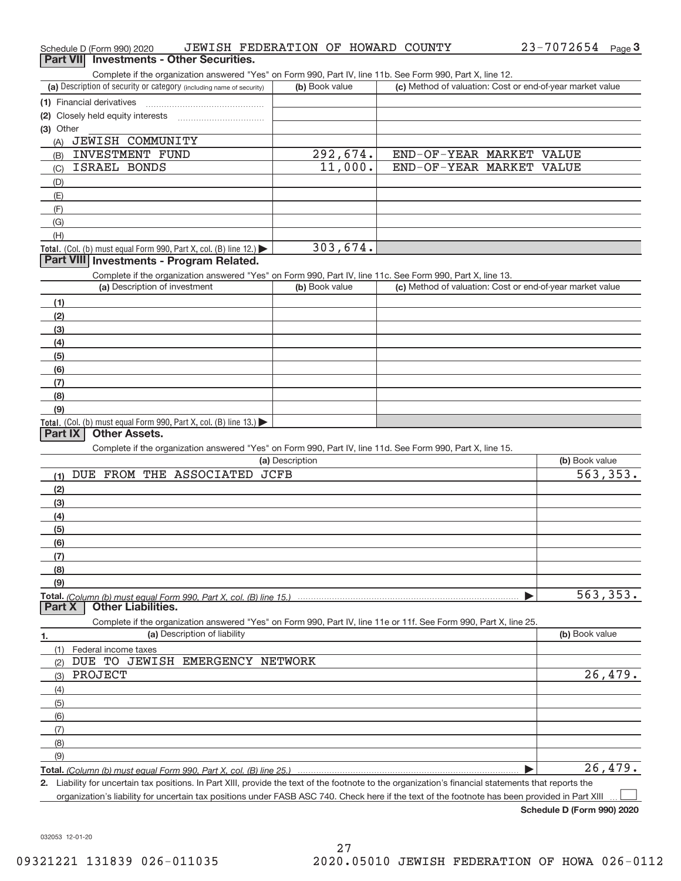| Part VII Investments - Other Securities.                                                                                                          |                 |                                                           |                |
|---------------------------------------------------------------------------------------------------------------------------------------------------|-----------------|-----------------------------------------------------------|----------------|
| Complete if the organization answered "Yes" on Form 990, Part IV, line 11b. See Form 990, Part X, line 12.                                        |                 |                                                           |                |
| (a) Description of security or category (including name of security)                                                                              | (b) Book value  | (c) Method of valuation: Cost or end-of-year market value |                |
| (1) Financial derivatives                                                                                                                         |                 |                                                           |                |
| (2) Closely held equity interests [11] [2] Closely held equity interests                                                                          |                 |                                                           |                |
| (3) Other<br>(A) JEWISH COMMUNITY                                                                                                                 |                 |                                                           |                |
| <b>INVESTMENT FUND</b>                                                                                                                            | 292,674.        | END-OF-YEAR MARKET VALUE                                  |                |
| (B)<br><b>ISRAEL BONDS</b>                                                                                                                        | 11,000.         | END-OF-YEAR MARKET VALUE                                  |                |
| (C)                                                                                                                                               |                 |                                                           |                |
| (D)<br>(E)                                                                                                                                        |                 |                                                           |                |
| (F)                                                                                                                                               |                 |                                                           |                |
| (G)                                                                                                                                               |                 |                                                           |                |
| (H)                                                                                                                                               |                 |                                                           |                |
| Total. (Col. (b) must equal Form 990, Part X, col. (B) line 12.)<br>Part VIII Investments - Program Related.                                      | 303,674.        |                                                           |                |
| Complete if the organization answered "Yes" on Form 990, Part IV, line 11c. See Form 990, Part X, line 13.                                        |                 |                                                           |                |
| (a) Description of investment                                                                                                                     | (b) Book value  | (c) Method of valuation: Cost or end-of-year market value |                |
| (1)                                                                                                                                               |                 |                                                           |                |
| (2)                                                                                                                                               |                 |                                                           |                |
| (3)                                                                                                                                               |                 |                                                           |                |
| (4)                                                                                                                                               |                 |                                                           |                |
| (5)                                                                                                                                               |                 |                                                           |                |
| (6)                                                                                                                                               |                 |                                                           |                |
| (7)                                                                                                                                               |                 |                                                           |                |
| (8)                                                                                                                                               |                 |                                                           |                |
| (9)                                                                                                                                               |                 |                                                           |                |
| Total. (Col. (b) must equal Form 990, Part X, col. (B) line 13.)                                                                                  |                 |                                                           |                |
| <b>Other Assets.</b><br>Part IX                                                                                                                   |                 |                                                           |                |
| Complete if the organization answered "Yes" on Form 990, Part IV, line 11d. See Form 990, Part X, line 15.                                        |                 |                                                           |                |
|                                                                                                                                                   | (a) Description |                                                           | (b) Book value |
| DUE FROM THE ASSOCIATED<br>(1)                                                                                                                    | <b>JCFB</b>     |                                                           | 563, 353.      |
| (2)                                                                                                                                               |                 |                                                           |                |
| (3)                                                                                                                                               |                 |                                                           |                |
| (4)                                                                                                                                               |                 |                                                           |                |
| (5)                                                                                                                                               |                 |                                                           |                |
| (6)                                                                                                                                               |                 |                                                           |                |
| (7)                                                                                                                                               |                 |                                                           |                |
| (8)                                                                                                                                               |                 |                                                           |                |
| (9)                                                                                                                                               |                 |                                                           |                |
| <b>Other Liabilities.</b><br>Part X                                                                                                               |                 |                                                           | 563, 353.      |
| Complete if the organization answered "Yes" on Form 990, Part IV, line 11e or 11f. See Form 990, Part X, line 25.<br>(a) Description of liability |                 |                                                           | (b) Book value |
| 1.                                                                                                                                                |                 |                                                           |                |
| Federal income taxes<br>(1)<br>DUE TO JEWISH EMERGENCY NETWORK                                                                                    |                 |                                                           |                |
| (2)                                                                                                                                               |                 |                                                           | 26,479.        |
| PROJECT<br>(3)                                                                                                                                    |                 |                                                           |                |
| (4)                                                                                                                                               |                 |                                                           |                |
| (5)                                                                                                                                               |                 |                                                           |                |
| (6)                                                                                                                                               |                 |                                                           |                |
| (7)                                                                                                                                               |                 |                                                           |                |
| (8)                                                                                                                                               |                 |                                                           |                |
| (9)                                                                                                                                               |                 |                                                           |                |
|                                                                                                                                                   |                 |                                                           | 26,479.        |

Schedule D (Form 990) 2020 JEWISH FEDERATION OF HOWARD COUNTY 23-7072654 Page

organization's liability for uncertain tax positions under FASB ASC 740. Check here if the text of the footnote has been provided in Part XIII

**Schedule D (Form 990) 2020**

 $\perp$ 

**3** 23‐7072654

032053 12‐01‐20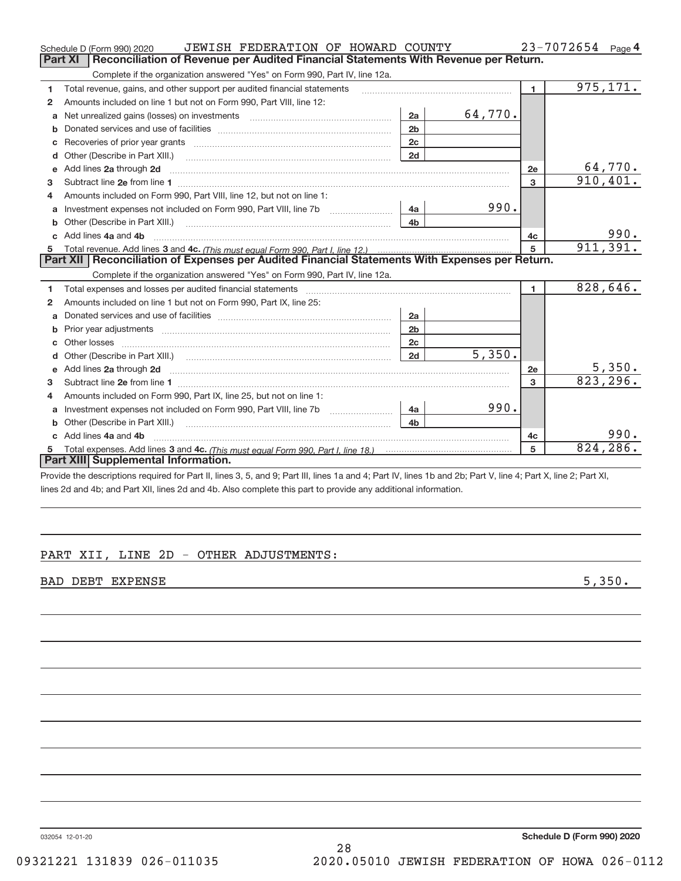|    | JEWISH FEDERATION OF HOWARD COUNTY<br>Schedule D (Form 990) 2020                                                                                                                                                                                                                                                                                                                                                                                                        |                |         |                | $23 - 7072654$ Page 4 |                |
|----|-------------------------------------------------------------------------------------------------------------------------------------------------------------------------------------------------------------------------------------------------------------------------------------------------------------------------------------------------------------------------------------------------------------------------------------------------------------------------|----------------|---------|----------------|-----------------------|----------------|
|    | Reconciliation of Revenue per Audited Financial Statements With Revenue per Return.<br>Part XI                                                                                                                                                                                                                                                                                                                                                                          |                |         |                |                       |                |
|    | Complete if the organization answered "Yes" on Form 990, Part IV, line 12a.                                                                                                                                                                                                                                                                                                                                                                                             |                |         |                |                       |                |
| 1  | Total revenue, gains, and other support per audited financial statements                                                                                                                                                                                                                                                                                                                                                                                                |                |         | $\blacksquare$ |                       | 975, 171.      |
| 2  | Amounts included on line 1 but not on Form 990, Part VIII, line 12:                                                                                                                                                                                                                                                                                                                                                                                                     |                |         |                |                       |                |
| a  |                                                                                                                                                                                                                                                                                                                                                                                                                                                                         | 2a             | 64,770. |                |                       |                |
| b  |                                                                                                                                                                                                                                                                                                                                                                                                                                                                         | 2 <sub>b</sub> |         |                |                       |                |
|    |                                                                                                                                                                                                                                                                                                                                                                                                                                                                         | 2 <sub>c</sub> |         |                |                       |                |
| d  |                                                                                                                                                                                                                                                                                                                                                                                                                                                                         | 2d             |         |                |                       |                |
| e  | Add lines 2a through 2d                                                                                                                                                                                                                                                                                                                                                                                                                                                 |                |         | 2e             |                       | <u>64,770.</u> |
| 3  |                                                                                                                                                                                                                                                                                                                                                                                                                                                                         |                |         | 3              |                       | 910, 401.      |
| 4  | Amounts included on Form 990, Part VIII, line 12, but not on line 1:                                                                                                                                                                                                                                                                                                                                                                                                    |                |         |                |                       |                |
| a  |                                                                                                                                                                                                                                                                                                                                                                                                                                                                         | 4a             | 990.    |                |                       |                |
|    |                                                                                                                                                                                                                                                                                                                                                                                                                                                                         | 4 <sub>b</sub> |         |                |                       |                |
| c. | Add lines 4a and 4b<br>$\begin{minipage}{0.5\textwidth} \begin{tabular}{ l l l } \hline \multicolumn{1}{ l l l } \hline \multicolumn{1}{ l l } \hline \multicolumn{1}{ l } \multicolumn{1}{ l } \hline \multicolumn{1}{ l } \multicolumn{1}{ l } \multicolumn{1}{ l } \hline \multicolumn{1}{ l } \multicolumn{1}{ l } \multicolumn{1}{ l } \hline \multicolumn{1}{ l } \multicolumn{1}{ l } \hline \multicolumn{1}{ l } \multicolumn{1}{ l } \hline \multicolumn{1}{ $ | 4c             |         | 990.           |                       |                |
|    |                                                                                                                                                                                                                                                                                                                                                                                                                                                                         |                |         | 5              |                       | 911,391.       |
|    | Part XII   Reconciliation of Expenses per Audited Financial Statements With Expenses per Return.                                                                                                                                                                                                                                                                                                                                                                        |                |         |                |                       |                |
|    | Complete if the organization answered "Yes" on Form 990, Part IV, line 12a.                                                                                                                                                                                                                                                                                                                                                                                             |                |         |                |                       |                |
| 1  | Total expenses and losses per audited financial statements [11] [12] manuscription and contract the statements [13] manuscription and the statements [13] manuscription and the statements and the statements and the statemen                                                                                                                                                                                                                                          |                |         | $\blacksquare$ |                       | 828,646.       |
| 2  | Amounts included on line 1 but not on Form 990, Part IX, line 25:                                                                                                                                                                                                                                                                                                                                                                                                       |                |         |                |                       |                |
| a  |                                                                                                                                                                                                                                                                                                                                                                                                                                                                         | 2a             |         |                |                       |                |
| b  |                                                                                                                                                                                                                                                                                                                                                                                                                                                                         | 2 <sub>b</sub> |         |                |                       |                |
|    |                                                                                                                                                                                                                                                                                                                                                                                                                                                                         | 2c             |         |                |                       |                |
| d  | Other (Describe in Part XIII.) (2000) (2000) (2000) (2000) (2000) (2000) (2000) (2000) (2000) (2000) (2000) (2000) (2000) (2000) (2000) (2000) (2000) (2000) (2000) (2000) (2000) (2000) (2000) (2000) (2000) (2000) (2000) (2                                                                                                                                                                                                                                          | 2d             | 5,350.  |                |                       |                |
| e  | Add lines 2a through 2d <b>must be a constructed as the constant of the constant of the constant of the construction</b>                                                                                                                                                                                                                                                                                                                                                |                |         | 2e             |                       | 5,350.         |
| 3  |                                                                                                                                                                                                                                                                                                                                                                                                                                                                         |                |         | 3              |                       | 823, 296.      |
| 4  | Amounts included on Form 990, Part IX, line 25, but not on line 1:                                                                                                                                                                                                                                                                                                                                                                                                      |                |         |                |                       |                |
| a  |                                                                                                                                                                                                                                                                                                                                                                                                                                                                         | 4a             | 990.    |                |                       |                |
| b  | Other (Describe in Part XIII.)                                                                                                                                                                                                                                                                                                                                                                                                                                          | 4 <sub>h</sub> |         |                |                       |                |
| C. | Add lines 4a and 4b                                                                                                                                                                                                                                                                                                                                                                                                                                                     |                |         | 4с             |                       | 990.           |
|    |                                                                                                                                                                                                                                                                                                                                                                                                                                                                         |                |         | 5              |                       | 824, 286.      |
|    | Part XIII Supplemental Information.                                                                                                                                                                                                                                                                                                                                                                                                                                     |                |         |                |                       |                |

Provide the descriptions required for Part II, lines 3, 5, and 9; Part III, lines 1a and 4; Part IV, lines 1b and 2b; Part V, line 4; Part X, line 2; Part XI, lines 2d and 4b; and Part XII, lines 2d and 4b. Also complete this part to provide any additional information.

# PART XII, LINE 2D - OTHER ADJUSTMENTS:

BAD DEBT EXPENSE 5,350.

032054 12‐01‐20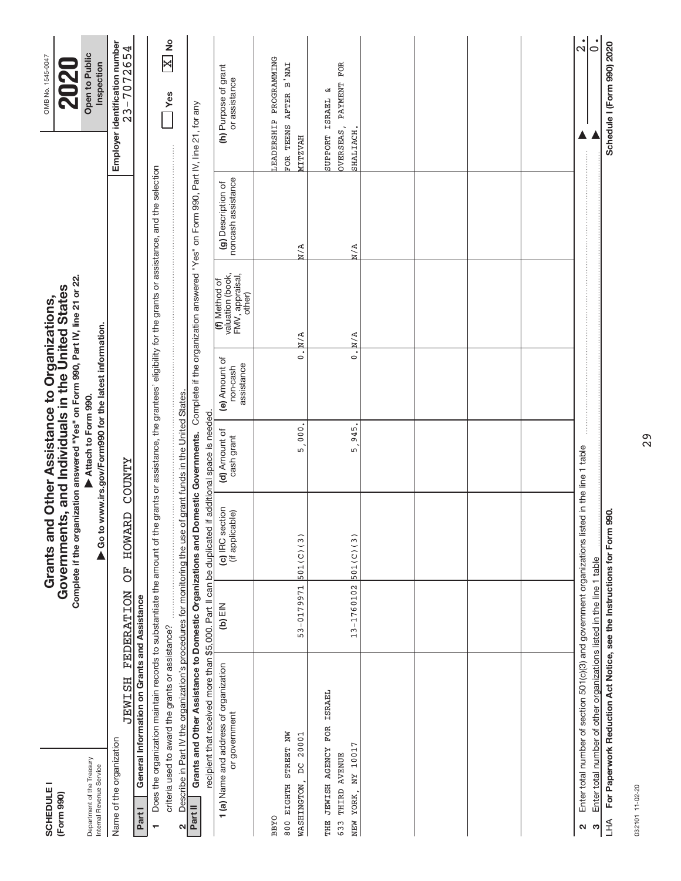| -<br><b>SCHEDULE</b><br>(Form 990)                                                                                                                                            |                   | Complete if the organization answered "Yes" on Form 990, Part IV, line 21 or 22.<br>Governments, and Individuals in the United States<br>Grants and Other Assistance to Organizations, |                                                                              |                                         |                                                                |                                          | OMB No. 1545-0047<br>$\overline{\mathbf{N}}$     |
|-------------------------------------------------------------------------------------------------------------------------------------------------------------------------------|-------------------|----------------------------------------------------------------------------------------------------------------------------------------------------------------------------------------|------------------------------------------------------------------------------|-----------------------------------------|----------------------------------------------------------------|------------------------------------------|--------------------------------------------------|
| Department of the Treasury<br>Internal Revenue Service                                                                                                                        |                   |                                                                                                                                                                                        | Go to www.irs.gov/Form990 for the latest information.<br>Attach to Form 990. |                                         |                                                                |                                          | Open to Public<br>Inspection                     |
| <b>HSTNET</b><br>Name of the organization                                                                                                                                     | <b>FEDERATION</b> | <b>HOWARD</b><br>F)                                                                                                                                                                    | <b>ZAMAOO</b>                                                                |                                         |                                                                |                                          | Employer identification number<br>$23 - 7072654$ |
| General Information on Grants and Assistance<br>Part I                                                                                                                        |                   |                                                                                                                                                                                        |                                                                              |                                         |                                                                |                                          |                                                  |
| Does the organization maintain records to substantiate the amount of the grants or assistance, the grantees' eligibility for the grants or assistance, and the selection      |                   |                                                                                                                                                                                        |                                                                              |                                         |                                                                |                                          |                                                  |
| criteria used to award the grants or assistance?                                                                                                                              |                   |                                                                                                                                                                                        |                                                                              |                                         |                                                                |                                          | $\overline{\mathbb{X}}$ No<br><b>Yes</b>         |
| Describe in Part IV the organization's procedures for monitoring the use of grant funds in the United States<br>2                                                             |                   |                                                                                                                                                                                        |                                                                              |                                         |                                                                |                                          |                                                  |
| Grants and Other Assistance to Domestic Organizations and Domestic Governments. Complete if the organization answered "Yes" on Form 990, Part IV, line 21, for any<br>Part II |                   |                                                                                                                                                                                        |                                                                              |                                         |                                                                |                                          |                                                  |
| recipient that received more than \$5,000. Part II can be duplicated if additional space is needed                                                                            |                   |                                                                                                                                                                                        |                                                                              |                                         |                                                                |                                          |                                                  |
| 1 (a) Name and address of organization<br>or government                                                                                                                       | (b) $EIN$         | (c) IRC section<br>(if applicable)                                                                                                                                                     | (d) Amount of<br>cash grant                                                  | (e) Amount of<br>assistance<br>non-cash | (f) Method of<br>valuation (book,<br>FMV, appraisal,<br>other) | noncash assistance<br>(g) Description of | (h) Purpose of grant<br>or assistance            |
| <b>BBYO</b>                                                                                                                                                                   |                   |                                                                                                                                                                                        |                                                                              |                                         |                                                                |                                          | EADERSHIP PROGRAMMING                            |
| STREET NW<br>20001<br>$\sum_{i=1}^{n}$<br>800 EIGHTH<br>WASHINGTON,                                                                                                           | $53 - 0179971$    | 501(C)(3)                                                                                                                                                                              | $000$ .<br>5.                                                                | $\dot{\circ}$                           | N/A                                                            | M/A                                      | FOR TEENS AFTER B'NAI<br><b>HAVZTTM</b>          |
|                                                                                                                                                                               |                   |                                                                                                                                                                                        |                                                                              |                                         |                                                                |                                          |                                                  |
| THE JEWISH AGENCY FOR ISRAEL                                                                                                                                                  |                   |                                                                                                                                                                                        |                                                                              |                                         |                                                                |                                          | لا<br>ISRAEL<br>SUPPORT                          |
| THIRD AVENUE<br>633                                                                                                                                                           |                   |                                                                                                                                                                                        |                                                                              |                                         |                                                                |                                          | FOR<br>OVERSEAS, PAYMENT                         |
| NY 10017<br>NEW YORK,                                                                                                                                                         | $13 - 1760102$    | 501(C)(3)                                                                                                                                                                              | 945<br>LN.                                                                   | $\mathbf{c}$                            | $\times N$                                                     | N/A                                      | SHALIACH,                                        |
|                                                                                                                                                                               |                   |                                                                                                                                                                                        |                                                                              |                                         |                                                                |                                          |                                                  |
|                                                                                                                                                                               |                   |                                                                                                                                                                                        |                                                                              |                                         |                                                                |                                          |                                                  |
|                                                                                                                                                                               |                   |                                                                                                                                                                                        |                                                                              |                                         |                                                                |                                          |                                                  |
|                                                                                                                                                                               |                   |                                                                                                                                                                                        |                                                                              |                                         |                                                                |                                          |                                                  |
|                                                                                                                                                                               |                   |                                                                                                                                                                                        |                                                                              |                                         |                                                                |                                          |                                                  |
|                                                                                                                                                                               |                   |                                                                                                                                                                                        |                                                                              |                                         |                                                                |                                          |                                                  |
|                                                                                                                                                                               |                   |                                                                                                                                                                                        |                                                                              |                                         |                                                                |                                          |                                                  |
|                                                                                                                                                                               |                   |                                                                                                                                                                                        |                                                                              |                                         |                                                                |                                          |                                                  |
| Enter total number of section 501(c)(3) and government organizations listed in the line 1 table<br>N                                                                          |                   |                                                                                                                                                                                        |                                                                              |                                         |                                                                |                                          | $\frac{1}{2}$                                    |
| Enter total number of other organizations listed in the line 1 table<br>S                                                                                                     |                   |                                                                                                                                                                                        |                                                                              |                                         |                                                                |                                          | $\dot{\circ}$                                    |
| For Paperwork Reduction Act Notice, see the Instructions for Form 990.<br><b>LHA</b>                                                                                          |                   |                                                                                                                                                                                        |                                                                              |                                         |                                                                |                                          | Schedule I (Form 990) 2020                       |

032101 11-02-20 032101 11‐02‐20

29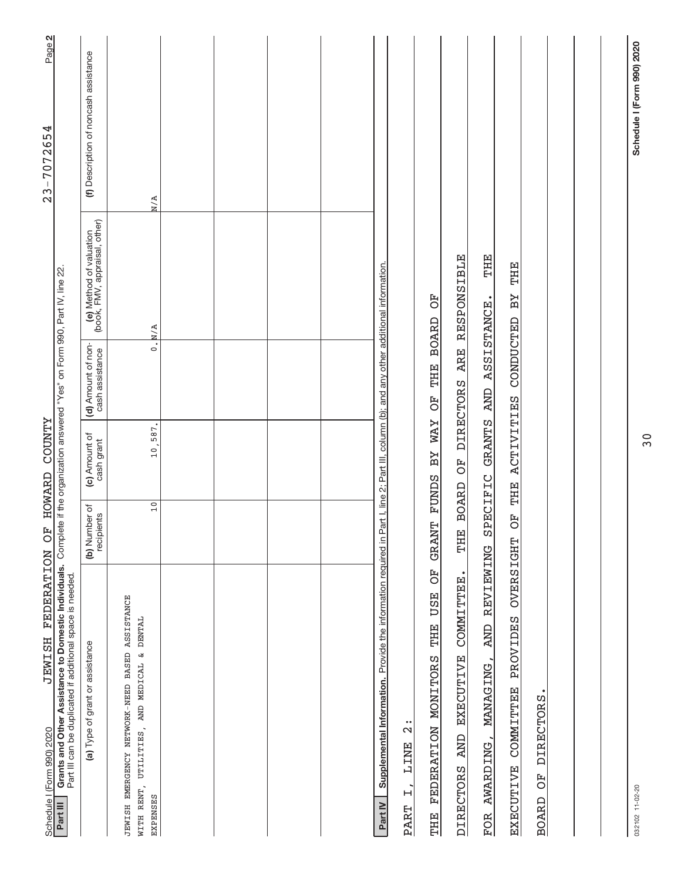| JEWISH FEDERATION OF HOWARD COUNTY<br>Schedule I (Form 990) 2020                                                                                                                                         |                             |                                  |                                       |                                                          | Page 2<br>$23 - 7072654$              |
|----------------------------------------------------------------------------------------------------------------------------------------------------------------------------------------------------------|-----------------------------|----------------------------------|---------------------------------------|----------------------------------------------------------|---------------------------------------|
| Grants and Other Assistance to Domestic Individuals. Complete if the organization answered "Yes" on Form 990, Part IV, line 22.<br>Part III can be duplicated if additional space is needed.<br>Part III |                             |                                  |                                       |                                                          |                                       |
| (a) Type of grant or assistance                                                                                                                                                                          | (b) Number of<br>recipients | (c) Amount of<br>cash grant      | (d) Amount of non-<br>cash assistance | (e) Method of valuation<br>(book, FMV, appraisal, other) | (f) Description of noncash assistance |
| <b>ASSISTANCE</b><br>WITH RENT, UTILITIES, AND MEDICAL & DENTAL<br>JEWISH EMERGENCY NETWORK-NEED BASED<br>EXPENSES                                                                                       | 10                          | 10,587.                          | $\dot{\circ}$                         | $\times N$                                               | N/A                                   |
|                                                                                                                                                                                                          |                             |                                  |                                       |                                                          |                                       |
|                                                                                                                                                                                                          |                             |                                  |                                       |                                                          |                                       |
|                                                                                                                                                                                                          |                             |                                  |                                       |                                                          |                                       |
|                                                                                                                                                                                                          |                             |                                  |                                       |                                                          |                                       |
| Supplemental Information. Provide the information required in Part I, line 2; Part III, column (b); and any other additional information.<br>Part IV                                                     |                             |                                  |                                       |                                                          |                                       |
| $\ddot{\phantom{0}}$<br>$\mathbf{\Omega}$<br><b>LINE</b><br>$\mathbf{H}$<br>PART                                                                                                                         |                             |                                  |                                       |                                                          |                                       |
| FO<br><b>USE</b><br>THE<br>FEDERATION MONITORS<br>THE                                                                                                                                                    | <b>GRANT</b>                | <b>NAY</b><br>ΣÆ<br><b>FUNDS</b> | THE<br>FO<br>O                        | FO<br><b>BOARD</b>                                       |                                       |
| COMMITTEE.<br><b>EXECUTIVE</b><br>DIRECTORS AND                                                                                                                                                          | THE                         |                                  | BOARD OF DIRECTORS ARE                | <b>RESPONSIBLE</b>                                       |                                       |
| REVIEWING<br><b>AND</b><br>MANAGING,<br>AWARDING,<br><b>FOR</b>                                                                                                                                          | PECIFIC<br>Ω                | GRANTS AND                       | ASSISTANCE.                           | THE                                                      |                                       |
| <b>OVERSIGHT</b><br><b>PROVIDES</b><br><b>COMMITTEE</b><br>EXECUTIVE                                                                                                                                     | F<br>O                      | <b>ACTIVITIES</b><br>THE         | CONDUCTED                             | THE<br>$B\overline{Y}$                                   |                                       |
| <b>DIRECTORS</b><br>FO<br><b>BOARD</b>                                                                                                                                                                   |                             |                                  |                                       |                                                          |                                       |
|                                                                                                                                                                                                          |                             |                                  |                                       |                                                          |                                       |
|                                                                                                                                                                                                          |                             |                                  |                                       |                                                          |                                       |
|                                                                                                                                                                                                          |                             |                                  |                                       |                                                          |                                       |
| 032102 11-02-20                                                                                                                                                                                          |                             |                                  |                                       |                                                          | Schedule I (Form 990) 2020            |

30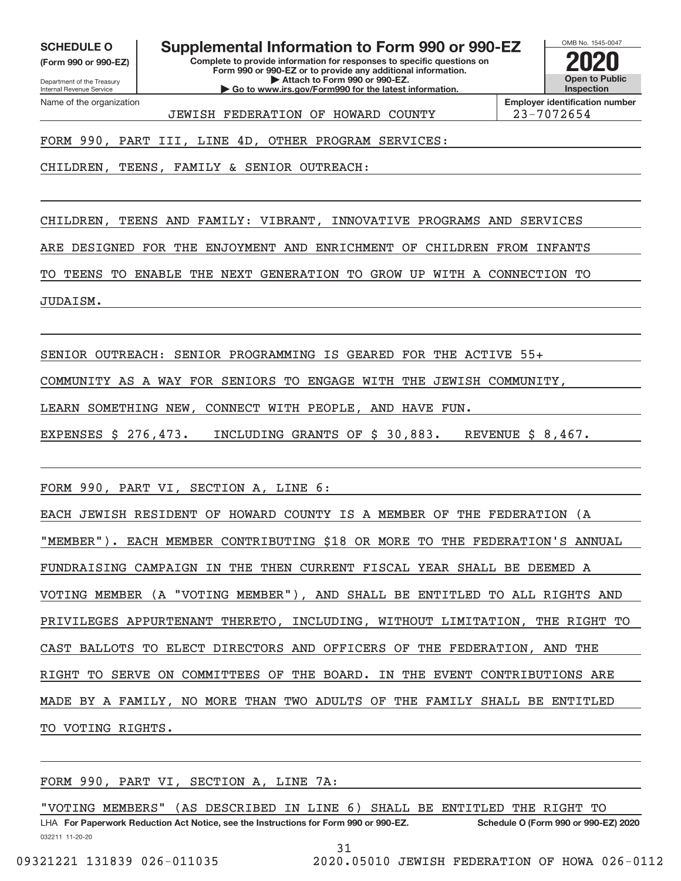**(Form 990 or 990‐EZ)**

Department of the Treasury Internal Revenue Service Name of the organization

**SCHEDULE O Supplemental Information to Form 990 or 990‐EZ 2020**

**Complete to provide information for responses to specific questions on Form 990 or 990‐EZ or to provide any additional information. | Attach to Form 990 or 990‐EZ. | Go to www.irs.gov/Form990 for the latest information.**



**Employer identification number** JEWISH FEDERATION OF HOWARD COUNTY 23‐7072654

FORM 990, PART III, LINE 4D, OTHER PROGRAM SERVICES:

CHILDREN, TEENS, FAMILY & SENIOR OUTREACH:

CHILDREN, TEENS AND FAMILY: VIBRANT, INNOVATIVE PROGRAMS AND SERVICES

ARE DESIGNED FOR THE ENJOYMENT AND ENRICHMENT OF CHILDREN FROM INFANTS

TO TEENS TO ENABLE THE NEXT GENERATION TO GROW UP WITH A CONNECTION TO

JUDAISM.

SENIOR OUTREACH: SENIOR PROGRAMMING IS GEARED FOR THE ACTIVE 55+

COMMUNITY AS A WAY FOR SENIORS TO ENGAGE WITH THE JEWISH COMMUNITY,

LEARN SOMETHING NEW, CONNECT WITH PEOPLE, AND HAVE FUN.

EXPENSES \$ 276,473. INCLUDING GRANTS OF \$ 30,883. REVENUE \$ 8,467.

FORM 990, PART VI, SECTION A, LINE 6:

EACH JEWISH RESIDENT OF HOWARD COUNTY IS A MEMBER OF THE FEDERATION (A "MEMBER"). EACH MEMBER CONTRIBUTING \$18 OR MORE TO THE FEDERATION'S ANNUAL FUNDRAISING CAMPAIGN IN THE THEN CURRENT FISCAL YEAR SHALL BE DEEMED A VOTING MEMBER (A "VOTING MEMBER"), AND SHALL BE ENTITLED TO ALL RIGHTS AND PRIVILEGES APPURTENANT THERETO, INCLUDING, WITHOUT LIMITATION, THE RIGHT TO CAST BALLOTS TO ELECT DIRECTORS AND OFFICERS OF THE FEDERATION, AND THE RIGHT TO SERVE ON COMMITTEES OF THE BOARD. IN THE EVENT CONTRIBUTIONS ARE MADE BY A FAMILY, NO MORE THAN TWO ADULTS OF THE FAMILY SHALL BE ENTITLED TO VOTING RIGHTS.

FORM 990, PART VI, SECTION A, LINE 7A:

"VOTING MEMBERS" (AS DESCRIBED IN LINE 6) SHALL BE ENTITLED THE RIGHT TO

032211 11‐20‐20 **For Paperwork Reduction Act Notice, see the Instructions for Form 990 or 990‐EZ. Schedule O (Form 990 or 990‐EZ) 2020** LHA

31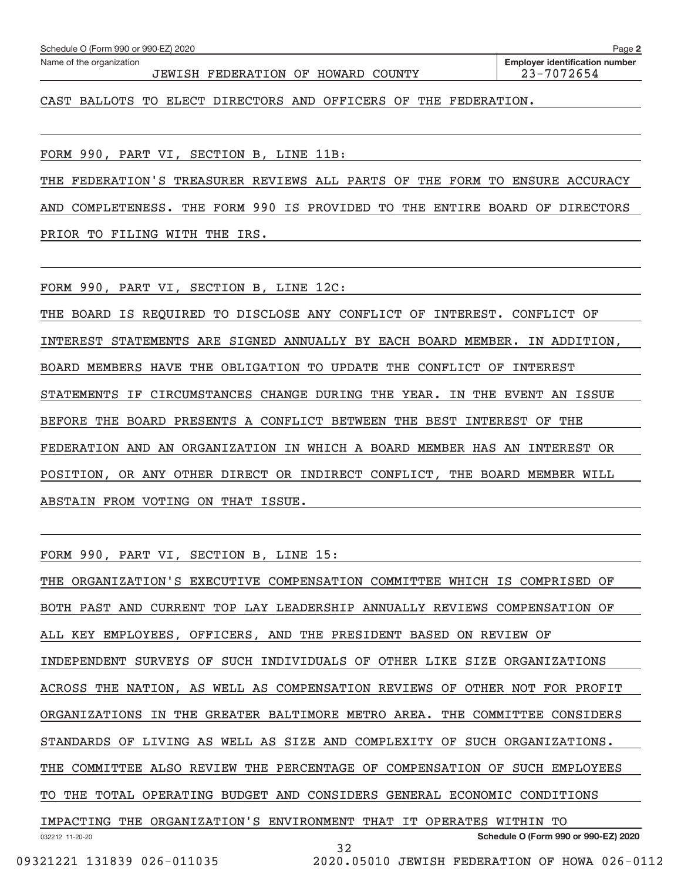| Name of the organization                                        | JEWISH FEDERATION OF HOWARD COUNTY |  |  | <b>Employer identification number</b><br>23-7072654 |
|-----------------------------------------------------------------|------------------------------------|--|--|-----------------------------------------------------|
| CAST BALLOTS TO ELECT DIRECTORS AND OFFICERS OF THE FEDERATION. |                                    |  |  |                                                     |
|                                                                 |                                    |  |  |                                                     |

**2**200.2

FORM 990, PART VI, SECTION B, LINE 11B:

Schedule  $\Omega$  (Form 990 or 990 EZ) 2020

THE FEDERATION'S TREASURER REVIEWS ALL PARTS OF THE FORM TO ENSURE ACCURACY

AND COMPLETENESS. THE FORM 990 IS PROVIDED TO THE ENTIRE BOARD OF DIRECTORS PRIOR TO FILING WITH THE IRS.

FORM 990, PART VI, SECTION B, LINE 12C:

THE BOARD IS REQUIRED TO DISCLOSE ANY CONFLICT OF INTEREST. CONFLICT OF INTEREST STATEMENTS ARE SIGNED ANNUALLY BY EACH BOARD MEMBER. IN ADDITION, BOARD MEMBERS HAVE THE OBLIGATION TO UPDATE THE CONFLICT OF INTEREST STATEMENTS IF CIRCUMSTANCES CHANGE DURING THE YEAR. IN THE EVENT AN ISSUE BEFORE THE BOARD PRESENTS A CONFLICT BETWEEN THE BEST INTEREST OF THE FEDERATION AND AN ORGANIZATION IN WHICH A BOARD MEMBER HAS AN INTEREST OR POSITION, OR ANY OTHER DIRECT OR INDIRECT CONFLICT, THE BOARD MEMBER WILL ABSTAIN FROM VOTING ON THAT ISSUE.

FORM 990, PART VI, SECTION B, LINE 15:

032212 11‐20‐20 **Schedule O (Form 990 or 990‐EZ) 2020** THE ORGANIZATION'S EXECUTIVE COMPENSATION COMMITTEE WHICH IS COMPRISED OF BOTH PAST AND CURRENT TOP LAY LEADERSHIP ANNUALLY REVIEWS COMPENSATION OF ALL KEY EMPLOYEES, OFFICERS, AND THE PRESIDENT BASED ON REVIEW OF INDEPENDENT SURVEYS OF SUCH INDIVIDUALS OF OTHER LIKE SIZE ORGANIZATIONS ACROSS THE NATION, AS WELL AS COMPENSATION REVIEWS OF OTHER NOT FOR PROFIT ORGANIZATIONS IN THE GREATER BALTIMORE METRO AREA. THE COMMITTEE CONSIDERS STANDARDS OF LIVING AS WELL AS SIZE AND COMPLEXITY OF SUCH ORGANIZATIONS. THE COMMITTEE ALSO REVIEW THE PERCENTAGE OF COMPENSATION OF SUCH EMPLOYEES TO THE TOTAL OPERATING BUDGET AND CONSIDERS GENERAL ECONOMIC CONDITIONS IMPACTING THE ORGANIZATION'S ENVIRONMENT THAT IT OPERATES WITHIN TO 32